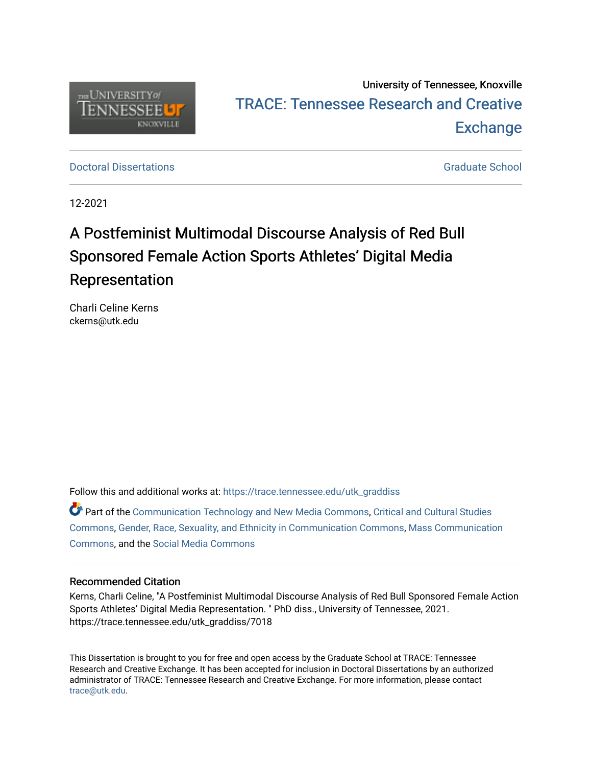

# University of Tennessee, Knoxville TRACE: T[ennessee Research and Cr](https://trace.tennessee.edu/)eative **Exchange**

**Doctoral Dissertations** [Graduate School](https://trace.tennessee.edu/utk-grad) **Contract Contract Contract Contract Contract Contract Contract Contract Contract Contract Contract Contract Contract Contract Contract Contract Contract Contract Contract Contract** 

12-2021

# A Postfeminist Multimodal Discourse Analysis of Red Bull Sponsored Female Action Sports Athletes' Digital Media Representation

Charli Celine Kerns ckerns@utk.edu

Follow this and additional works at: [https://trace.tennessee.edu/utk\\_graddiss](https://trace.tennessee.edu/utk_graddiss?utm_source=trace.tennessee.edu%2Futk_graddiss%2F7018&utm_medium=PDF&utm_campaign=PDFCoverPages) 

Part of the [Communication Technology and New Media Commons,](http://network.bepress.com/hgg/discipline/327?utm_source=trace.tennessee.edu%2Futk_graddiss%2F7018&utm_medium=PDF&utm_campaign=PDFCoverPages) [Critical and Cultural Studies](http://network.bepress.com/hgg/discipline/328?utm_source=trace.tennessee.edu%2Futk_graddiss%2F7018&utm_medium=PDF&utm_campaign=PDFCoverPages)  [Commons](http://network.bepress.com/hgg/discipline/328?utm_source=trace.tennessee.edu%2Futk_graddiss%2F7018&utm_medium=PDF&utm_campaign=PDFCoverPages), [Gender, Race, Sexuality, and Ethnicity in Communication Commons](http://network.bepress.com/hgg/discipline/329?utm_source=trace.tennessee.edu%2Futk_graddiss%2F7018&utm_medium=PDF&utm_campaign=PDFCoverPages), [Mass Communication](http://network.bepress.com/hgg/discipline/334?utm_source=trace.tennessee.edu%2Futk_graddiss%2F7018&utm_medium=PDF&utm_campaign=PDFCoverPages) [Commons](http://network.bepress.com/hgg/discipline/334?utm_source=trace.tennessee.edu%2Futk_graddiss%2F7018&utm_medium=PDF&utm_campaign=PDFCoverPages), and the [Social Media Commons](http://network.bepress.com/hgg/discipline/1249?utm_source=trace.tennessee.edu%2Futk_graddiss%2F7018&utm_medium=PDF&utm_campaign=PDFCoverPages) 

# Recommended Citation

Kerns, Charli Celine, "A Postfeminist Multimodal Discourse Analysis of Red Bull Sponsored Female Action Sports Athletes' Digital Media Representation. " PhD diss., University of Tennessee, 2021. https://trace.tennessee.edu/utk\_graddiss/7018

This Dissertation is brought to you for free and open access by the Graduate School at TRACE: Tennessee Research and Creative Exchange. It has been accepted for inclusion in Doctoral Dissertations by an authorized administrator of TRACE: Tennessee Research and Creative Exchange. For more information, please contact [trace@utk.edu.](mailto:trace@utk.edu)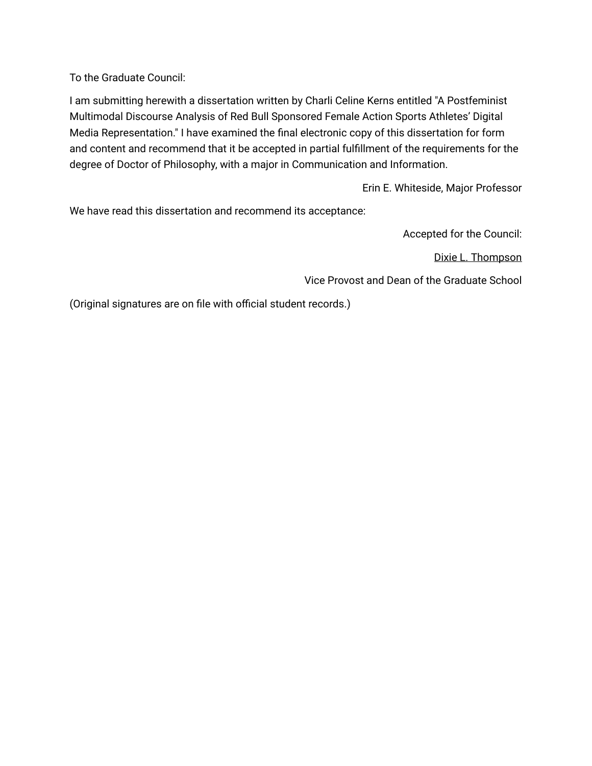To the Graduate Council:

I am submitting herewith a dissertation written by Charli Celine Kerns entitled "A Postfeminist Multimodal Discourse Analysis of Red Bull Sponsored Female Action Sports Athletes' Digital Media Representation." I have examined the final electronic copy of this dissertation for form and content and recommend that it be accepted in partial fulfillment of the requirements for the degree of Doctor of Philosophy, with a major in Communication and Information.

Erin E. Whiteside, Major Professor

We have read this dissertation and recommend its acceptance:

Accepted for the Council:

Dixie L. Thompson

Vice Provost and Dean of the Graduate School

(Original signatures are on file with official student records.)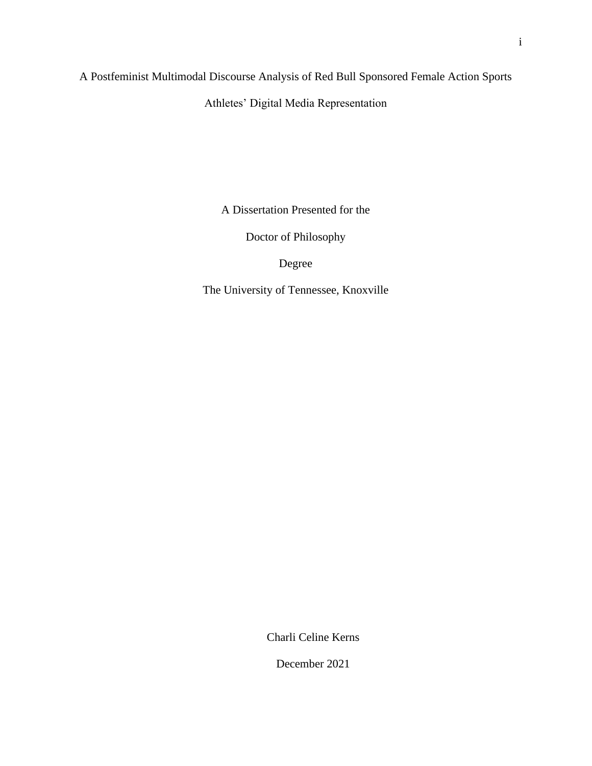A Postfeminist Multimodal Discourse Analysis of Red Bull Sponsored Female Action Sports

Athletes' Digital Media Representation

A Dissertation Presented for the

Doctor of Philosophy

Degree

The University of Tennessee, Knoxville

Charli Celine Kerns

December 2021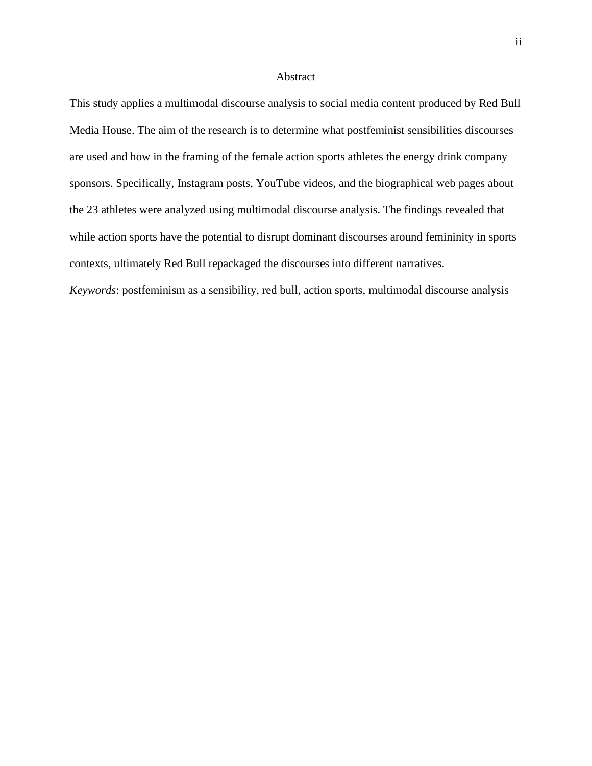#### Abstract

This study applies a multimodal discourse analysis to social media content produced by Red Bull Media House. The aim of the research is to determine what postfeminist sensibilities discourses are used and how in the framing of the female action sports athletes the energy drink company sponsors. Specifically, Instagram posts, YouTube videos, and the biographical web pages about the 23 athletes were analyzed using multimodal discourse analysis. The findings revealed that while action sports have the potential to disrupt dominant discourses around femininity in sports contexts, ultimately Red Bull repackaged the discourses into different narratives. *Keywords*: postfeminism as a sensibility, red bull, action sports, multimodal discourse analysis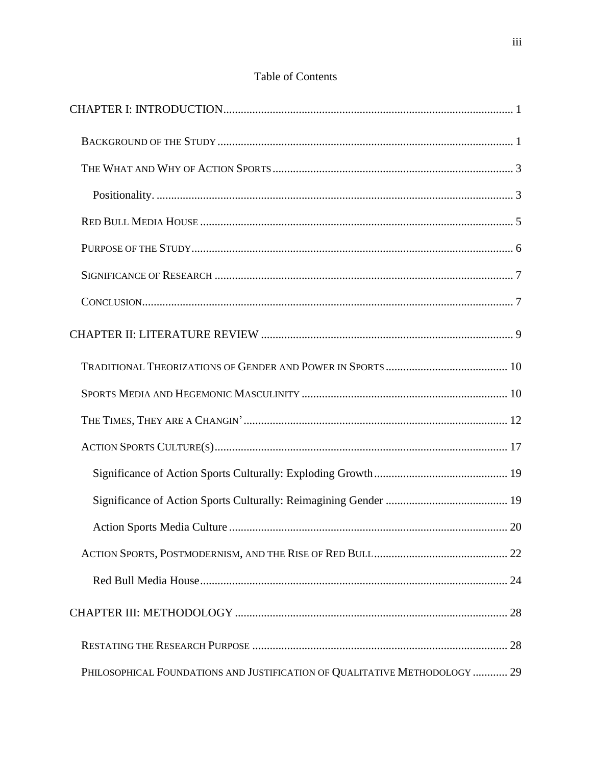|                                                                            | 20 |
|----------------------------------------------------------------------------|----|
|                                                                            |    |
|                                                                            |    |
|                                                                            |    |
|                                                                            |    |
| PHILOSOPHICAL FOUNDATIONS AND JUSTIFICATION OF QUALITATIVE METHODOLOGY  29 |    |

# Table of Contents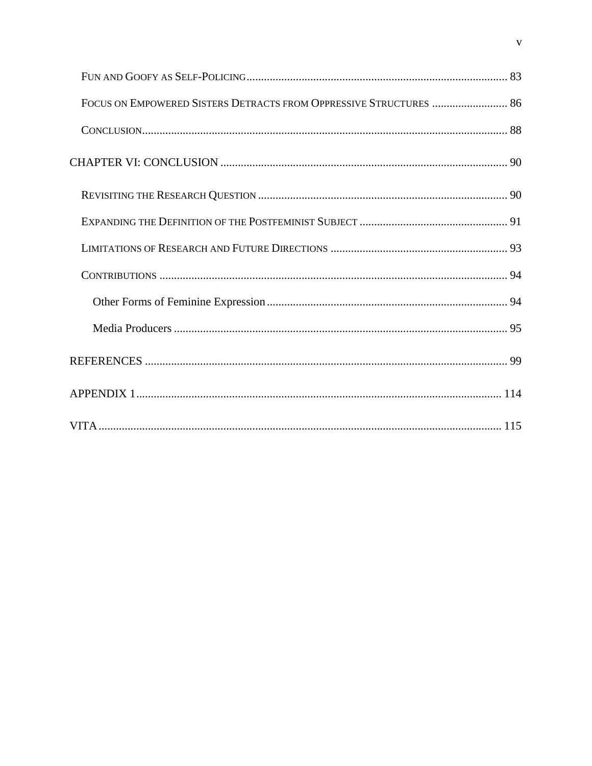| FOCUS ON EMPOWERED SISTERS DETRACTS FROM OPPRESSIVE STRUCTURES  86 |  |
|--------------------------------------------------------------------|--|
|                                                                    |  |
|                                                                    |  |
|                                                                    |  |
|                                                                    |  |
|                                                                    |  |
|                                                                    |  |
|                                                                    |  |
|                                                                    |  |
|                                                                    |  |
|                                                                    |  |
|                                                                    |  |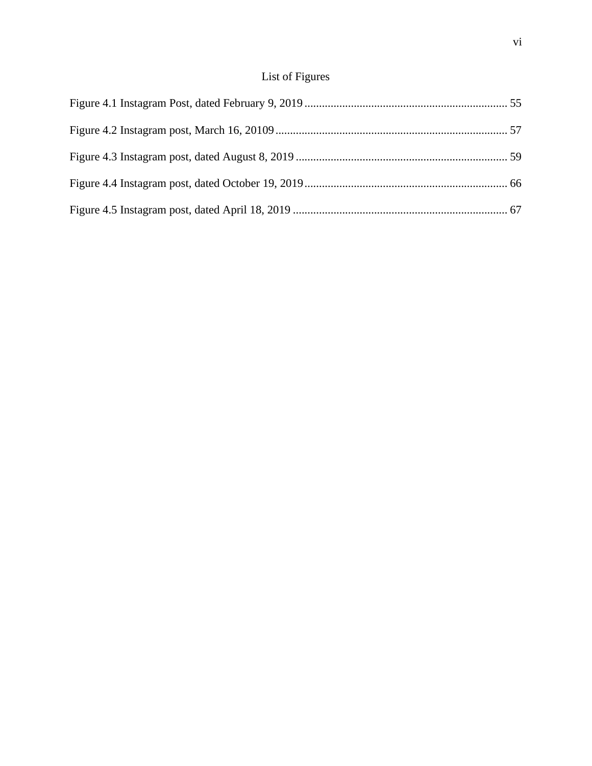# List of Figures

<span id="page-7-0"></span>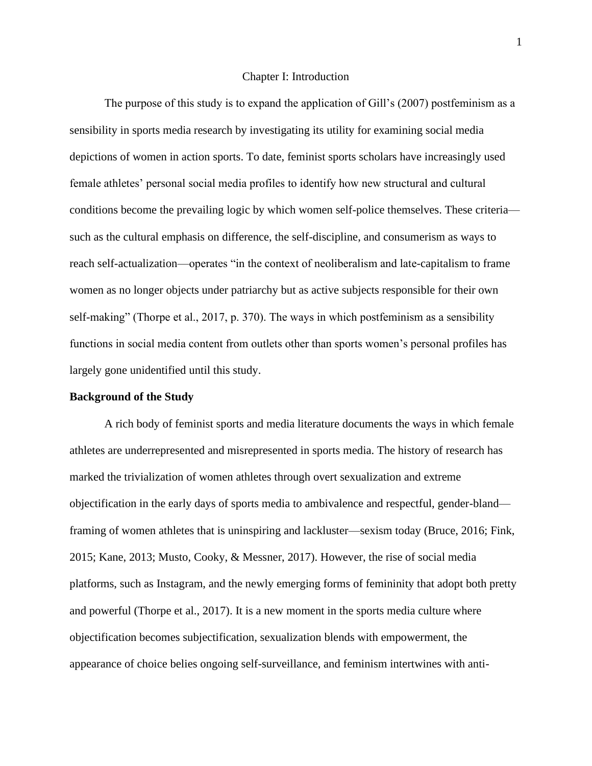#### Chapter I: Introduction

The purpose of this study is to expand the application of Gill's (2007) postfeminism as a sensibility in sports media research by investigating its utility for examining social media depictions of women in action sports. To date, feminist sports scholars have increasingly used female athletes' personal social media profiles to identify how new structural and cultural conditions become the prevailing logic by which women self-police themselves. These criteria such as the cultural emphasis on difference, the self-discipline, and consumerism as ways to reach self-actualization—operates "in the context of neoliberalism and late-capitalism to frame women as no longer objects under patriarchy but as active subjects responsible for their own self-making" (Thorpe et al., 2017, p. 370). The ways in which postfeminism as a sensibility functions in social media content from outlets other than sports women's personal profiles has largely gone unidentified until this study.

#### <span id="page-8-0"></span>**Background of the Study**

A rich body of feminist sports and media literature documents the ways in which female athletes are underrepresented and misrepresented in sports media. The history of research has marked the trivialization of women athletes through overt sexualization and extreme objectification in the early days of sports media to ambivalence and respectful, gender-bland framing of women athletes that is uninspiring and lackluster—sexism today (Bruce, 2016; Fink, 2015; Kane, 2013; Musto, Cooky, & Messner, 2017). However, the rise of social media platforms, such as Instagram, and the newly emerging forms of femininity that adopt both pretty and powerful (Thorpe et al., 2017). It is a new moment in the sports media culture where objectification becomes subjectification, sexualization blends with empowerment, the appearance of choice belies ongoing self-surveillance, and feminism intertwines with anti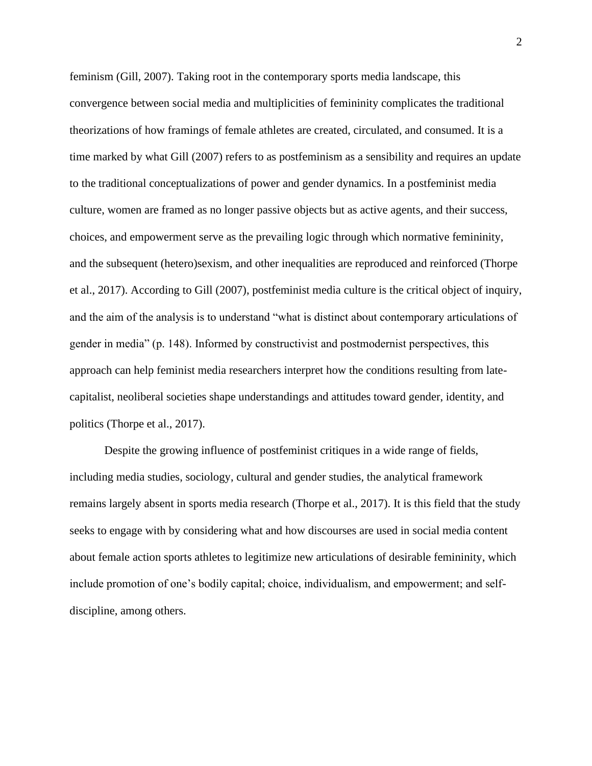feminism (Gill, 2007). Taking root in the contemporary sports media landscape, this convergence between social media and multiplicities of femininity complicates the traditional theorizations of how framings of female athletes are created, circulated, and consumed. It is a time marked by what Gill (2007) refers to as postfeminism as a sensibility and requires an update to the traditional conceptualizations of power and gender dynamics. In a postfeminist media culture, women are framed as no longer passive objects but as active agents, and their success, choices, and empowerment serve as the prevailing logic through which normative femininity, and the subsequent (hetero)sexism, and other inequalities are reproduced and reinforced (Thorpe et al., 2017). According to Gill (2007), postfeminist media culture is the critical object of inquiry, and the aim of the analysis is to understand "what is distinct about contemporary articulations of gender in media" (p. 148). Informed by constructivist and postmodernist perspectives, this approach can help feminist media researchers interpret how the conditions resulting from latecapitalist, neoliberal societies shape understandings and attitudes toward gender, identity, and politics (Thorpe et al., 2017).

Despite the growing influence of postfeminist critiques in a wide range of fields, including media studies, sociology, cultural and gender studies, the analytical framework remains largely absent in sports media research (Thorpe et al., 2017). It is this field that the study seeks to engage with by considering what and how discourses are used in social media content about female action sports athletes to legitimize new articulations of desirable femininity, which include promotion of one's bodily capital; choice, individualism, and empowerment; and selfdiscipline, among others.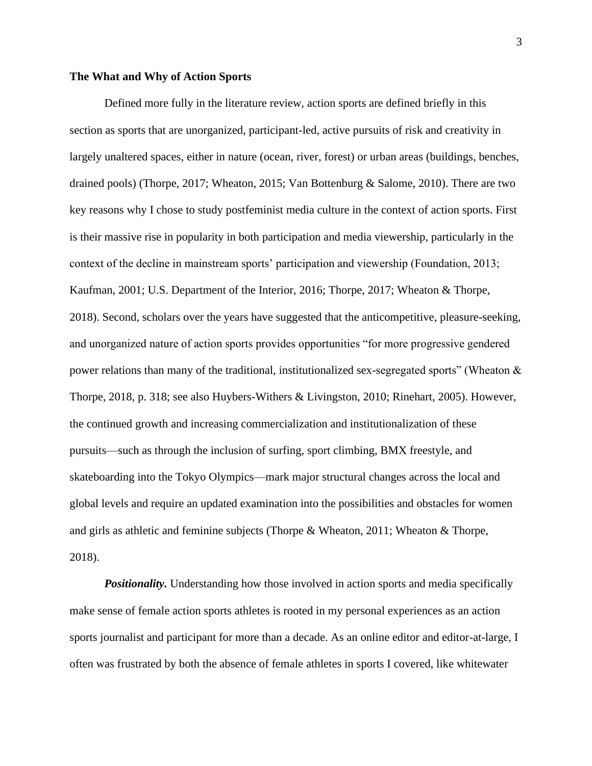# <span id="page-10-0"></span>**The What and Why of Action Sports**

Defined more fully in the literature review, action sports are defined briefly in this section as sports that are unorganized, participant-led, active pursuits of risk and creativity in largely unaltered spaces, either in nature (ocean, river, forest) or urban areas (buildings, benches, drained pools) (Thorpe, 2017; Wheaton, 2015; Van Bottenburg & Salome, 2010). There are two key reasons why I chose to study postfeminist media culture in the context of action sports. First is their massive rise in popularity in both participation and media viewership, particularly in the context of the decline in mainstream sports' participation and viewership (Foundation, 2013; Kaufman, 2001; U.S. Department of the Interior, 2016; Thorpe, 2017; Wheaton & Thorpe, 2018). Second, scholars over the years have suggested that the anticompetitive, pleasure-seeking, and unorganized nature of action sports provides opportunities "for more progressive gendered power relations than many of the traditional, institutionalized sex-segregated sports" (Wheaton & Thorpe, 2018, p. 318; see also Huybers-Withers & Livingston, 2010; Rinehart, 2005). However, the continued growth and increasing commercialization and institutionalization of these pursuits—such as through the inclusion of surfing, sport climbing, BMX freestyle, and skateboarding into the Tokyo Olympics—mark major structural changes across the local and global levels and require an updated examination into the possibilities and obstacles for women and girls as athletic and feminine subjects (Thorpe & Wheaton, 2011; Wheaton & Thorpe, 2018).

<span id="page-10-1"></span>**Positionality.** Understanding how those involved in action sports and media specifically make sense of female action sports athletes is rooted in my personal experiences as an action sports journalist and participant for more than a decade. As an online editor and editor-at-large, I often was frustrated by both the absence of female athletes in sports I covered, like whitewater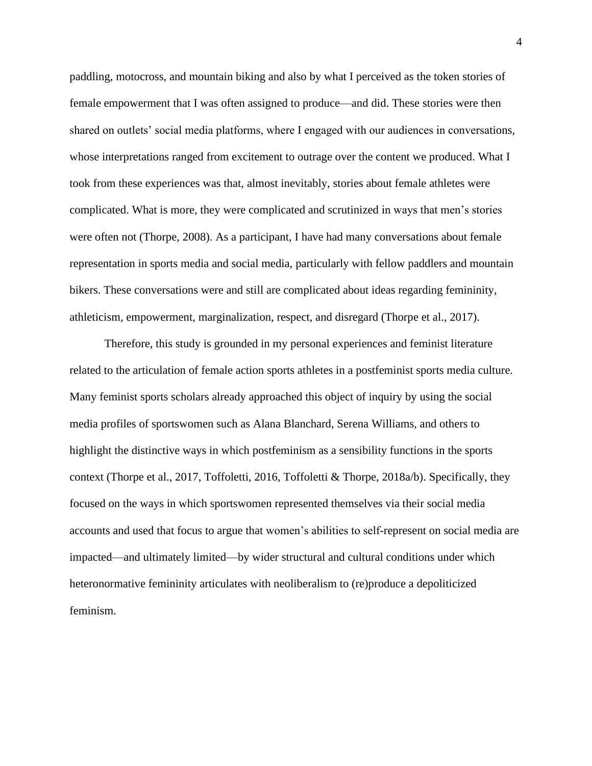paddling, motocross, and mountain biking and also by what I perceived as the token stories of female empowerment that I was often assigned to produce—and did. These stories were then shared on outlets' social media platforms, where I engaged with our audiences in conversations, whose interpretations ranged from excitement to outrage over the content we produced. What I took from these experiences was that, almost inevitably, stories about female athletes were complicated. What is more, they were complicated and scrutinized in ways that men's stories were often not (Thorpe, 2008). As a participant, I have had many conversations about female representation in sports media and social media, particularly with fellow paddlers and mountain bikers. These conversations were and still are complicated about ideas regarding femininity, athleticism, empowerment, marginalization, respect, and disregard (Thorpe et al., 2017).

Therefore, this study is grounded in my personal experiences and feminist literature related to the articulation of female action sports athletes in a postfeminist sports media culture. Many feminist sports scholars already approached this object of inquiry by using the social media profiles of sportswomen such as Alana Blanchard, Serena Williams, and others to highlight the distinctive ways in which postfeminism as a sensibility functions in the sports context (Thorpe et al., 2017, Toffoletti, 2016, Toffoletti & Thorpe, 2018a/b). Specifically, they focused on the ways in which sportswomen represented themselves via their social media accounts and used that focus to argue that women's abilities to self-represent on social media are impacted—and ultimately limited—by wider structural and cultural conditions under which heteronormative femininity articulates with neoliberalism to (re)produce a depoliticized feminism.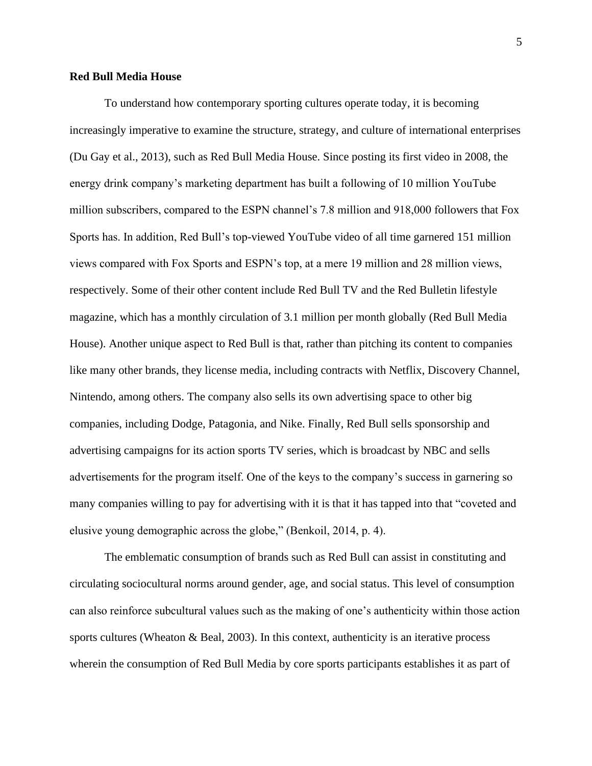# <span id="page-12-0"></span>**Red Bull Media House**

To understand how contemporary sporting cultures operate today, it is becoming increasingly imperative to examine the structure, strategy, and culture of international enterprises (Du Gay et al., 2013), such as Red Bull Media House. Since posting its first video in 2008, the energy drink company's marketing department has built a following of 10 million YouTube million subscribers, compared to the ESPN channel's 7.8 million and 918,000 followers that Fox Sports has. In addition, Red Bull's top-viewed YouTube video of all time garnered 151 million views compared with Fox Sports and ESPN's top, at a mere 19 million and 28 million views, respectively. Some of their other content include Red Bull TV and the Red Bulletin lifestyle magazine, which has a monthly circulation of 3.1 million per month globally (Red Bull Media House). Another unique aspect to Red Bull is that, rather than pitching its content to companies like many other brands, they license media, including contracts with Netflix, Discovery Channel, Nintendo, among others. The company also sells its own advertising space to other big companies, including Dodge, Patagonia, and Nike. Finally, Red Bull sells sponsorship and advertising campaigns for its action sports TV series, which is broadcast by NBC and sells advertisements for the program itself. One of the keys to the company's success in garnering so many companies willing to pay for advertising with it is that it has tapped into that "coveted and elusive young demographic across the globe," (Benkoil, 2014, p. 4).

The emblematic consumption of brands such as Red Bull can assist in constituting and circulating sociocultural norms around gender, age, and social status. This level of consumption can also reinforce subcultural values such as the making of one's authenticity within those action sports cultures (Wheaton & Beal, 2003). In this context, authenticity is an iterative process wherein the consumption of Red Bull Media by core sports participants establishes it as part of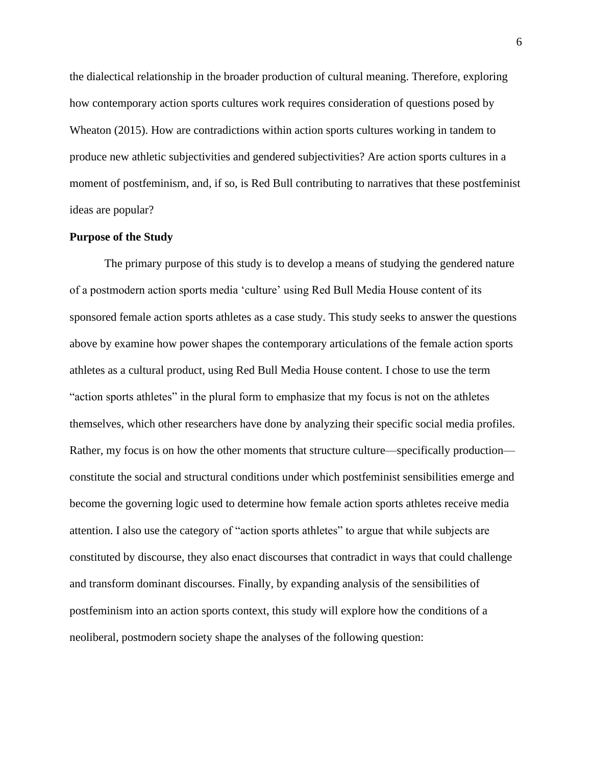the dialectical relationship in the broader production of cultural meaning. Therefore, exploring how contemporary action sports cultures work requires consideration of questions posed by Wheaton (2015). How are contradictions within action sports cultures working in tandem to produce new athletic subjectivities and gendered subjectivities? Are action sports cultures in a moment of postfeminism, and, if so, is Red Bull contributing to narratives that these postfeminist ideas are popular?

# <span id="page-13-0"></span>**Purpose of the Study**

The primary purpose of this study is to develop a means of studying the gendered nature of a postmodern action sports media 'culture' using Red Bull Media House content of its sponsored female action sports athletes as a case study. This study seeks to answer the questions above by examine how power shapes the contemporary articulations of the female action sports athletes as a cultural product, using Red Bull Media House content. I chose to use the term "action sports athletes" in the plural form to emphasize that my focus is not on the athletes themselves, which other researchers have done by analyzing their specific social media profiles. Rather, my focus is on how the other moments that structure culture—specifically production constitute the social and structural conditions under which postfeminist sensibilities emerge and become the governing logic used to determine how female action sports athletes receive media attention. I also use the category of "action sports athletes" to argue that while subjects are constituted by discourse, they also enact discourses that contradict in ways that could challenge and transform dominant discourses. Finally, by expanding analysis of the sensibilities of postfeminism into an action sports context, this study will explore how the conditions of a neoliberal, postmodern society shape the analyses of the following question: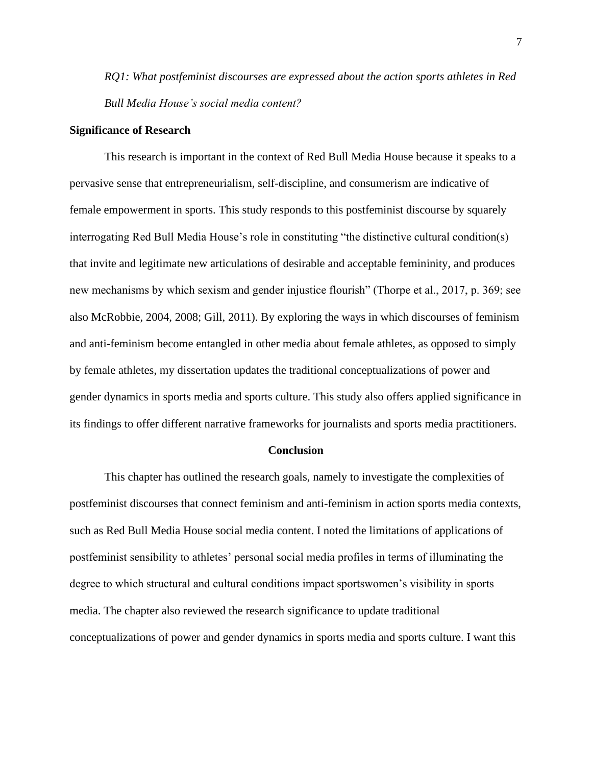*RQ1: What postfeminist discourses are expressed about the action sports athletes in Red Bull Media House's social media content?*

#### <span id="page-14-0"></span>**Significance of Research**

This research is important in the context of Red Bull Media House because it speaks to a pervasive sense that entrepreneurialism, self-discipline, and consumerism are indicative of female empowerment in sports. This study responds to this postfeminist discourse by squarely interrogating Red Bull Media House's role in constituting "the distinctive cultural condition(s) that invite and legitimate new articulations of desirable and acceptable femininity, and produces new mechanisms by which sexism and gender injustice flourish" (Thorpe et al., 2017, p. 369; see also McRobbie, 2004, 2008; Gill, 2011). By exploring the ways in which discourses of feminism and anti-feminism become entangled in other media about female athletes, as opposed to simply by female athletes, my dissertation updates the traditional conceptualizations of power and gender dynamics in sports media and sports culture. This study also offers applied significance in its findings to offer different narrative frameworks for journalists and sports media practitioners.

#### **Conclusion**

<span id="page-14-1"></span>This chapter has outlined the research goals, namely to investigate the complexities of postfeminist discourses that connect feminism and anti-feminism in action sports media contexts, such as Red Bull Media House social media content. I noted the limitations of applications of postfeminist sensibility to athletes' personal social media profiles in terms of illuminating the degree to which structural and cultural conditions impact sportswomen's visibility in sports media. The chapter also reviewed the research significance to update traditional conceptualizations of power and gender dynamics in sports media and sports culture. I want this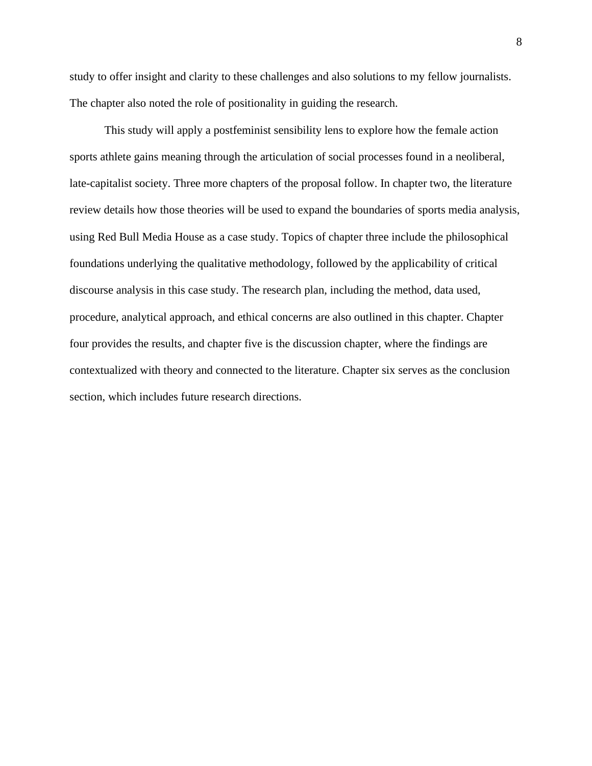study to offer insight and clarity to these challenges and also solutions to my fellow journalists. The chapter also noted the role of positionality in guiding the research.

This study will apply a postfeminist sensibility lens to explore how the female action sports athlete gains meaning through the articulation of social processes found in a neoliberal, late-capitalist society. Three more chapters of the proposal follow. In chapter two, the literature review details how those theories will be used to expand the boundaries of sports media analysis, using Red Bull Media House as a case study. Topics of chapter three include the philosophical foundations underlying the qualitative methodology, followed by the applicability of critical discourse analysis in this case study. The research plan, including the method, data used, procedure, analytical approach, and ethical concerns are also outlined in this chapter. Chapter four provides the results, and chapter five is the discussion chapter, where the findings are contextualized with theory and connected to the literature. Chapter six serves as the conclusion section, which includes future research directions.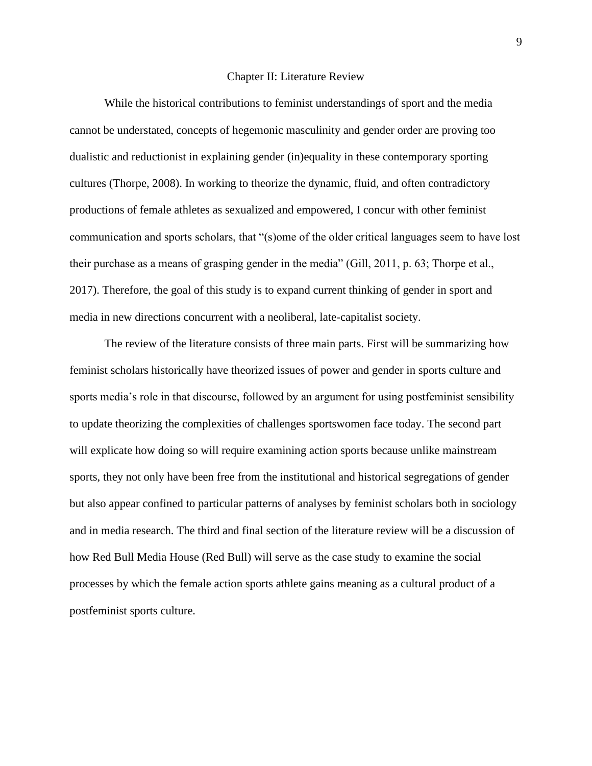#### Chapter II: Literature Review

<span id="page-16-0"></span>While the historical contributions to feminist understandings of sport and the media cannot be understated, concepts of hegemonic masculinity and gender order are proving too dualistic and reductionist in explaining gender (in)equality in these contemporary sporting cultures (Thorpe, 2008). In working to theorize the dynamic, fluid, and often contradictory productions of female athletes as sexualized and empowered, I concur with other feminist communication and sports scholars, that "(s)ome of the older critical languages seem to have lost their purchase as a means of grasping gender in the media" (Gill, 2011, p. 63; Thorpe et al., 2017). Therefore, the goal of this study is to expand current thinking of gender in sport and media in new directions concurrent with a neoliberal, late-capitalist society.

The review of the literature consists of three main parts. First will be summarizing how feminist scholars historically have theorized issues of power and gender in sports culture and sports media's role in that discourse, followed by an argument for using postfeminist sensibility to update theorizing the complexities of challenges sportswomen face today. The second part will explicate how doing so will require examining action sports because unlike mainstream sports, they not only have been free from the institutional and historical segregations of gender but also appear confined to particular patterns of analyses by feminist scholars both in sociology and in media research. The third and final section of the literature review will be a discussion of how Red Bull Media House (Red Bull) will serve as the case study to examine the social processes by which the female action sports athlete gains meaning as a cultural product of a postfeminist sports culture.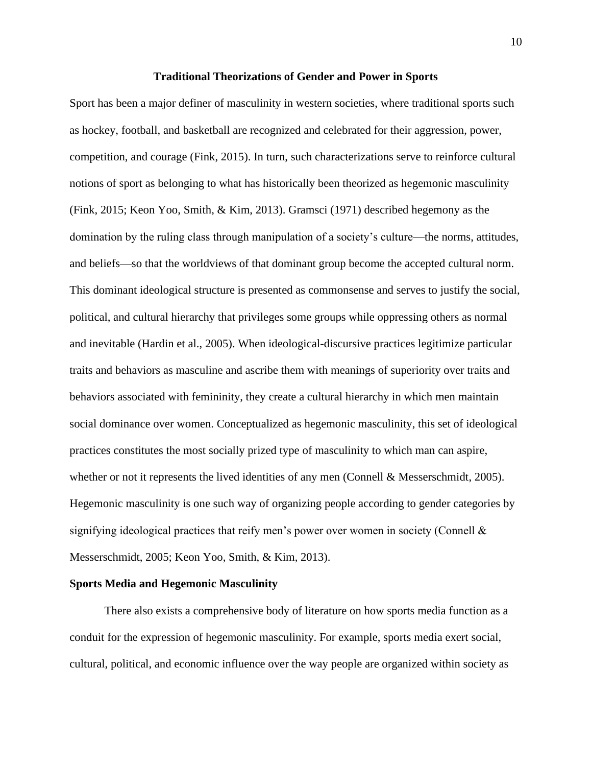#### **Traditional Theorizations of Gender and Power in Sports**

<span id="page-17-0"></span>Sport has been a major definer of masculinity in western societies, where traditional sports such as hockey, football, and basketball are recognized and celebrated for their aggression, power, competition, and courage (Fink, 2015). In turn, such characterizations serve to reinforce cultural notions of sport as belonging to what has historically been theorized as hegemonic masculinity (Fink, 2015; Keon Yoo, Smith, & Kim, 2013). Gramsci (1971) described hegemony as the domination by the ruling class through manipulation of a society's culture—the norms, attitudes, and beliefs—so that the worldviews of that dominant group become the accepted cultural norm. This dominant ideological structure is presented as commonsense and serves to justify the social, political, and cultural hierarchy that privileges some groups while oppressing others as normal and inevitable (Hardin et al., 2005). When ideological-discursive practices legitimize particular traits and behaviors as masculine and ascribe them with meanings of superiority over traits and behaviors associated with femininity, they create a cultural hierarchy in which men maintain social dominance over women. Conceptualized as hegemonic masculinity, this set of ideological practices constitutes the most socially prized type of masculinity to which man can aspire, whether or not it represents the lived identities of any men (Connell & Messerschmidt, 2005). Hegemonic masculinity is one such way of organizing people according to gender categories by signifying ideological practices that reify men's power over women in society (Connell  $\&$ Messerschmidt, 2005; Keon Yoo, Smith, & Kim, 2013).

#### <span id="page-17-1"></span>**Sports Media and Hegemonic Masculinity**

There also exists a comprehensive body of literature on how sports media function as a conduit for the expression of hegemonic masculinity. For example, sports media exert social, cultural, political, and economic influence over the way people are organized within society as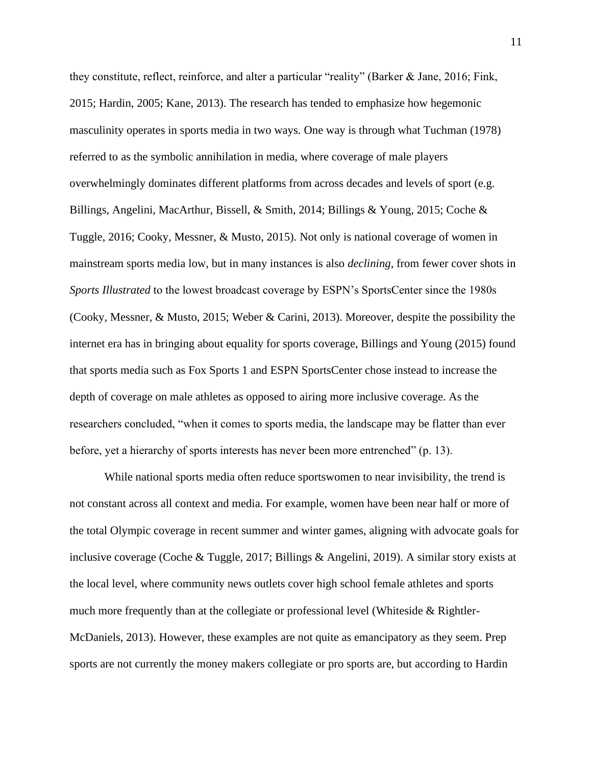they constitute, reflect, reinforce, and alter a particular "reality" (Barker & Jane, 2016; Fink, 2015; Hardin, 2005; Kane, 2013). The research has tended to emphasize how hegemonic masculinity operates in sports media in two ways. One way is through what Tuchman (1978) referred to as the symbolic annihilation in media, where coverage of male players overwhelmingly dominates different platforms from across decades and levels of sport (e.g. Billings, Angelini, MacArthur, Bissell, & Smith, 2014; Billings & Young, 2015; Coche & Tuggle, 2016; Cooky, Messner, & Musto, 2015). Not only is national coverage of women in mainstream sports media low, but in many instances is also *declining*, from fewer cover shots in *Sports Illustrated* to the lowest broadcast coverage by ESPN's SportsCenter since the 1980s (Cooky, Messner, & Musto, 2015; Weber & Carini, 2013). Moreover, despite the possibility the internet era has in bringing about equality for sports coverage, Billings and Young (2015) found that sports media such as Fox Sports 1 and ESPN SportsCenter chose instead to increase the depth of coverage on male athletes as opposed to airing more inclusive coverage. As the researchers concluded, "when it comes to sports media, the landscape may be flatter than ever before, yet a hierarchy of sports interests has never been more entrenched" (p. 13).

While national sports media often reduce sportswomen to near invisibility, the trend is not constant across all context and media. For example, women have been near half or more of the total Olympic coverage in recent summer and winter games, aligning with advocate goals for inclusive coverage (Coche & Tuggle, 2017; Billings & Angelini, 2019). A similar story exists at the local level, where community news outlets cover high school female athletes and sports much more frequently than at the collegiate or professional level (Whiteside & Rightler-McDaniels, 2013). However, these examples are not quite as emancipatory as they seem. Prep sports are not currently the money makers collegiate or pro sports are, but according to Hardin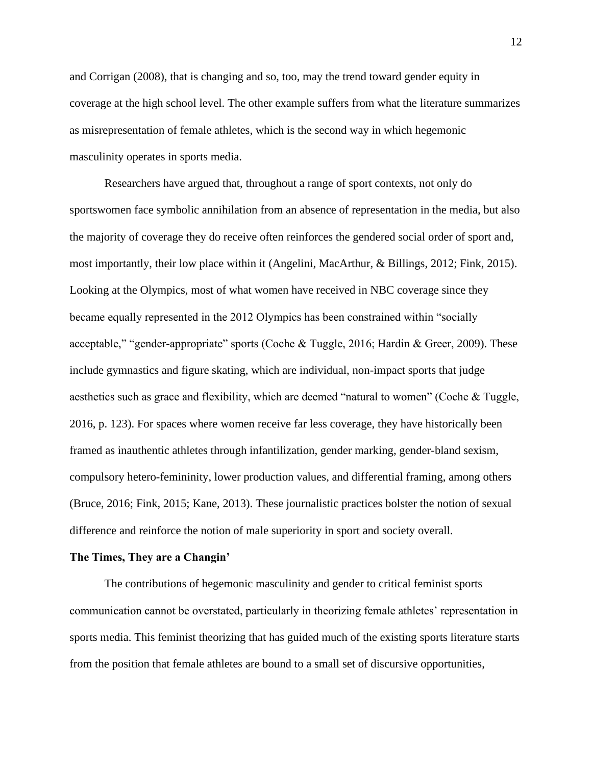and Corrigan (2008), that is changing and so, too, may the trend toward gender equity in coverage at the high school level. The other example suffers from what the literature summarizes as misrepresentation of female athletes, which is the second way in which hegemonic masculinity operates in sports media.

Researchers have argued that, throughout a range of sport contexts, not only do sportswomen face symbolic annihilation from an absence of representation in the media, but also the majority of coverage they do receive often reinforces the gendered social order of sport and, most importantly, their low place within it (Angelini, MacArthur, & Billings, 2012; Fink, 2015). Looking at the Olympics, most of what women have received in NBC coverage since they became equally represented in the 2012 Olympics has been constrained within "socially acceptable," "gender-appropriate" sports (Coche & Tuggle, 2016; Hardin & Greer, 2009). These include gymnastics and figure skating, which are individual, non-impact sports that judge aesthetics such as grace and flexibility, which are deemed "natural to women" (Coche & Tuggle, 2016, p. 123). For spaces where women receive far less coverage, they have historically been framed as inauthentic athletes through infantilization, gender marking, gender-bland sexism, compulsory hetero-femininity, lower production values, and differential framing, among others (Bruce, 2016; Fink, 2015; Kane, 2013). These journalistic practices bolster the notion of sexual difference and reinforce the notion of male superiority in sport and society overall.

#### <span id="page-19-0"></span>**The Times, They are a Changin'**

The contributions of hegemonic masculinity and gender to critical feminist sports communication cannot be overstated, particularly in theorizing female athletes' representation in sports media. This feminist theorizing that has guided much of the existing sports literature starts from the position that female athletes are bound to a small set of discursive opportunities,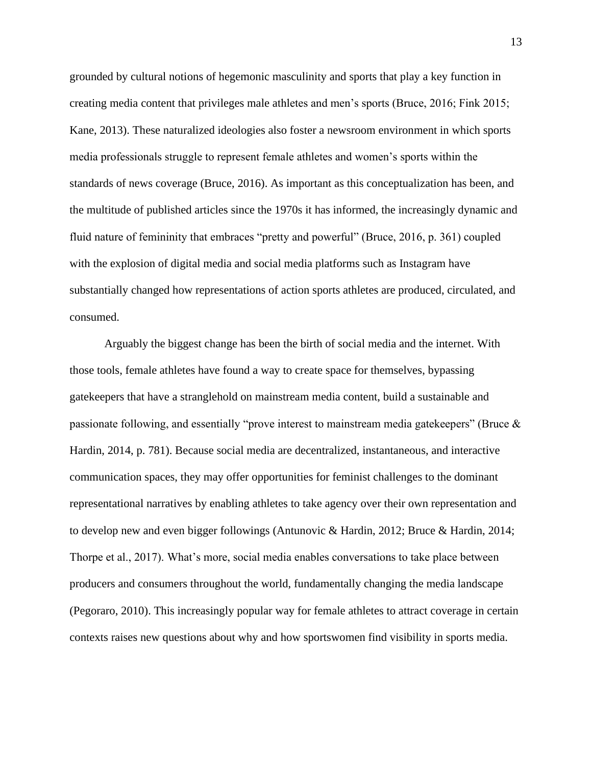grounded by cultural notions of hegemonic masculinity and sports that play a key function in creating media content that privileges male athletes and men's sports (Bruce, 2016; Fink 2015; Kane, 2013). These naturalized ideologies also foster a newsroom environment in which sports media professionals struggle to represent female athletes and women's sports within the standards of news coverage (Bruce, 2016). As important as this conceptualization has been, and the multitude of published articles since the 1970s it has informed, the increasingly dynamic and fluid nature of femininity that embraces "pretty and powerful" (Bruce, 2016, p. 361) coupled with the explosion of digital media and social media platforms such as Instagram have substantially changed how representations of action sports athletes are produced, circulated, and consumed.

Arguably the biggest change has been the birth of social media and the internet. With those tools, female athletes have found a way to create space for themselves, bypassing gatekeepers that have a stranglehold on mainstream media content, build a sustainable and passionate following, and essentially "prove interest to mainstream media gatekeepers" (Bruce & Hardin, 2014, p. 781). Because social media are decentralized, instantaneous, and interactive communication spaces, they may offer opportunities for feminist challenges to the dominant representational narratives by enabling athletes to take agency over their own representation and to develop new and even bigger followings (Antunovic & Hardin, 2012; Bruce & Hardin, 2014; Thorpe et al., 2017). What's more, social media enables conversations to take place between producers and consumers throughout the world, fundamentally changing the media landscape (Pegoraro, 2010). This increasingly popular way for female athletes to attract coverage in certain contexts raises new questions about why and how sportswomen find visibility in sports media.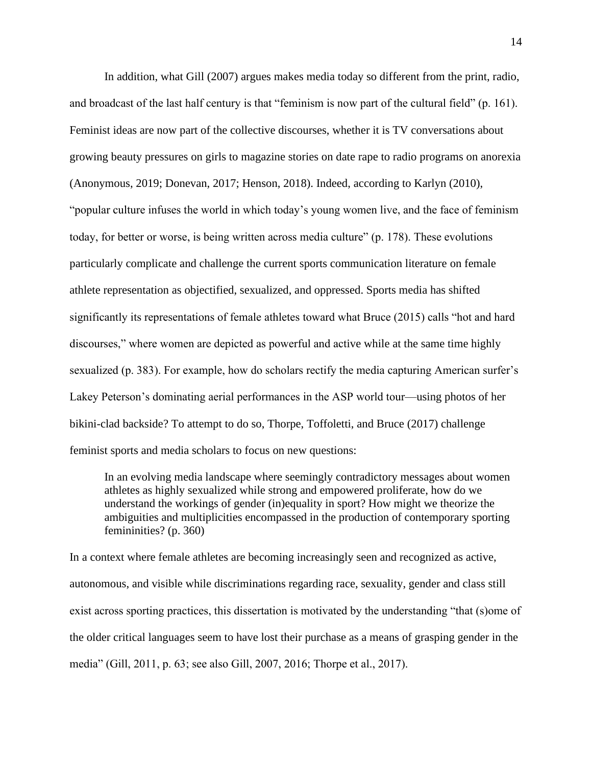In addition, what Gill (2007) argues makes media today so different from the print, radio, and broadcast of the last half century is that "feminism is now part of the cultural field" (p. 161). Feminist ideas are now part of the collective discourses, whether it is TV conversations about growing beauty pressures on girls to magazine stories on date rape to radio programs on anorexia (Anonymous, 2019; Donevan, 2017; Henson, 2018). Indeed, according to Karlyn (2010), "popular culture infuses the world in which today's young women live, and the face of feminism today, for better or worse, is being written across media culture" (p. 178). These evolutions particularly complicate and challenge the current sports communication literature on female athlete representation as objectified, sexualized, and oppressed. Sports media has shifted significantly its representations of female athletes toward what Bruce (2015) calls "hot and hard discourses," where women are depicted as powerful and active while at the same time highly sexualized (p. 383). For example, how do scholars rectify the media capturing American surfer's Lakey Peterson's dominating aerial performances in the ASP world tour—using photos of her bikini-clad backside? To attempt to do so, Thorpe, Toffoletti, and Bruce (2017) challenge feminist sports and media scholars to focus on new questions:

In an evolving media landscape where seemingly contradictory messages about women athletes as highly sexualized while strong and empowered proliferate, how do we understand the workings of gender (in)equality in sport? How might we theorize the ambiguities and multiplicities encompassed in the production of contemporary sporting femininities? (p. 360)

In a context where female athletes are becoming increasingly seen and recognized as active, autonomous, and visible while discriminations regarding race, sexuality, gender and class still exist across sporting practices, this dissertation is motivated by the understanding "that (s)ome of the older critical languages seem to have lost their purchase as a means of grasping gender in the media" (Gill, 2011, p. 63; see also Gill, 2007, 2016; Thorpe et al., 2017).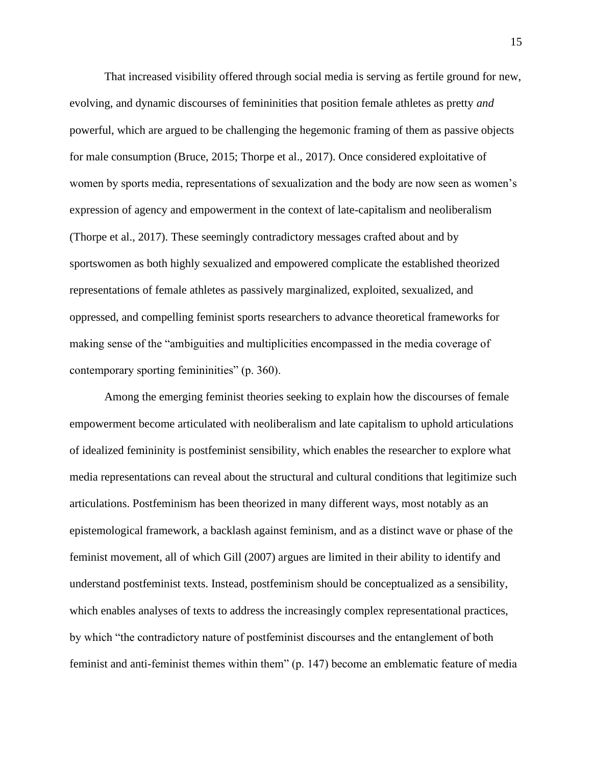That increased visibility offered through social media is serving as fertile ground for new, evolving, and dynamic discourses of femininities that position female athletes as pretty *and*  powerful, which are argued to be challenging the hegemonic framing of them as passive objects for male consumption (Bruce, 2015; Thorpe et al., 2017). Once considered exploitative of women by sports media, representations of sexualization and the body are now seen as women's expression of agency and empowerment in the context of late-capitalism and neoliberalism (Thorpe et al., 2017). These seemingly contradictory messages crafted about and by sportswomen as both highly sexualized and empowered complicate the established theorized representations of female athletes as passively marginalized, exploited, sexualized, and oppressed, and compelling feminist sports researchers to advance theoretical frameworks for making sense of the "ambiguities and multiplicities encompassed in the media coverage of contemporary sporting femininities" (p. 360).

Among the emerging feminist theories seeking to explain how the discourses of female empowerment become articulated with neoliberalism and late capitalism to uphold articulations of idealized femininity is postfeminist sensibility, which enables the researcher to explore what media representations can reveal about the structural and cultural conditions that legitimize such articulations. Postfeminism has been theorized in many different ways, most notably as an epistemological framework, a backlash against feminism, and as a distinct wave or phase of the feminist movement, all of which Gill (2007) argues are limited in their ability to identify and understand postfeminist texts. Instead, postfeminism should be conceptualized as a sensibility, which enables analyses of texts to address the increasingly complex representational practices, by which "the contradictory nature of postfeminist discourses and the entanglement of both feminist and anti-feminist themes within them" (p. 147) become an emblematic feature of media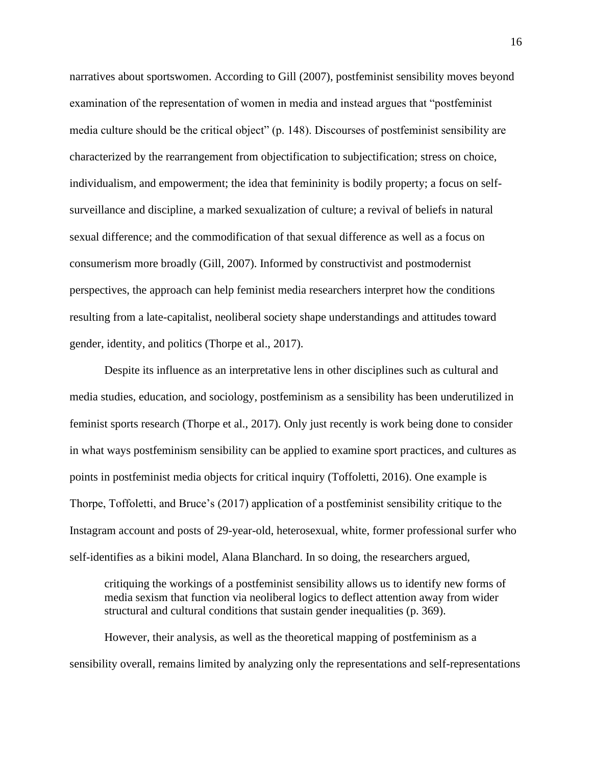narratives about sportswomen. According to Gill (2007), postfeminist sensibility moves beyond examination of the representation of women in media and instead argues that "postfeminist media culture should be the critical object" (p. 148). Discourses of postfeminist sensibility are characterized by the rearrangement from objectification to subjectification; stress on choice, individualism, and empowerment; the idea that femininity is bodily property; a focus on selfsurveillance and discipline, a marked sexualization of culture; a revival of beliefs in natural sexual difference; and the commodification of that sexual difference as well as a focus on consumerism more broadly (Gill, 2007). Informed by constructivist and postmodernist perspectives, the approach can help feminist media researchers interpret how the conditions resulting from a late-capitalist, neoliberal society shape understandings and attitudes toward gender, identity, and politics (Thorpe et al., 2017).

Despite its influence as an interpretative lens in other disciplines such as cultural and media studies, education, and sociology, postfeminism as a sensibility has been underutilized in feminist sports research (Thorpe et al., 2017). Only just recently is work being done to consider in what ways postfeminism sensibility can be applied to examine sport practices, and cultures as points in postfeminist media objects for critical inquiry (Toffoletti, 2016). One example is Thorpe, Toffoletti, and Bruce's (2017) application of a postfeminist sensibility critique to the Instagram account and posts of 29-year-old, heterosexual, white, former professional surfer who self-identifies as a bikini model, Alana Blanchard. In so doing, the researchers argued,

critiquing the workings of a postfeminist sensibility allows us to identify new forms of media sexism that function via neoliberal logics to deflect attention away from wider structural and cultural conditions that sustain gender inequalities (p. 369).

However, their analysis, as well as the theoretical mapping of postfeminism as a sensibility overall, remains limited by analyzing only the representations and self-representations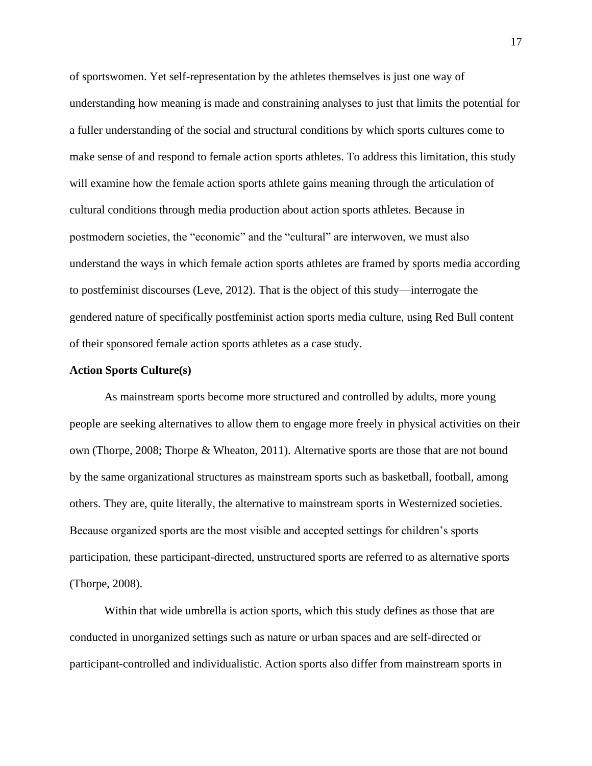of sportswomen. Yet self-representation by the athletes themselves is just one way of understanding how meaning is made and constraining analyses to just that limits the potential for a fuller understanding of the social and structural conditions by which sports cultures come to make sense of and respond to female action sports athletes. To address this limitation, this study will examine how the female action sports athlete gains meaning through the articulation of cultural conditions through media production about action sports athletes. Because in postmodern societies, the "economic" and the "cultural" are interwoven, we must also understand the ways in which female action sports athletes are framed by sports media according to postfeminist discourses (Leve, 2012). That is the object of this study—interrogate the gendered nature of specifically postfeminist action sports media culture, using Red Bull content of their sponsored female action sports athletes as a case study.

# <span id="page-24-0"></span>**Action Sports Culture(s)**

As mainstream sports become more structured and controlled by adults, more young people are seeking alternatives to allow them to engage more freely in physical activities on their own (Thorpe, 2008; Thorpe & Wheaton, 2011). Alternative sports are those that are not bound by the same organizational structures as mainstream sports such as basketball, football, among others. They are, quite literally, the alternative to mainstream sports in Westernized societies. Because organized sports are the most visible and accepted settings for children's sports participation, these participant-directed, unstructured sports are referred to as alternative sports (Thorpe, 2008).

Within that wide umbrella is action sports, which this study defines as those that are conducted in unorganized settings such as nature or urban spaces and are self-directed or participant-controlled and individualistic. Action sports also differ from mainstream sports in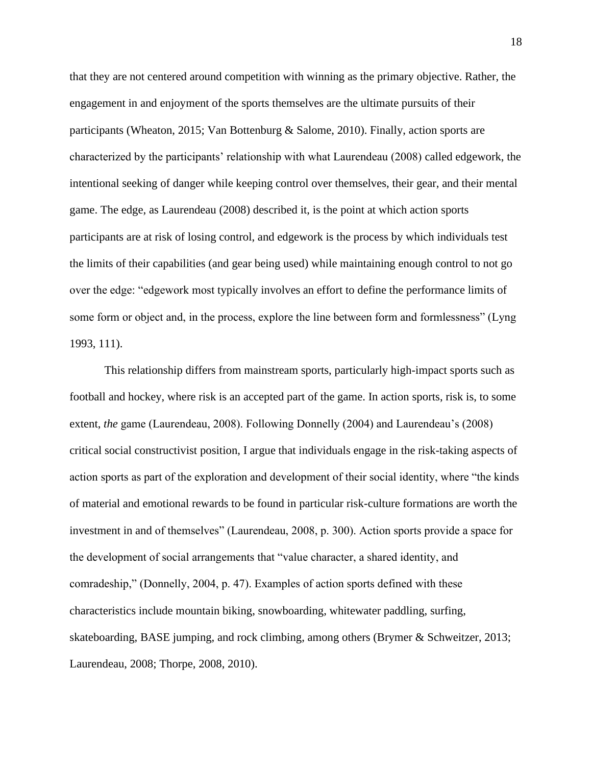that they are not centered around competition with winning as the primary objective. Rather, the engagement in and enjoyment of the sports themselves are the ultimate pursuits of their participants (Wheaton, 2015; Van Bottenburg & Salome, 2010). Finally, action sports are characterized by the participants' relationship with what Laurendeau (2008) called edgework, the intentional seeking of danger while keeping control over themselves, their gear, and their mental game. The edge, as Laurendeau (2008) described it, is the point at which action sports participants are at risk of losing control, and edgework is the process by which individuals test the limits of their capabilities (and gear being used) while maintaining enough control to not go over the edge: "edgework most typically involves an effort to define the performance limits of some form or object and, in the process, explore the line between form and formlessness" (Lyng 1993, 111).

This relationship differs from mainstream sports, particularly high-impact sports such as football and hockey, where risk is an accepted part of the game. In action sports, risk is, to some extent, *the* game (Laurendeau, 2008). Following Donnelly (2004) and Laurendeau's (2008) critical social constructivist position, I argue that individuals engage in the risk-taking aspects of action sports as part of the exploration and development of their social identity, where "the kinds of material and emotional rewards to be found in particular risk-culture formations are worth the investment in and of themselves" (Laurendeau, 2008, p. 300). Action sports provide a space for the development of social arrangements that "value character, a shared identity, and comradeship," (Donnelly, 2004, p. 47). Examples of action sports defined with these characteristics include mountain biking, snowboarding, whitewater paddling, surfing, skateboarding, BASE jumping, and rock climbing, among others (Brymer & Schweitzer, 2013; Laurendeau, 2008; Thorpe, 2008, 2010).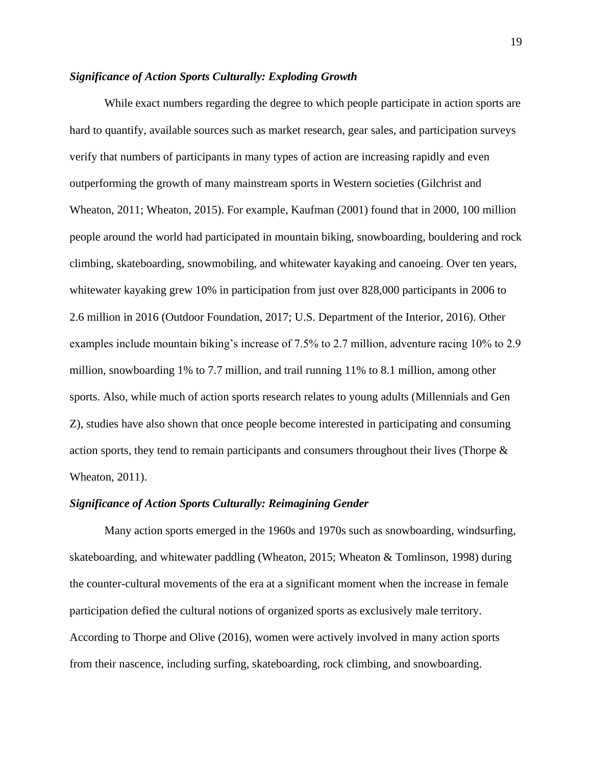# <span id="page-26-0"></span>*Significance of Action Sports Culturally: Exploding Growth*

While exact numbers regarding the degree to which people participate in action sports are hard to quantify, available sources such as market research, gear sales, and participation surveys verify that numbers of participants in many types of action are increasing rapidly and even outperforming the growth of many mainstream sports in Western societies (Gilchrist and Wheaton, 2011; Wheaton, 2015). For example, Kaufman (2001) found that in 2000, 100 million people around the world had participated in mountain biking, snowboarding, bouldering and rock climbing, skateboarding, snowmobiling, and whitewater kayaking and canoeing. Over ten years, whitewater kayaking grew 10% in participation from just over 828,000 participants in 2006 to 2.6 million in 2016 (Outdoor Foundation, 2017; U.S. Department of the Interior, 2016). Other examples include mountain biking's increase of 7.5% to 2.7 million, adventure racing 10% to 2.9 million, snowboarding 1% to 7.7 million, and trail running 11% to 8.1 million, among other sports. Also, while much of action sports research relates to young adults (Millennials and Gen Z), studies have also shown that once people become interested in participating and consuming action sports, they tend to remain participants and consumers throughout their lives (Thorpe & Wheaton, 2011).

#### <span id="page-26-1"></span>*Significance of Action Sports Culturally: Reimagining Gender*

Many action sports emerged in the 1960s and 1970s such as snowboarding, windsurfing, skateboarding, and whitewater paddling (Wheaton, 2015; Wheaton & Tomlinson, 1998) during the counter-cultural movements of the era at a significant moment when the increase in female participation defied the cultural notions of organized sports as exclusively male territory. According to Thorpe and Olive (2016), women were actively involved in many action sports from their nascence, including surfing, skateboarding, rock climbing, and snowboarding.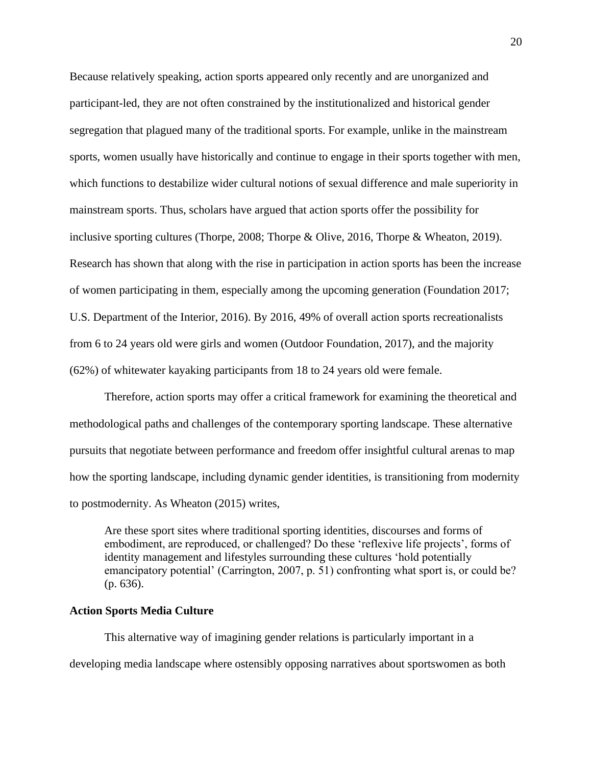Because relatively speaking, action sports appeared only recently and are unorganized and participant-led, they are not often constrained by the institutionalized and historical gender segregation that plagued many of the traditional sports. For example, unlike in the mainstream sports, women usually have historically and continue to engage in their sports together with men, which functions to destabilize wider cultural notions of sexual difference and male superiority in mainstream sports. Thus, scholars have argued that action sports offer the possibility for inclusive sporting cultures (Thorpe, 2008; Thorpe & Olive, 2016, Thorpe & Wheaton, 2019). Research has shown that along with the rise in participation in action sports has been the increase of women participating in them, especially among the upcoming generation (Foundation 2017; U.S. Department of the Interior, 2016). By 2016, 49% of overall action sports recreationalists from 6 to 24 years old were girls and women (Outdoor Foundation, 2017), and the majority (62%) of whitewater kayaking participants from 18 to 24 years old were female.

Therefore, action sports may offer a critical framework for examining the theoretical and methodological paths and challenges of the contemporary sporting landscape. These alternative pursuits that negotiate between performance and freedom offer insightful cultural arenas to map how the sporting landscape, including dynamic gender identities, is transitioning from modernity to postmodernity. As Wheaton (2015) writes,

Are these sport sites where traditional sporting identities, discourses and forms of embodiment, are reproduced, or challenged? Do these 'reflexive life projects', forms of identity management and lifestyles surrounding these cultures 'hold potentially emancipatory potential' (Carrington, 2007, p. 51) confronting what sport is, or could be? (p. 636).

#### <span id="page-27-0"></span>**Action Sports Media Culture**

This alternative way of imagining gender relations is particularly important in a developing media landscape where ostensibly opposing narratives about sportswomen as both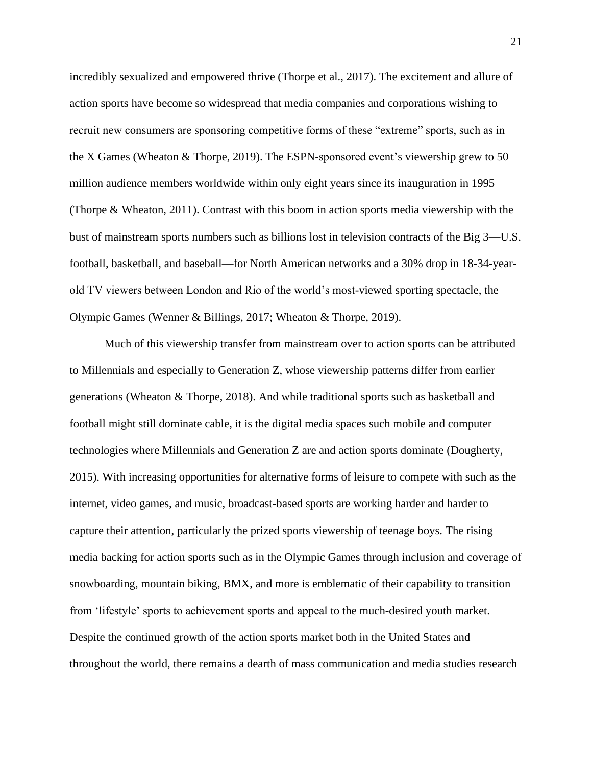incredibly sexualized and empowered thrive (Thorpe et al., 2017). The excitement and allure of action sports have become so widespread that media companies and corporations wishing to recruit new consumers are sponsoring competitive forms of these "extreme" sports, such as in the X Games (Wheaton & Thorpe, 2019). The ESPN-sponsored event's viewership grew to 50 million audience members worldwide within only eight years since its inauguration in 1995 (Thorpe & Wheaton, 2011). Contrast with this boom in action sports media viewership with the bust of mainstream sports numbers such as billions lost in television contracts of the Big 3—U.S. football, basketball, and baseball—for North American networks and a 30% drop in 18-34-yearold TV viewers between London and Rio of the world's most-viewed sporting spectacle, the Olympic Games (Wenner & Billings, 2017; Wheaton & Thorpe, 2019).

Much of this viewership transfer from mainstream over to action sports can be attributed to Millennials and especially to Generation Z, whose viewership patterns differ from earlier generations (Wheaton & Thorpe, 2018). And while traditional sports such as basketball and football might still dominate cable, it is the digital media spaces such mobile and computer technologies where Millennials and Generation Z are and action sports dominate (Dougherty, 2015). With increasing opportunities for alternative forms of leisure to compete with such as the internet, video games, and music, broadcast-based sports are working harder and harder to capture their attention, particularly the prized sports viewership of teenage boys. The rising media backing for action sports such as in the Olympic Games through inclusion and coverage of snowboarding, mountain biking, BMX, and more is emblematic of their capability to transition from 'lifestyle' sports to achievement sports and appeal to the much-desired youth market. Despite the continued growth of the action sports market both in the United States and throughout the world, there remains a dearth of mass communication and media studies research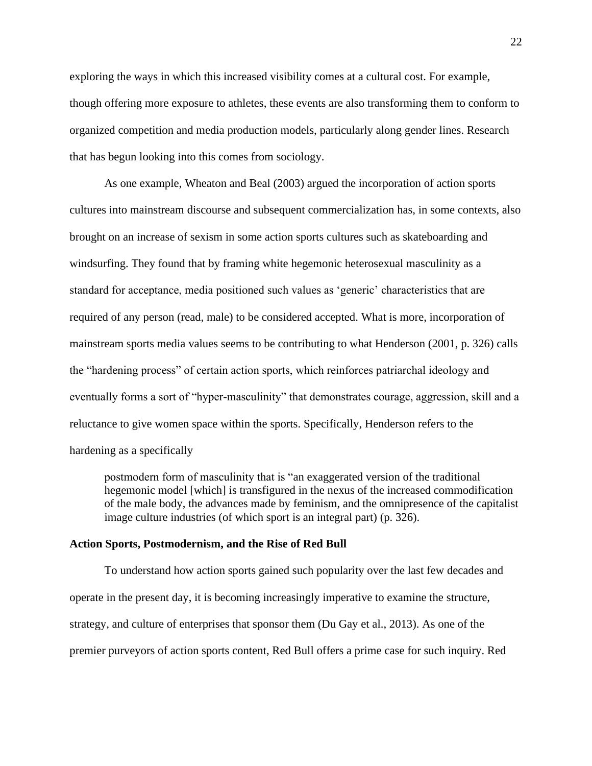exploring the ways in which this increased visibility comes at a cultural cost. For example, though offering more exposure to athletes, these events are also transforming them to conform to organized competition and media production models, particularly along gender lines. Research that has begun looking into this comes from sociology.

As one example, Wheaton and Beal (2003) argued the incorporation of action sports cultures into mainstream discourse and subsequent commercialization has, in some contexts, also brought on an increase of sexism in some action sports cultures such as skateboarding and windsurfing. They found that by framing white hegemonic heterosexual masculinity as a standard for acceptance, media positioned such values as 'generic' characteristics that are required of any person (read, male) to be considered accepted. What is more, incorporation of mainstream sports media values seems to be contributing to what Henderson (2001, p. 326) calls the "hardening process" of certain action sports, which reinforces patriarchal ideology and eventually forms a sort of "hyper-masculinity" that demonstrates courage, aggression, skill and a reluctance to give women space within the sports. Specifically, Henderson refers to the hardening as a specifically

postmodern form of masculinity that is "an exaggerated version of the traditional hegemonic model [which] is transfigured in the nexus of the increased commodification of the male body, the advances made by feminism, and the omnipresence of the capitalist image culture industries (of which sport is an integral part) (p. 326).

#### <span id="page-29-0"></span>**Action Sports, Postmodernism, and the Rise of Red Bull**

To understand how action sports gained such popularity over the last few decades and operate in the present day, it is becoming increasingly imperative to examine the structure, strategy, and culture of enterprises that sponsor them (Du Gay et al., 2013). As one of the premier purveyors of action sports content, Red Bull offers a prime case for such inquiry. Red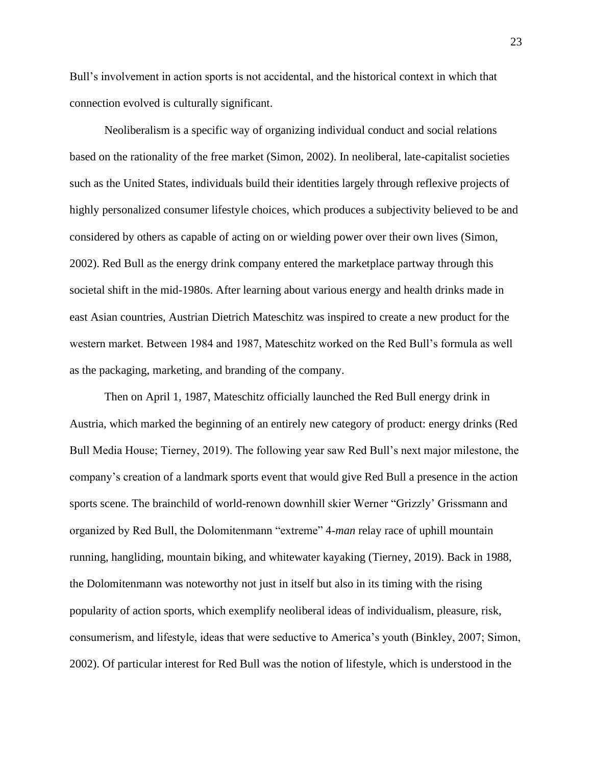Bull's involvement in action sports is not accidental, and the historical context in which that connection evolved is culturally significant.

Neoliberalism is a specific way of organizing individual conduct and social relations based on the rationality of the free market (Simon, 2002). In neoliberal, late-capitalist societies such as the United States, individuals build their identities largely through reflexive projects of highly personalized consumer lifestyle choices, which produces a subjectivity believed to be and considered by others as capable of acting on or wielding power over their own lives (Simon, 2002). Red Bull as the energy drink company entered the marketplace partway through this societal shift in the mid-1980s. After learning about various energy and health drinks made in east Asian countries, Austrian Dietrich Mateschitz was inspired to create a new product for the western market. Between 1984 and 1987, Mateschitz worked on the Red Bull's formula as well as the packaging, marketing, and branding of the company.

Then on April 1, 1987, Mateschitz officially launched the Red Bull energy drink in Austria, which marked the beginning of an entirely new category of product: energy drinks (Red Bull Media House; Tierney, 2019). The following year saw Red Bull's next major milestone, the company's creation of a landmark sports event that would give Red Bull a presence in the action sports scene. The brainchild of world-renown downhill skier Werner "Grizzly' Grissmann and organized by Red Bull, the Dolomitenmann "extreme" 4-*man* relay race of uphill mountain running, hangliding, mountain biking, and whitewater kayaking (Tierney, 2019). Back in 1988, the Dolomitenmann was noteworthy not just in itself but also in its timing with the rising popularity of action sports, which exemplify neoliberal ideas of individualism, pleasure, risk, consumerism, and lifestyle, ideas that were seductive to America's youth (Binkley, 2007; Simon, 2002). Of particular interest for Red Bull was the notion of lifestyle, which is understood in the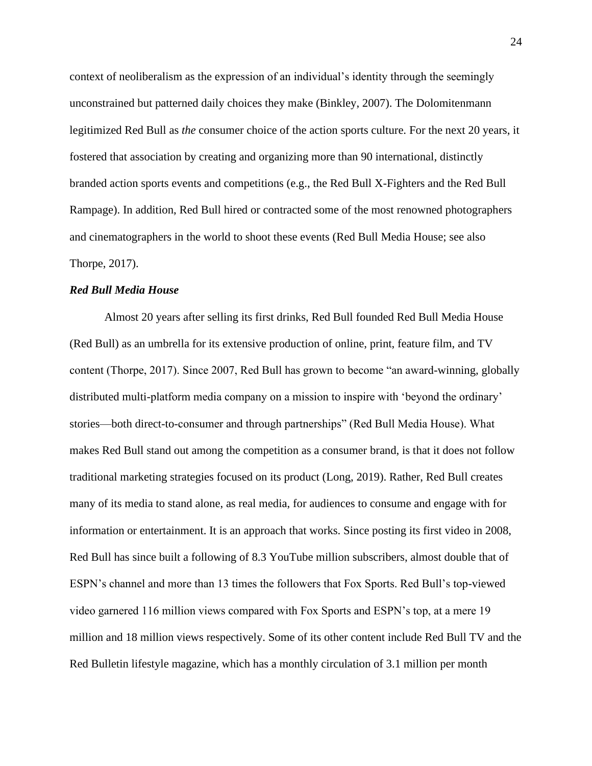context of neoliberalism as the expression of an individual's identity through the seemingly unconstrained but patterned daily choices they make (Binkley, 2007). The Dolomitenmann legitimized Red Bull as *the* consumer choice of the action sports culture. For the next 20 years, it fostered that association by creating and organizing more than 90 international, distinctly branded action sports events and competitions (e.g., the Red Bull X-Fighters and the Red Bull Rampage). In addition, Red Bull hired or contracted some of the most renowned photographers and cinematographers in the world to shoot these events (Red Bull Media House; see also Thorpe, 2017).

# <span id="page-31-0"></span>*Red Bull Media House*

Almost 20 years after selling its first drinks, Red Bull founded Red Bull Media House (Red Bull) as an umbrella for its extensive production of online, print, feature film, and TV content (Thorpe, 2017). Since 2007, Red Bull has grown to become "an award-winning, globally distributed multi-platform media company on a mission to inspire with 'beyond the ordinary' stories—both direct-to-consumer and through partnerships" (Red Bull Media House). What makes Red Bull stand out among the competition as a consumer brand, is that it does not follow traditional marketing strategies focused on its product (Long, 2019). Rather, Red Bull creates many of its media to stand alone, as real media, for audiences to consume and engage with for information or entertainment. It is an approach that works. Since posting its first video in 2008, Red Bull has since built a following of 8.3 YouTube million subscribers, almost double that of ESPN's channel and more than 13 times the followers that Fox Sports. Red Bull's top-viewed video garnered 116 million views compared with Fox Sports and ESPN's top, at a mere 19 million and 18 million views respectively. Some of its other content include Red Bull TV and the Red Bulletin lifestyle magazine, which has a monthly circulation of 3.1 million per month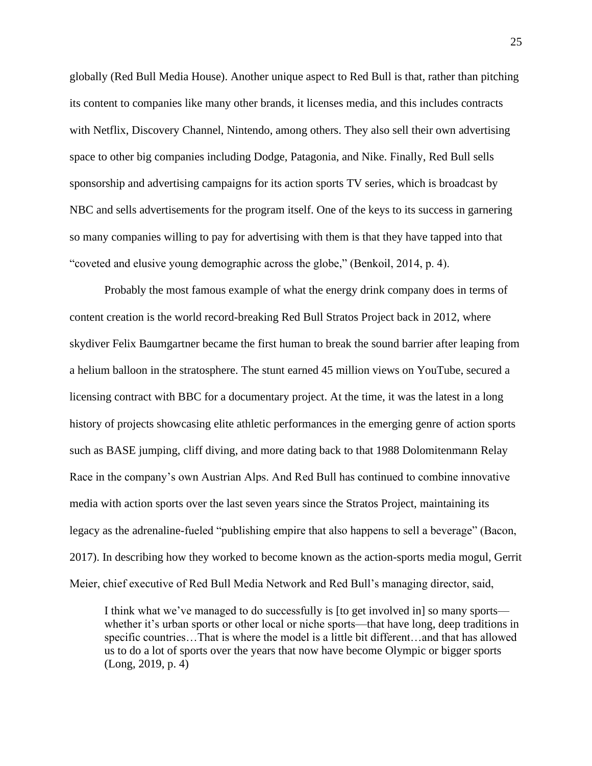globally (Red Bull Media House). Another unique aspect to Red Bull is that, rather than pitching its content to companies like many other brands, it licenses media, and this includes contracts with Netflix, Discovery Channel, Nintendo, among others. They also sell their own advertising space to other big companies including Dodge, Patagonia, and Nike. Finally, Red Bull sells sponsorship and advertising campaigns for its action sports TV series, which is broadcast by NBC and sells advertisements for the program itself. One of the keys to its success in garnering so many companies willing to pay for advertising with them is that they have tapped into that "coveted and elusive young demographic across the globe," (Benkoil, 2014, p. 4).

Probably the most famous example of what the energy drink company does in terms of content creation is the world record-breaking Red Bull Stratos Project back in 2012, where skydiver Felix Baumgartner became the first human to break the sound barrier after leaping from a helium balloon in the stratosphere. The stunt earned 45 million views on YouTube, secured a licensing contract with BBC for a documentary project. At the time, it was the latest in a long history of projects showcasing elite athletic performances in the emerging genre of action sports such as BASE jumping, cliff diving, and more dating back to that 1988 Dolomitenmann Relay Race in the company's own Austrian Alps. And Red Bull has continued to combine innovative media with action sports over the last seven years since the Stratos Project, maintaining its legacy as the adrenaline-fueled "publishing empire that also happens to sell a beverage" (Bacon, 2017). In describing how they worked to become known as the action-sports media mogul, Gerrit Meier, chief executive of Red Bull Media Network and Red Bull's managing director, said,

I think what we've managed to do successfully is [to get involved in] so many sports whether it's urban sports or other local or niche sports—that have long, deep traditions in specific countries…That is where the model is a little bit different…and that has allowed us to do a lot of sports over the years that now have become Olympic or bigger sports (Long, 2019, p. 4)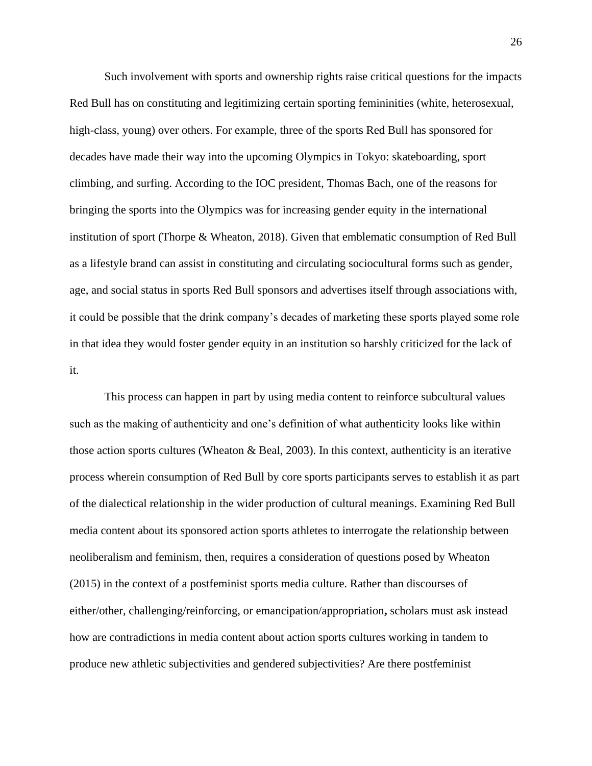Such involvement with sports and ownership rights raise critical questions for the impacts Red Bull has on constituting and legitimizing certain sporting femininities (white, heterosexual, high-class, young) over others. For example, three of the sports Red Bull has sponsored for decades have made their way into the upcoming Olympics in Tokyo: skateboarding, sport climbing, and surfing. According to the IOC president, Thomas Bach, one of the reasons for bringing the sports into the Olympics was for increasing gender equity in the international institution of sport (Thorpe & Wheaton, 2018). Given that emblematic consumption of Red Bull as a lifestyle brand can assist in constituting and circulating sociocultural forms such as gender, age, and social status in sports Red Bull sponsors and advertises itself through associations with, it could be possible that the drink company's decades of marketing these sports played some role in that idea they would foster gender equity in an institution so harshly criticized for the lack of it.

This process can happen in part by using media content to reinforce subcultural values such as the making of authenticity and one's definition of what authenticity looks like within those action sports cultures (Wheaton & Beal, 2003). In this context, authenticity is an iterative process wherein consumption of Red Bull by core sports participants serves to establish it as part of the dialectical relationship in the wider production of cultural meanings. Examining Red Bull media content about its sponsored action sports athletes to interrogate the relationship between neoliberalism and feminism, then, requires a consideration of questions posed by Wheaton (2015) in the context of a postfeminist sports media culture. Rather than discourses of either/other, challenging/reinforcing, or emancipation/appropriation**,** scholars must ask instead how are contradictions in media content about action sports cultures working in tandem to produce new athletic subjectivities and gendered subjectivities? Are there postfeminist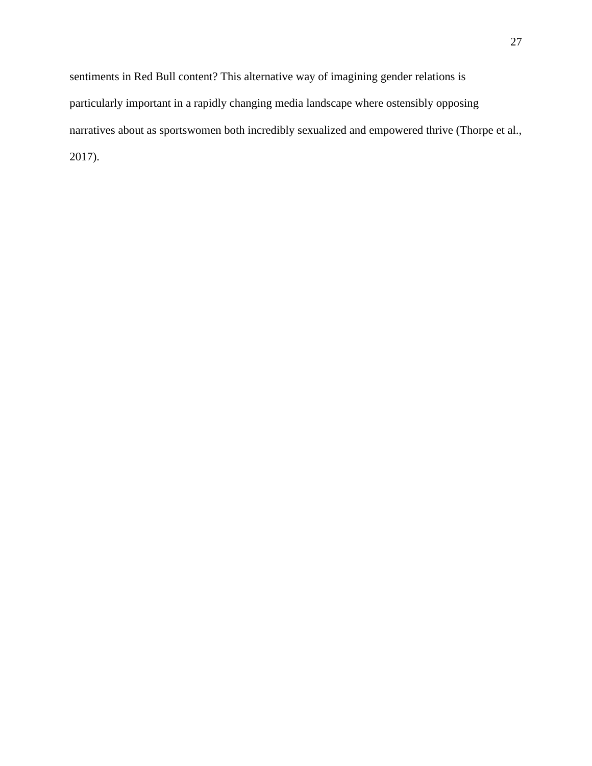sentiments in Red Bull content? This alternative way of imagining gender relations is particularly important in a rapidly changing media landscape where ostensibly opposing narratives about as sportswomen both incredibly sexualized and empowered thrive (Thorpe et al., 2017).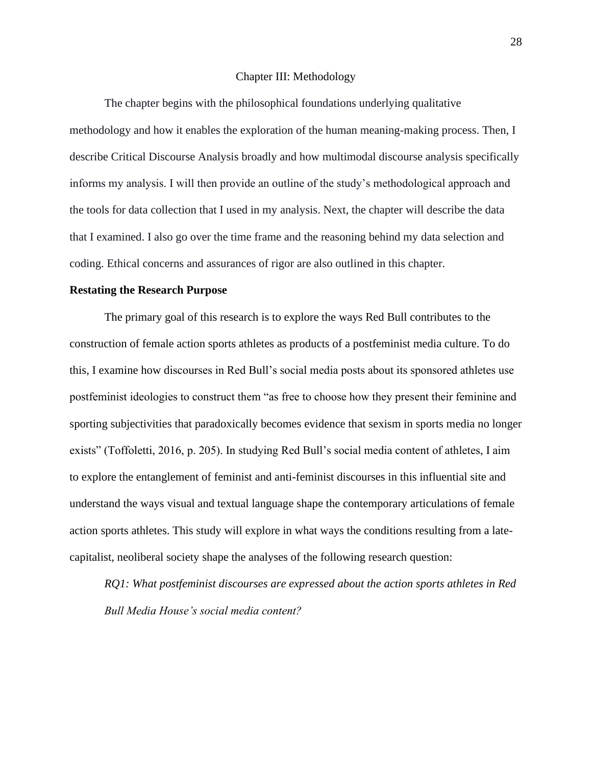#### Chapter III: Methodology

<span id="page-35-0"></span>The chapter begins with the philosophical foundations underlying qualitative methodology and how it enables the exploration of the human meaning-making process. Then, I describe Critical Discourse Analysis broadly and how multimodal discourse analysis specifically informs my analysis. I will then provide an outline of the study's methodological approach and the tools for data collection that I used in my analysis. Next, the chapter will describe the data that I examined. I also go over the time frame and the reasoning behind my data selection and coding. Ethical concerns and assurances of rigor are also outlined in this chapter.

#### <span id="page-35-1"></span>**Restating the Research Purpose**

The primary goal of this research is to explore the ways Red Bull contributes to the construction of female action sports athletes as products of a postfeminist media culture. To do this, I examine how discourses in Red Bull's social media posts about its sponsored athletes use postfeminist ideologies to construct them "as free to choose how they present their feminine and sporting subjectivities that paradoxically becomes evidence that sexism in sports media no longer exists" (Toffoletti, 2016, p. 205). In studying Red Bull's social media content of athletes, I aim to explore the entanglement of feminist and anti-feminist discourses in this influential site and understand the ways visual and textual language shape the contemporary articulations of female action sports athletes. This study will explore in what ways the conditions resulting from a latecapitalist, neoliberal society shape the analyses of the following research question:

*RQ1: What postfeminist discourses are expressed about the action sports athletes in Red Bull Media House's social media content?*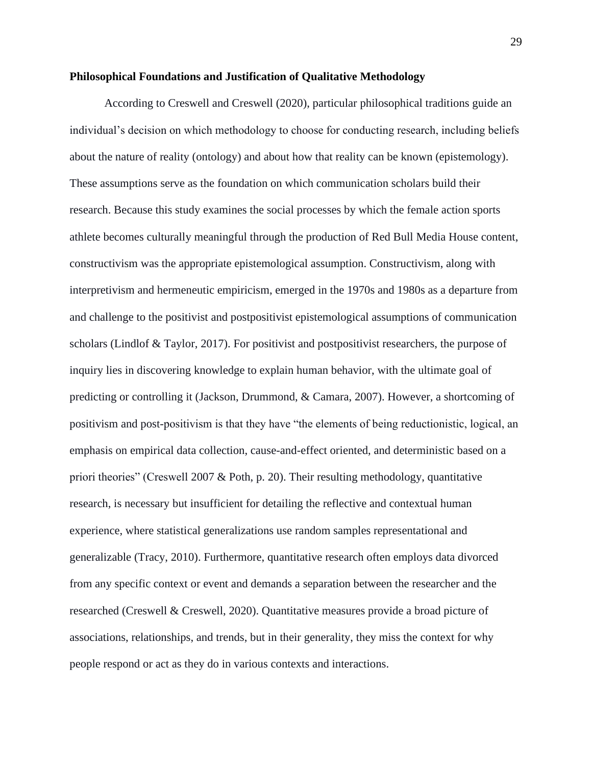## **Philosophical Foundations and Justification of Qualitative Methodology**

According to Creswell and Creswell (2020), particular philosophical traditions guide an individual's decision on which methodology to choose for conducting research, including beliefs about the nature of reality (ontology) and about how that reality can be known (epistemology). These assumptions serve as the foundation on which communication scholars build their research. Because this study examines the social processes by which the female action sports athlete becomes culturally meaningful through the production of Red Bull Media House content, constructivism was the appropriate epistemological assumption. Constructivism, along with interpretivism and hermeneutic empiricism, emerged in the 1970s and 1980s as a departure from and challenge to the positivist and postpositivist epistemological assumptions of communication scholars (Lindlof & Taylor, 2017). For positivist and postpositivist researchers, the purpose of inquiry lies in discovering knowledge to explain human behavior, with the ultimate goal of predicting or controlling it (Jackson, Drummond, & Camara, 2007). However, a shortcoming of positivism and post-positivism is that they have "the elements of being reductionistic, logical, an emphasis on empirical data collection, cause-and-effect oriented, and deterministic based on a priori theories" (Creswell 2007 & Poth, p. 20). Their resulting methodology, quantitative research, is necessary but insufficient for detailing the reflective and contextual human experience, where statistical generalizations use random samples representational and generalizable (Tracy, 2010). Furthermore, quantitative research often employs data divorced from any specific context or event and demands a separation between the researcher and the researched (Creswell & Creswell, 2020). Quantitative measures provide a broad picture of associations, relationships, and trends, but in their generality, they miss the context for why people respond or act as they do in various contexts and interactions.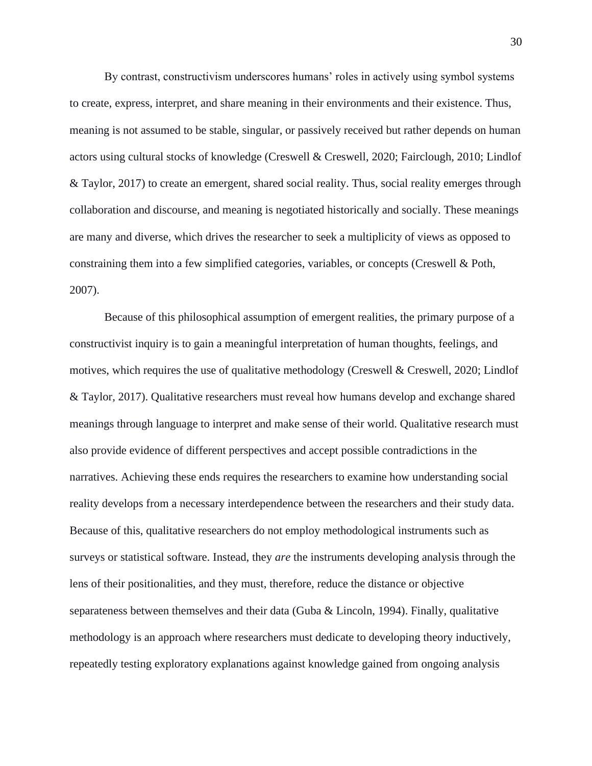By contrast, constructivism underscores humans' roles in actively using symbol systems to create, express, interpret, and share meaning in their environments and their existence. Thus, meaning is not assumed to be stable, singular, or passively received but rather depends on human actors using cultural stocks of knowledge (Creswell & Creswell, 2020; Fairclough, 2010; Lindlof & Taylor, 2017) to create an emergent, shared social reality. Thus, social reality emerges through collaboration and discourse, and meaning is negotiated historically and socially. These meanings are many and diverse, which drives the researcher to seek a multiplicity of views as opposed to constraining them into a few simplified categories, variables, or concepts (Creswell & Poth, 2007).

Because of this philosophical assumption of emergent realities, the primary purpose of a constructivist inquiry is to gain a meaningful interpretation of human thoughts, feelings, and motives, which requires the use of qualitative methodology (Creswell & Creswell, 2020; Lindlof & Taylor, 2017). Qualitative researchers must reveal how humans develop and exchange shared meanings through language to interpret and make sense of their world. Qualitative research must also provide evidence of different perspectives and accept possible contradictions in the narratives. Achieving these ends requires the researchers to examine how understanding social reality develops from a necessary interdependence between the researchers and their study data. Because of this, qualitative researchers do not employ methodological instruments such as surveys or statistical software. Instead, they *are* the instruments developing analysis through the lens of their positionalities, and they must, therefore, reduce the distance or objective separateness between themselves and their data (Guba & Lincoln, 1994). Finally, qualitative methodology is an approach where researchers must dedicate to developing theory inductively, repeatedly testing exploratory explanations against knowledge gained from ongoing analysis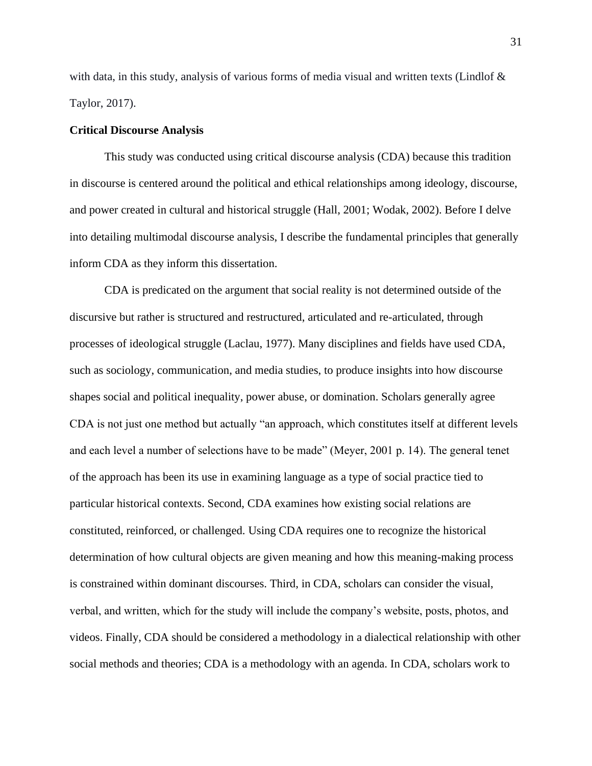with data, in this study, analysis of various forms of media visual and written texts (Lindlof  $\&$ Taylor, 2017).

### **Critical Discourse Analysis**

This study was conducted using critical discourse analysis (CDA) because this tradition in discourse is centered around the political and ethical relationships among ideology, discourse, and power created in cultural and historical struggle (Hall, 2001; Wodak, 2002). Before I delve into detailing multimodal discourse analysis, I describe the fundamental principles that generally inform CDA as they inform this dissertation.

CDA is predicated on the argument that social reality is not determined outside of the discursive but rather is structured and restructured, articulated and re-articulated, through processes of ideological struggle (Laclau, 1977). Many disciplines and fields have used CDA, such as sociology, communication, and media studies, to produce insights into how discourse shapes social and political inequality, power abuse, or domination. Scholars generally agree CDA is not just one method but actually "an approach, which constitutes itself at different levels and each level a number of selections have to be made" (Meyer, 2001 p. 14). The general tenet of the approach has been its use in examining language as a type of social practice tied to particular historical contexts. Second, CDA examines how existing social relations are constituted, reinforced, or challenged. Using CDA requires one to recognize the historical determination of how cultural objects are given meaning and how this meaning-making process is constrained within dominant discourses. Third, in CDA, scholars can consider the visual, verbal, and written, which for the study will include the company's website, posts, photos, and videos. Finally, CDA should be considered a methodology in a dialectical relationship with other social methods and theories; CDA is a methodology with an agenda. In CDA, scholars work to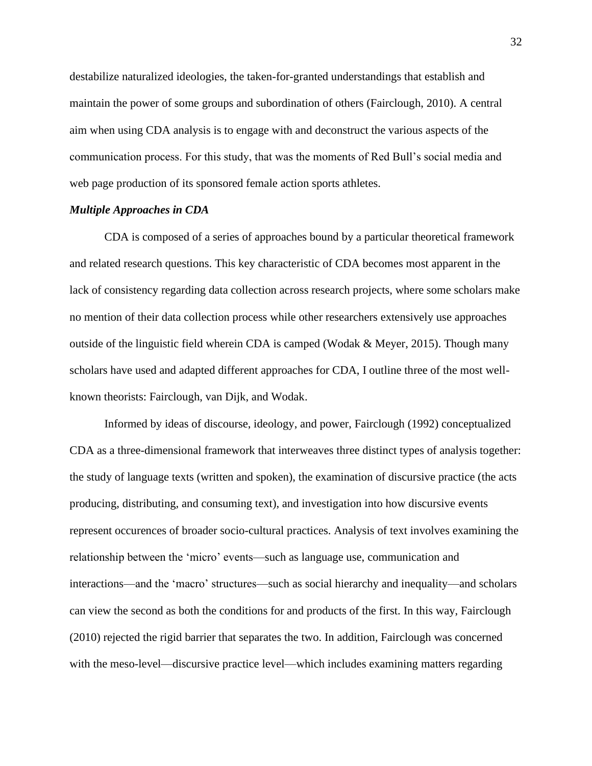destabilize naturalized ideologies, the taken-for-granted understandings that establish and maintain the power of some groups and subordination of others (Fairclough, 2010). A central aim when using CDA analysis is to engage with and deconstruct the various aspects of the communication process. For this study, that was the moments of Red Bull's social media and web page production of its sponsored female action sports athletes.

## *Multiple Approaches in CDA*

CDA is composed of a series of approaches bound by a particular theoretical framework and related research questions. This key characteristic of CDA becomes most apparent in the lack of consistency regarding data collection across research projects, where some scholars make no mention of their data collection process while other researchers extensively use approaches outside of the linguistic field wherein CDA is camped (Wodak  $\&$  Meyer, 2015). Though many scholars have used and adapted different approaches for CDA, I outline three of the most wellknown theorists: Fairclough, van Dijk, and Wodak.

Informed by ideas of discourse, ideology, and power, Fairclough (1992) conceptualized CDA as a three-dimensional framework that interweaves three distinct types of analysis together: the study of language texts (written and spoken), the examination of discursive practice (the acts producing, distributing, and consuming text), and investigation into how discursive events represent occurences of broader socio-cultural practices. Analysis of text involves examining the relationship between the 'micro' events—such as language use, communication and interactions—and the 'macro' structures—such as social hierarchy and inequality—and scholars can view the second as both the conditions for and products of the first. In this way, Fairclough (2010) rejected the rigid barrier that separates the two. In addition, Fairclough was concerned with the meso-level—discursive practice level—which includes examining matters regarding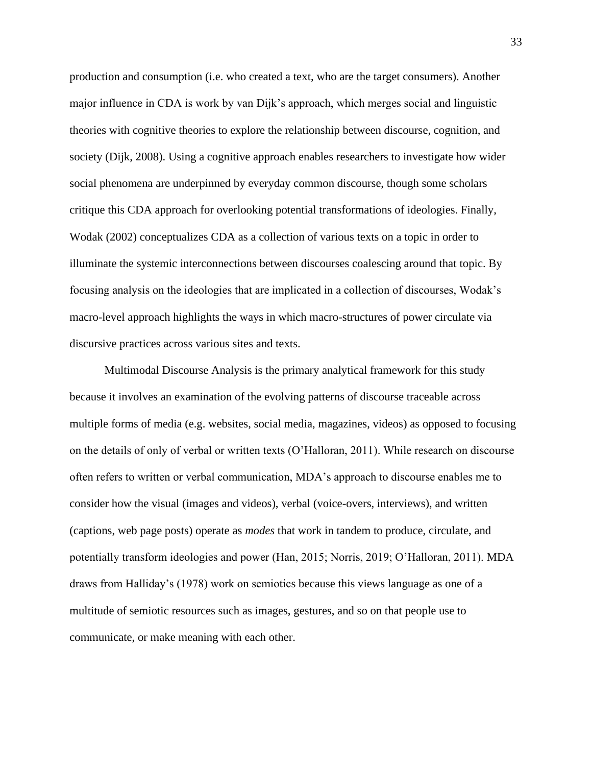production and consumption (i.e. who created a text, who are the target consumers). Another major influence in CDA is work by van Dijk's approach, which merges social and linguistic theories with cognitive theories to explore the relationship between discourse, cognition, and society (Dijk, 2008). Using a cognitive approach enables researchers to investigate how wider social phenomena are underpinned by everyday common discourse, though some scholars critique this CDA approach for overlooking potential transformations of ideologies. Finally, Wodak (2002) conceptualizes CDA as a collection of various texts on a topic in order to illuminate the systemic interconnections between discourses coalescing around that topic. By focusing analysis on the ideologies that are implicated in a collection of discourses, Wodak's macro-level approach highlights the ways in which macro-structures of power circulate via discursive practices across various sites and texts.

Multimodal Discourse Analysis is the primary analytical framework for this study because it involves an examination of the evolving patterns of discourse traceable across multiple forms of media (e.g. websites, social media, magazines, videos) as opposed to focusing on the details of only of verbal or written texts (O'Halloran, 2011). While research on discourse often refers to written or verbal communication, MDA's approach to discourse enables me to consider how the visual (images and videos), verbal (voice-overs, interviews), and written (captions, web page posts) operate as *modes* that work in tandem to produce, circulate, and potentially transform ideologies and power (Han, 2015; Norris, 2019; O'Halloran, 2011). MDA draws from Halliday's (1978) work on semiotics because this views language as one of a multitude of semiotic resources such as images, gestures, and so on that people use to communicate, or make meaning with each other.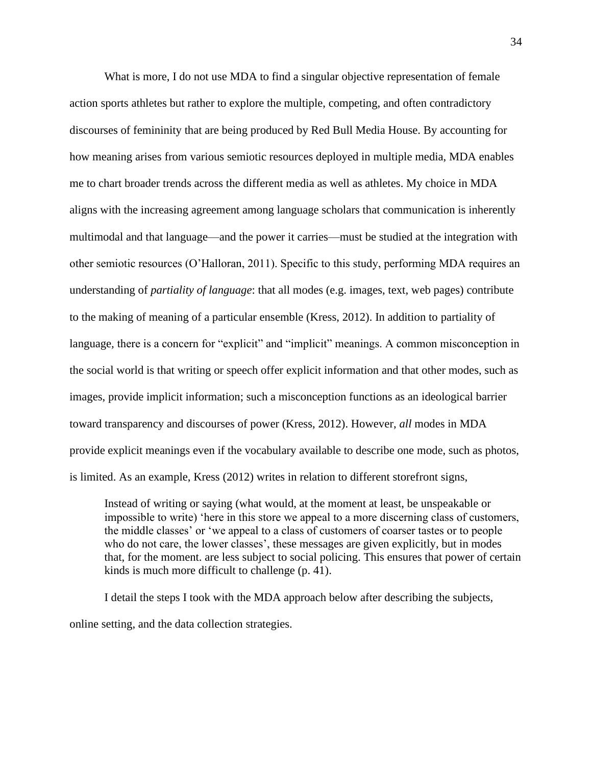What is more, I do not use MDA to find a singular objective representation of female action sports athletes but rather to explore the multiple, competing, and often contradictory discourses of femininity that are being produced by Red Bull Media House. By accounting for how meaning arises from various semiotic resources deployed in multiple media, MDA enables me to chart broader trends across the different media as well as athletes. My choice in MDA aligns with the increasing agreement among language scholars that communication is inherently multimodal and that language—and the power it carries—must be studied at the integration with other semiotic resources (O'Halloran, 2011). Specific to this study, performing MDA requires an understanding of *partiality of language*: that all modes (e.g. images, text, web pages) contribute to the making of meaning of a particular ensemble (Kress, 2012). In addition to partiality of language, there is a concern for "explicit" and "implicit" meanings. A common misconception in the social world is that writing or speech offer explicit information and that other modes, such as images, provide implicit information; such a misconception functions as an ideological barrier toward transparency and discourses of power (Kress, 2012). However, *all* modes in MDA provide explicit meanings even if the vocabulary available to describe one mode, such as photos, is limited. As an example, Kress (2012) writes in relation to different storefront signs,

Instead of writing or saying (what would, at the moment at least, be unspeakable or impossible to write) 'here in this store we appeal to a more discerning class of customers, the middle classes' or 'we appeal to a class of customers of coarser tastes or to people who do not care, the lower classes', these messages are given explicitly, but in modes that, for the moment. are less subject to social policing. This ensures that power of certain kinds is much more difficult to challenge (p. 41).

I detail the steps I took with the MDA approach below after describing the subjects, online setting, and the data collection strategies.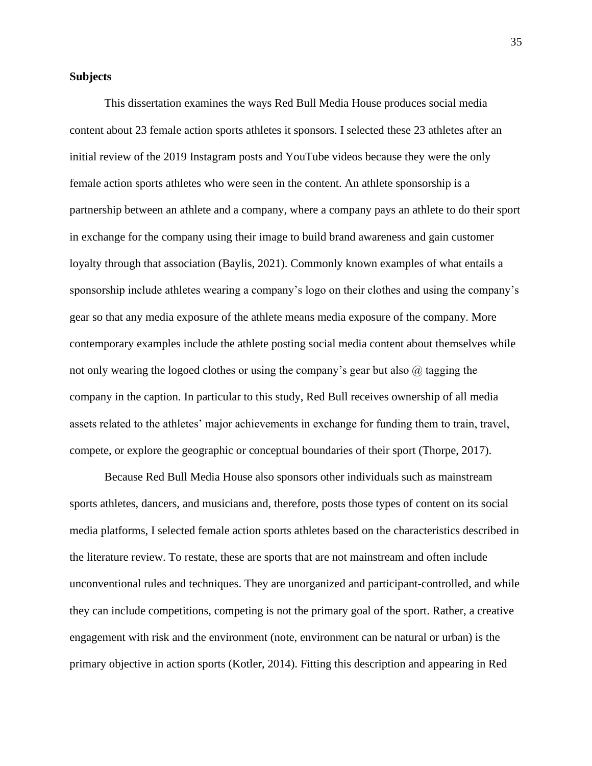## **Subjects**

This dissertation examines the ways Red Bull Media House produces social media content about 23 female action sports athletes it sponsors. I selected these 23 athletes after an initial review of the 2019 Instagram posts and YouTube videos because they were the only female action sports athletes who were seen in the content. An athlete sponsorship is a partnership between an athlete and a company, where a company pays an athlete to do their sport in exchange for the company using their image to build brand awareness and gain customer loyalty through that association (Baylis, 2021). Commonly known examples of what entails a sponsorship include athletes wearing a company's logo on their clothes and using the company's gear so that any media exposure of the athlete means media exposure of the company. More contemporary examples include the athlete posting social media content about themselves while not only wearing the logoed clothes or using the company's gear but also  $\omega$  tagging the company in the caption. In particular to this study, Red Bull receives ownership of all media assets related to the athletes' major achievements in exchange for funding them to train, travel, compete, or explore the geographic or conceptual boundaries of their sport (Thorpe, 2017).

Because Red Bull Media House also sponsors other individuals such as mainstream sports athletes, dancers, and musicians and, therefore, posts those types of content on its social media platforms, I selected female action sports athletes based on the characteristics described in the literature review. To restate, these are sports that are not mainstream and often include unconventional rules and techniques. They are unorganized and participant-controlled, and while they can include competitions, competing is not the primary goal of the sport. Rather, a creative engagement with risk and the environment (note, environment can be natural or urban) is the primary objective in action sports (Kotler, 2014). Fitting this description and appearing in Red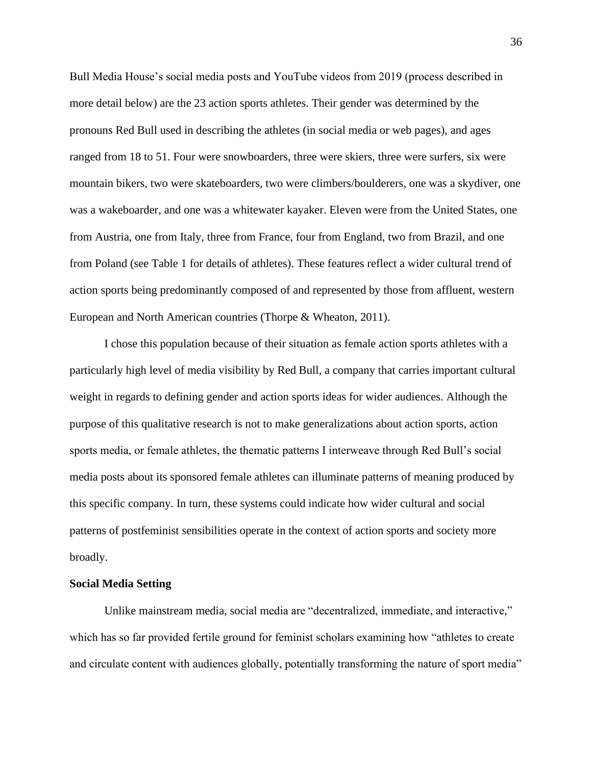Bull Media House's social media posts and YouTube videos from 2019 (process described in more detail below) are the 23 action sports athletes. Their gender was determined by the pronouns Red Bull used in describing the athletes (in social media or web pages), and ages ranged from 18 to 51. Four were snowboarders, three were skiers, three were surfers, six were mountain bikers, two were skateboarders, two were climbers/boulderers, one was a skydiver, one was a wakeboarder, and one was a whitewater kayaker. Eleven were from the United States, one from Austria, one from Italy, three from France, four from England, two from Brazil, and one from Poland (see Table 1 for details of athletes). These features reflect a wider cultural trend of action sports being predominantly composed of and represented by those from affluent, western European and North American countries (Thorpe & Wheaton, 2011).

I chose this population because of their situation as female action sports athletes with a particularly high level of media visibility by Red Bull, a company that carries important cultural weight in regards to defining gender and action sports ideas for wider audiences. Although the purpose of this qualitative research is not to make generalizations about action sports, action sports media, or female athletes, the thematic patterns I interweave through Red Bull's social media posts about its sponsored female athletes can illuminate patterns of meaning produced by this specific company. In turn, these systems could indicate how wider cultural and social patterns of postfeminist sensibilities operate in the context of action sports and society more broadly.

## **Social Media Setting**

Unlike mainstream media, social media are "decentralized, immediate, and interactive," which has so far provided fertile ground for feminist scholars examining how "athletes to create and circulate content with audiences globally, potentially transforming the nature of sport media"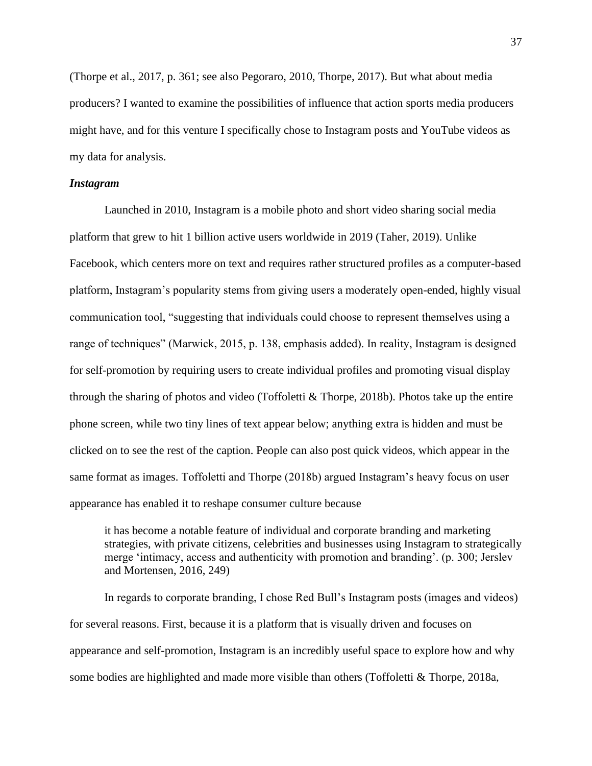(Thorpe et al., 2017, p. 361; see also Pegoraro, 2010, Thorpe, 2017). But what about media producers? I wanted to examine the possibilities of influence that action sports media producers might have, and for this venture I specifically chose to Instagram posts and YouTube videos as my data for analysis.

#### *Instagram*

Launched in 2010, Instagram is a mobile photo and short video sharing social media platform that grew to hit 1 billion active users worldwide in 2019 (Taher, 2019). Unlike Facebook, which centers more on text and requires rather structured profiles as a computer-based platform, Instagram's popularity stems from giving users a moderately open-ended, highly visual communication tool, "suggesting that individuals could choose to represent themselves using a range of techniques" (Marwick, 2015, p. 138, emphasis added). In reality, Instagram is designed for self-promotion by requiring users to create individual profiles and promoting visual display through the sharing of photos and video (Toffoletti & Thorpe, 2018b). Photos take up the entire phone screen, while two tiny lines of text appear below; anything extra is hidden and must be clicked on to see the rest of the caption. People can also post quick videos, which appear in the same format as images. Toffoletti and Thorpe (2018b) argued Instagram's heavy focus on user appearance has enabled it to reshape consumer culture because

it has become a notable feature of individual and corporate branding and marketing strategies, with private citizens, celebrities and businesses using Instagram to strategically merge 'intimacy, access and authenticity with promotion and branding'. (p. 300; Jerslev and Mortensen, 2016, 249)

In regards to corporate branding, I chose Red Bull's Instagram posts (images and videos) for several reasons. First, because it is a platform that is visually driven and focuses on appearance and self-promotion, Instagram is an incredibly useful space to explore how and why some bodies are highlighted and made more visible than others (Toffoletti & Thorpe, 2018a,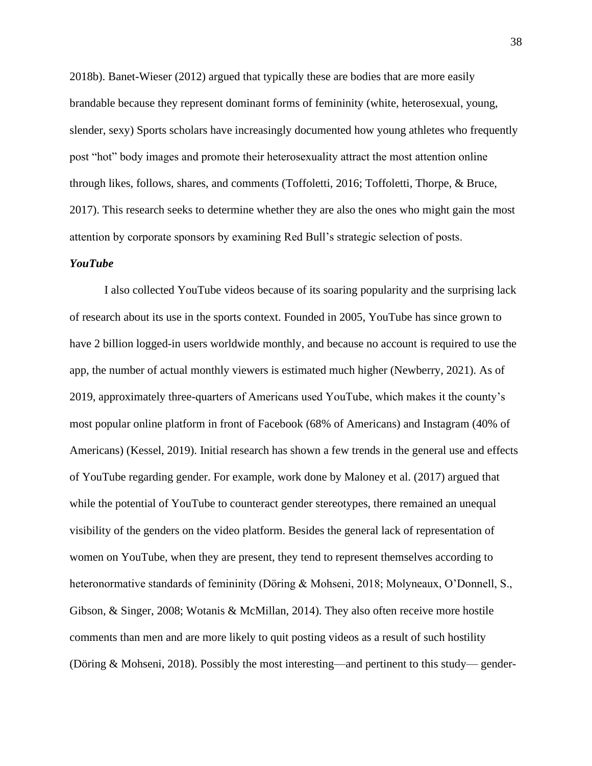2018b). Banet-Wieser (2012) argued that typically these are bodies that are more easily brandable because they represent dominant forms of femininity (white, heterosexual, young, slender, sexy) Sports scholars have increasingly documented how young athletes who frequently post "hot" body images and promote their heterosexuality attract the most attention online through likes, follows, shares, and comments (Toffoletti, 2016; Toffoletti, Thorpe, & Bruce, 2017). This research seeks to determine whether they are also the ones who might gain the most attention by corporate sponsors by examining Red Bull's strategic selection of posts.

## *YouTube*

I also collected YouTube videos because of its soaring popularity and the surprising lack of research about its use in the sports context. Founded in 2005, YouTube has since grown to have 2 billion logged-in users worldwide monthly, and because no account is required to use the app, the number of actual monthly viewers is estimated much higher (Newberry, 2021). As of 2019, approximately three-quarters of Americans used YouTube, which makes it the county's most popular online platform in front of Facebook (68% of Americans) and Instagram (40% of Americans) (Kessel, 2019). Initial research has shown a few trends in the general use and effects of YouTube regarding gender. For example, work done by Maloney et al. (2017) argued that while the potential of YouTube to counteract gender stereotypes, there remained an unequal visibility of the genders on the video platform. Besides the general lack of representation of women on YouTube, when they are present, they tend to represent themselves according to heteronormative standards of femininity (Döring & Mohseni, 2018; Molyneaux, O'Donnell, S., Gibson, & Singer, 2008; Wotanis & McMillan, 2014). They also often receive more hostile comments than men and are more likely to quit posting videos as a result of such hostility (Döring & Mohseni, 2018). Possibly the most interesting—and pertinent to this study— gender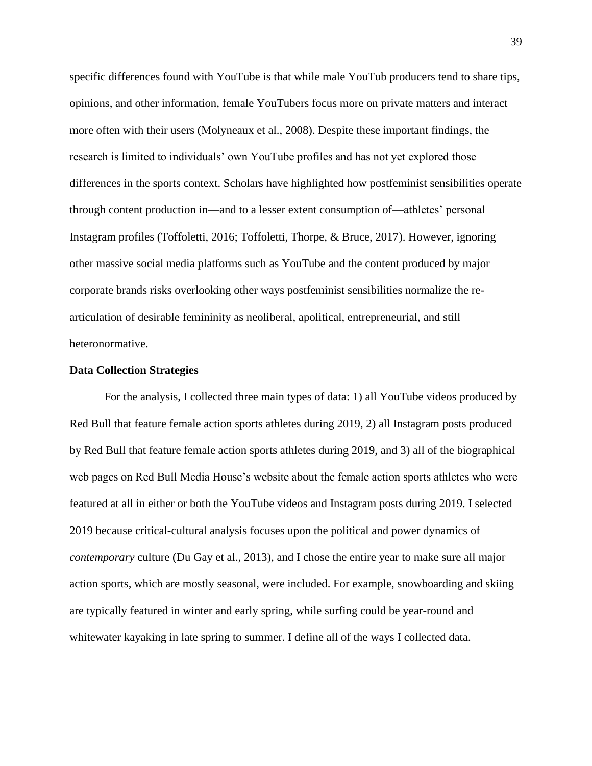specific differences found with YouTube is that while male YouTub producers tend to share tips, opinions, and other information, female YouTubers focus more on private matters and interact more often with their users (Molyneaux et al., 2008). Despite these important findings, the research is limited to individuals' own YouTube profiles and has not yet explored those differences in the sports context. Scholars have highlighted how postfeminist sensibilities operate through content production in—and to a lesser extent consumption of—athletes' personal Instagram profiles (Toffoletti, 2016; Toffoletti, Thorpe, & Bruce, 2017). However, ignoring other massive social media platforms such as YouTube and the content produced by major corporate brands risks overlooking other ways postfeminist sensibilities normalize the rearticulation of desirable femininity as neoliberal, apolitical, entrepreneurial, and still heteronormative.

#### **Data Collection Strategies**

For the analysis, I collected three main types of data: 1) all YouTube videos produced by Red Bull that feature female action sports athletes during 2019, 2) all Instagram posts produced by Red Bull that feature female action sports athletes during 2019, and 3) all of the biographical web pages on Red Bull Media House's website about the female action sports athletes who were featured at all in either or both the YouTube videos and Instagram posts during 2019. I selected 2019 because critical-cultural analysis focuses upon the political and power dynamics of *contemporary* culture (Du Gay et al., 2013), and I chose the entire year to make sure all major action sports, which are mostly seasonal, were included. For example, snowboarding and skiing are typically featured in winter and early spring, while surfing could be year-round and whitewater kayaking in late spring to summer. I define all of the ways I collected data.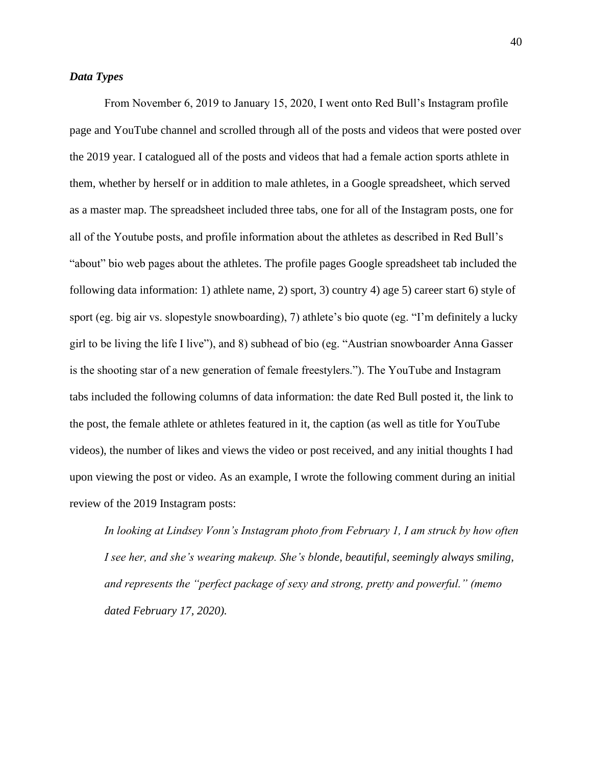# *Data Types*

From November 6, 2019 to January 15, 2020, I went onto Red Bull's Instagram profile page and YouTube channel and scrolled through all of the posts and videos that were posted over the 2019 year. I catalogued all of the posts and videos that had a female action sports athlete in them, whether by herself or in addition to male athletes, in a Google spreadsheet, which served as a master map. The spreadsheet included three tabs, one for all of the Instagram posts, one for all of the Youtube posts, and profile information about the athletes as described in Red Bull's "about" bio web pages about the athletes. The profile pages Google spreadsheet tab included the following data information: 1) athlete name, 2) sport, 3) country 4) age 5) career start 6) style of sport (eg. big air vs. slopestyle snowboarding), 7) athlete's bio quote (eg. "I'm definitely a lucky girl to be living the life I live"), and 8) subhead of bio (eg. "Austrian snowboarder Anna Gasser is the shooting star of a new generation of female freestylers."). The YouTube and Instagram tabs included the following columns of data information: the date Red Bull posted it, the link to the post, the female athlete or athletes featured in it, the caption (as well as title for YouTube videos), the number of likes and views the video or post received, and any initial thoughts I had upon viewing the post or video. As an example, I wrote the following comment during an initial review of the 2019 Instagram posts:

*In looking at Lindsey Vonn's Instagram photo from February 1, I am struck by how often I see her, and she's wearing makeup. She's blonde, beautiful, seemingly always smiling, and represents the "perfect package of sexy and strong, pretty and powerful." (memo dated February 17, 2020).*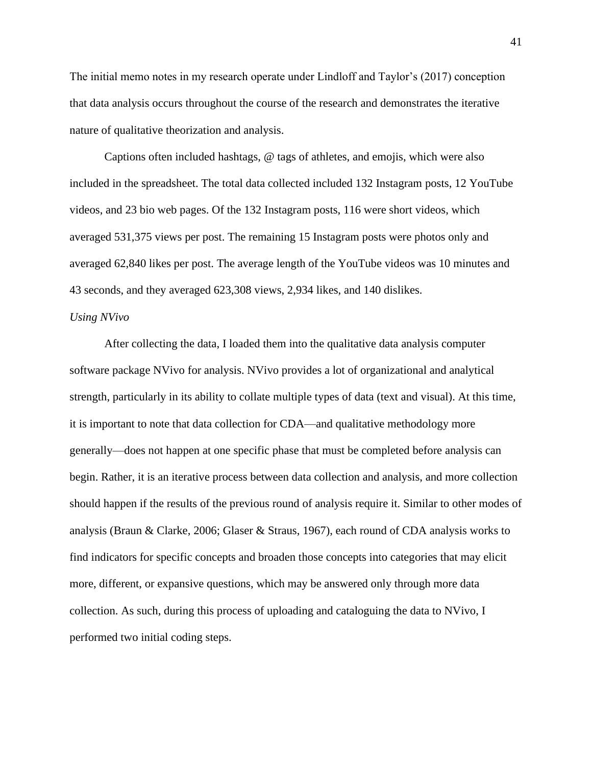The initial memo notes in my research operate under Lindloff and Taylor's (2017) conception that data analysis occurs throughout the course of the research and demonstrates the iterative nature of qualitative theorization and analysis.

Captions often included hashtags, @ tags of athletes, and emojis, which were also included in the spreadsheet. The total data collected included 132 Instagram posts, 12 YouTube videos, and 23 bio web pages. Of the 132 Instagram posts, 116 were short videos, which averaged 531,375 views per post. The remaining 15 Instagram posts were photos only and averaged 62,840 likes per post. The average length of the YouTube videos was 10 minutes and 43 seconds, and they averaged 623,308 views, 2,934 likes, and 140 dislikes.

#### *Using NVivo*

After collecting the data, I loaded them into the qualitative data analysis computer software package NVivo for analysis. NVivo provides a lot of organizational and analytical strength, particularly in its ability to collate multiple types of data (text and visual). At this time, it is important to note that data collection for CDA—and qualitative methodology more generally—does not happen at one specific phase that must be completed before analysis can begin. Rather, it is an iterative process between data collection and analysis, and more collection should happen if the results of the previous round of analysis require it. Similar to other modes of analysis (Braun & Clarke, 2006; Glaser & Straus, 1967), each round of CDA analysis works to find indicators for specific concepts and broaden those concepts into categories that may elicit more, different, or expansive questions, which may be answered only through more data collection. As such, during this process of uploading and cataloguing the data to NVivo, I performed two initial coding steps.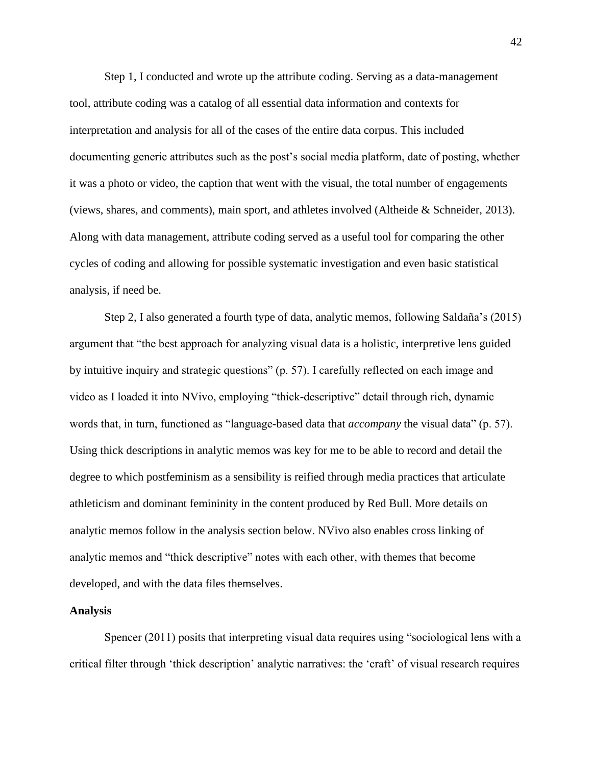Step 1, I conducted and wrote up the attribute coding. Serving as a data-management tool, attribute coding was a catalog of all essential data information and contexts for interpretation and analysis for all of the cases of the entire data corpus. This included documenting generic attributes such as the post's social media platform, date of posting, whether it was a photo or video, the caption that went with the visual, the total number of engagements (views, shares, and comments), main sport, and athletes involved (Altheide & Schneider, 2013). Along with data management, attribute coding served as a useful tool for comparing the other cycles of coding and allowing for possible systematic investigation and even basic statistical analysis, if need be.

Step 2, I also generated a fourth type of data, analytic memos, following Saldaña's (2015) argument that "the best approach for analyzing visual data is a holistic, interpretive lens guided by intuitive inquiry and strategic questions" (p. 57). I carefully reflected on each image and video as I loaded it into NVivo, employing "thick-descriptive" detail through rich, dynamic words that, in turn, functioned as "language-based data that *accompany* the visual data" (p. 57). Using thick descriptions in analytic memos was key for me to be able to record and detail the degree to which postfeminism as a sensibility is reified through media practices that articulate athleticism and dominant femininity in the content produced by Red Bull. More details on analytic memos follow in the analysis section below. NVivo also enables cross linking of analytic memos and "thick descriptive" notes with each other, with themes that become developed, and with the data files themselves.

#### **Analysis**

Spencer (2011) posits that interpreting visual data requires using "sociological lens with a critical filter through 'thick description' analytic narratives: the 'craft' of visual research requires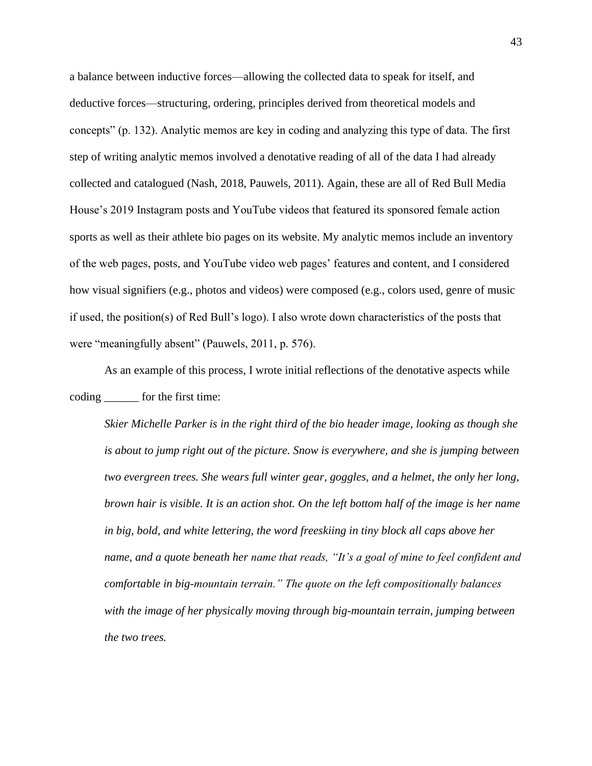a balance between inductive forces—allowing the collected data to speak for itself, and deductive forces—structuring, ordering, principles derived from theoretical models and concepts" (p. 132). Analytic memos are key in coding and analyzing this type of data. The first step of writing analytic memos involved a denotative reading of all of the data I had already collected and catalogued (Nash, 2018, Pauwels, 2011). Again, these are all of Red Bull Media House's 2019 Instagram posts and YouTube videos that featured its sponsored female action sports as well as their athlete bio pages on its website. My analytic memos include an inventory of the web pages, posts, and YouTube video web pages' features and content, and I considered how visual signifiers (e.g., photos and videos) were composed (e.g., colors used, genre of music if used, the position(s) of Red Bull's logo). I also wrote down characteristics of the posts that were "meaningfully absent" (Pauwels, 2011, p. 576).

As an example of this process, I wrote initial reflections of the denotative aspects while coding \_\_\_\_\_\_ for the first time:

*Skier Michelle Parker is in the right third of the bio header image, looking as though she is about to jump right out of the picture. Snow is everywhere, and she is jumping between two evergreen trees. She wears full winter gear, goggles, and a helmet, the only her long, brown hair is visible. It is an action shot. On the left bottom half of the image is her name in big, bold, and white lettering, the word freeskiing in tiny block all caps above her name, and a quote beneath her name that reads, "It's a goal of mine to feel confident and comfortable in big-mountain terrain." The quote on the left compositionally balances with the image of her physically moving through big-mountain terrain, jumping between the two trees.*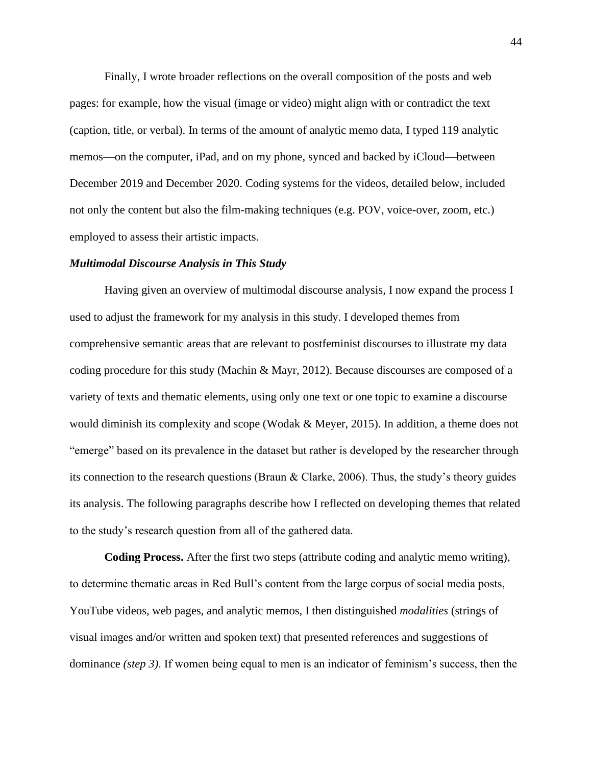Finally, I wrote broader reflections on the overall composition of the posts and web pages: for example, how the visual (image or video) might align with or contradict the text (caption, title, or verbal). In terms of the amount of analytic memo data, I typed 119 analytic memos—on the computer, iPad, and on my phone, synced and backed by iCloud—between December 2019 and December 2020. Coding systems for the videos, detailed below, included not only the content but also the film-making techniques (e.g. POV, voice-over, zoom, etc.) employed to assess their artistic impacts.

### *Multimodal Discourse Analysis in This Study*

Having given an overview of multimodal discourse analysis, I now expand the process I used to adjust the framework for my analysis in this study. I developed themes from comprehensive semantic areas that are relevant to postfeminist discourses to illustrate my data coding procedure for this study (Machin & Mayr, 2012). Because discourses are composed of a variety of texts and thematic elements, using only one text or one topic to examine a discourse would diminish its complexity and scope (Wodak  $\&$  Meyer, 2015). In addition, a theme does not "emerge" based on its prevalence in the dataset but rather is developed by the researcher through its connection to the research questions (Braun & Clarke, 2006). Thus, the study's theory guides its analysis. The following paragraphs describe how I reflected on developing themes that related to the study's research question from all of the gathered data.

**Coding Process.** After the first two steps (attribute coding and analytic memo writing), to determine thematic areas in Red Bull's content from the large corpus of social media posts, YouTube videos, web pages, and analytic memos, I then distinguished *modalities* (strings of visual images and/or written and spoken text) that presented references and suggestions of dominance *(step 3)*. If women being equal to men is an indicator of feminism's success, then the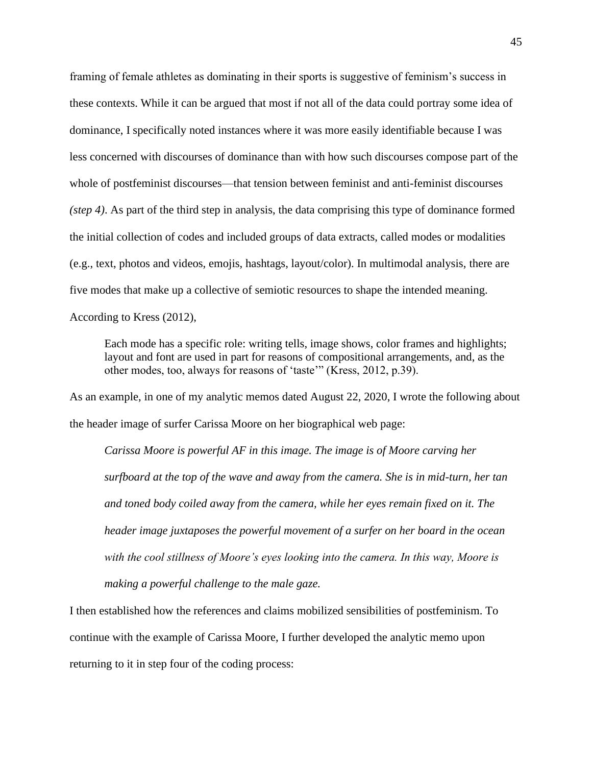framing of female athletes as dominating in their sports is suggestive of feminism's success in these contexts. While it can be argued that most if not all of the data could portray some idea of dominance, I specifically noted instances where it was more easily identifiable because I was less concerned with discourses of dominance than with how such discourses compose part of the whole of postfeminist discourses—that tension between feminist and anti-feminist discourses *(step 4)*. As part of the third step in analysis, the data comprising this type of dominance formed the initial collection of codes and included groups of data extracts, called modes or modalities (e.g., text, photos and videos, emojis, hashtags, layout/color). In multimodal analysis, there are five modes that make up a collective of semiotic resources to shape the intended meaning.

According to Kress (2012),

Each mode has a specific role: writing tells, image shows, color frames and highlights; layout and font are used in part for reasons of compositional arrangements, and, as the other modes, too, always for reasons of 'taste'" (Kress, 2012, p.39).

As an example, in one of my analytic memos dated August 22, 2020, I wrote the following about the header image of surfer Carissa Moore on her biographical web page:

*Carissa Moore is powerful AF in this image. The image is of Moore carving her surfboard at the top of the wave and away from the camera. She is in mid-turn, her tan and toned body coiled away from the camera, while her eyes remain fixed on it. The header image juxtaposes the powerful movement of a surfer on her board in the ocean with the cool stillness of Moore's eyes looking into the camera. In this way, Moore is making a powerful challenge to the male gaze.*

I then established how the references and claims mobilized sensibilities of postfeminism. To continue with the example of Carissa Moore, I further developed the analytic memo upon returning to it in step four of the coding process: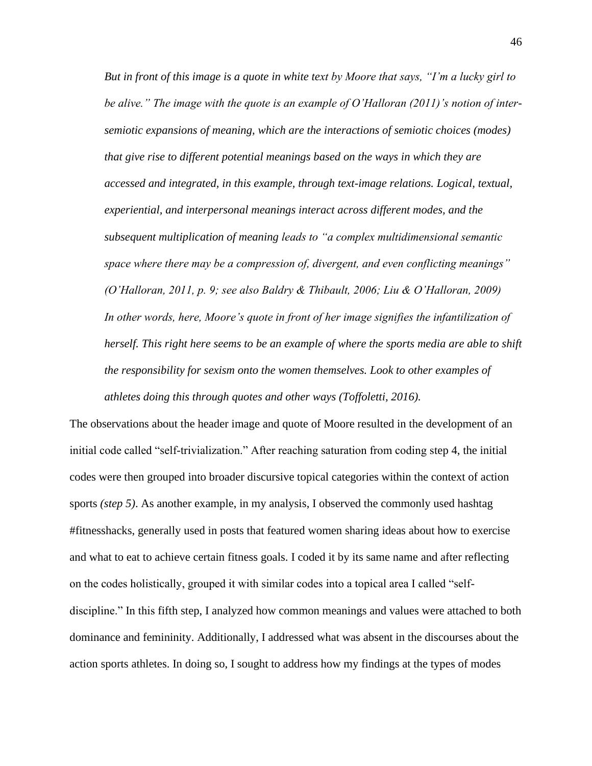*But in front of this image is a quote in white text by Moore that says, "I'm a lucky girl to be alive." The image with the quote is an example of O'Halloran (2011)'s notion of intersemiotic expansions of meaning, which are the interactions of semiotic choices (modes) that give rise to different potential meanings based on the ways in which they are accessed and integrated, in this example, through text-image relations. Logical, textual, experiential, and interpersonal meanings interact across different modes, and the subsequent multiplication of meaning leads to "a complex multidimensional semantic space where there may be a compression of, divergent, and even conflicting meanings" (O'Halloran, 2011, p. 9; see also Baldry & Thibault, 2006; Liu & O'Halloran, 2009) In other words, here, Moore's quote in front of her image signifies the infantilization of herself. This right here seems to be an example of where the sports media are able to shift the responsibility for sexism onto the women themselves. Look to other examples of athletes doing this through quotes and other ways (Toffoletti, 2016).*

The observations about the header image and quote of Moore resulted in the development of an initial code called "self-trivialization." After reaching saturation from coding step 4, the initial codes were then grouped into broader discursive topical categories within the context of action sports *(step 5)*. As another example, in my analysis, I observed the commonly used hashtag #fitnesshacks, generally used in posts that featured women sharing ideas about how to exercise and what to eat to achieve certain fitness goals. I coded it by its same name and after reflecting on the codes holistically, grouped it with similar codes into a topical area I called "selfdiscipline." In this fifth step, I analyzed how common meanings and values were attached to both dominance and femininity. Additionally, I addressed what was absent in the discourses about the action sports athletes. In doing so, I sought to address how my findings at the types of modes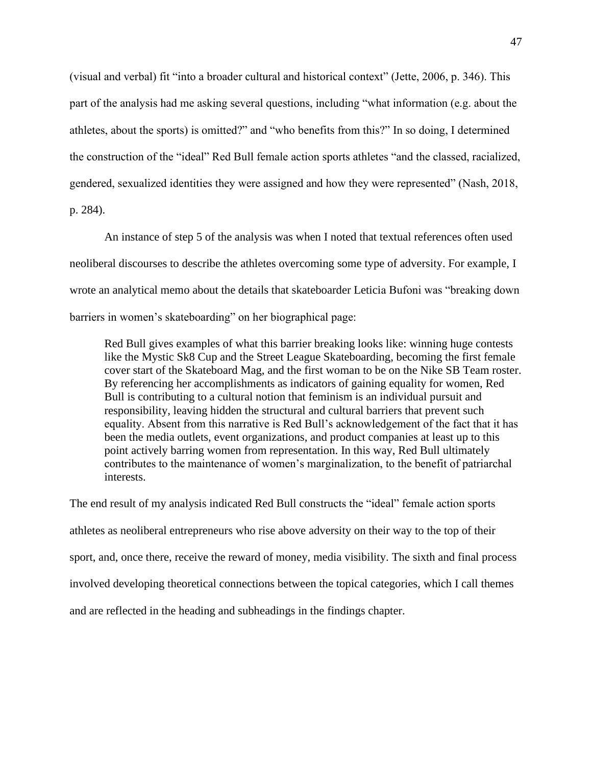(visual and verbal) fit "into a broader cultural and historical context" (Jette, 2006, p. 346). This part of the analysis had me asking several questions, including "what information (e.g. about the athletes, about the sports) is omitted?" and "who benefits from this?" In so doing, I determined the construction of the "ideal" Red Bull female action sports athletes "and the classed, racialized, gendered, sexualized identities they were assigned and how they were represented" (Nash, 2018,

p. 284).

An instance of step 5 of the analysis was when I noted that textual references often used neoliberal discourses to describe the athletes overcoming some type of adversity. For example, I wrote an analytical memo about the details that skateboarder Leticia Bufoni was "breaking down barriers in women's skateboarding" on her biographical page:

Red Bull gives examples of what this barrier breaking looks like: winning huge contests like the Mystic Sk8 Cup and the Street League Skateboarding, becoming the first female cover start of the Skateboard Mag, and the first woman to be on the Nike SB Team roster. By referencing her accomplishments as indicators of gaining equality for women, Red Bull is contributing to a cultural notion that feminism is an individual pursuit and responsibility, leaving hidden the structural and cultural barriers that prevent such equality. Absent from this narrative is Red Bull's acknowledgement of the fact that it has been the media outlets, event organizations, and product companies at least up to this point actively barring women from representation. In this way, Red Bull ultimately contributes to the maintenance of women's marginalization, to the benefit of patriarchal interests.

The end result of my analysis indicated Red Bull constructs the "ideal" female action sports athletes as neoliberal entrepreneurs who rise above adversity on their way to the top of their sport, and, once there, receive the reward of money, media visibility. The sixth and final process involved developing theoretical connections between the topical categories, which I call themes and are reflected in the heading and subheadings in the findings chapter.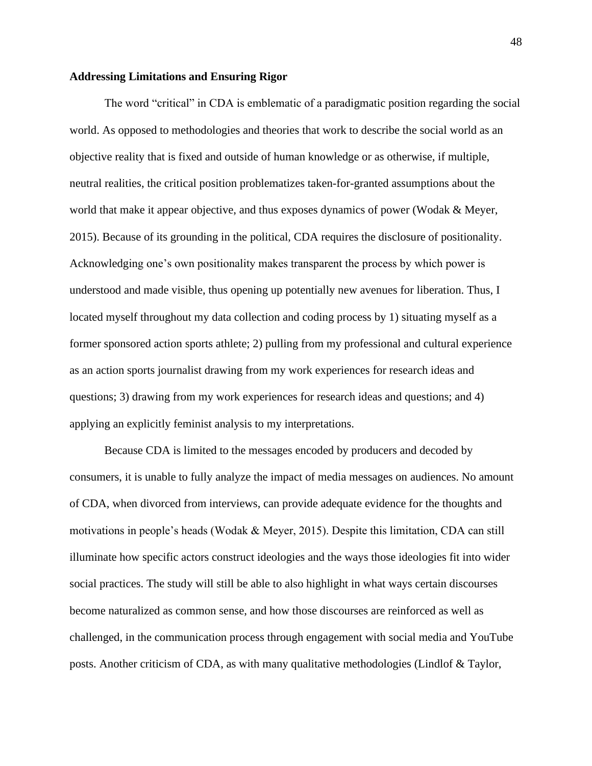#### **Addressing Limitations and Ensuring Rigor**

The word "critical" in CDA is emblematic of a paradigmatic position regarding the social world. As opposed to methodologies and theories that work to describe the social world as an objective reality that is fixed and outside of human knowledge or as otherwise, if multiple, neutral realities, the critical position problematizes taken-for-granted assumptions about the world that make it appear objective, and thus exposes dynamics of power (Wodak & Meyer, 2015). Because of its grounding in the political, CDA requires the disclosure of positionality. Acknowledging one's own positionality makes transparent the process by which power is understood and made visible, thus opening up potentially new avenues for liberation. Thus, I located myself throughout my data collection and coding process by 1) situating myself as a former sponsored action sports athlete; 2) pulling from my professional and cultural experience as an action sports journalist drawing from my work experiences for research ideas and questions; 3) drawing from my work experiences for research ideas and questions; and 4) applying an explicitly feminist analysis to my interpretations.

Because CDA is limited to the messages encoded by producers and decoded by consumers, it is unable to fully analyze the impact of media messages on audiences. No amount of CDA, when divorced from interviews, can provide adequate evidence for the thoughts and motivations in people's heads (Wodak & Meyer, 2015). Despite this limitation, CDA can still illuminate how specific actors construct ideologies and the ways those ideologies fit into wider social practices. The study will still be able to also highlight in what ways certain discourses become naturalized as common sense, and how those discourses are reinforced as well as challenged, in the communication process through engagement with social media and YouTube posts. Another criticism of CDA, as with many qualitative methodologies (Lindlof & Taylor,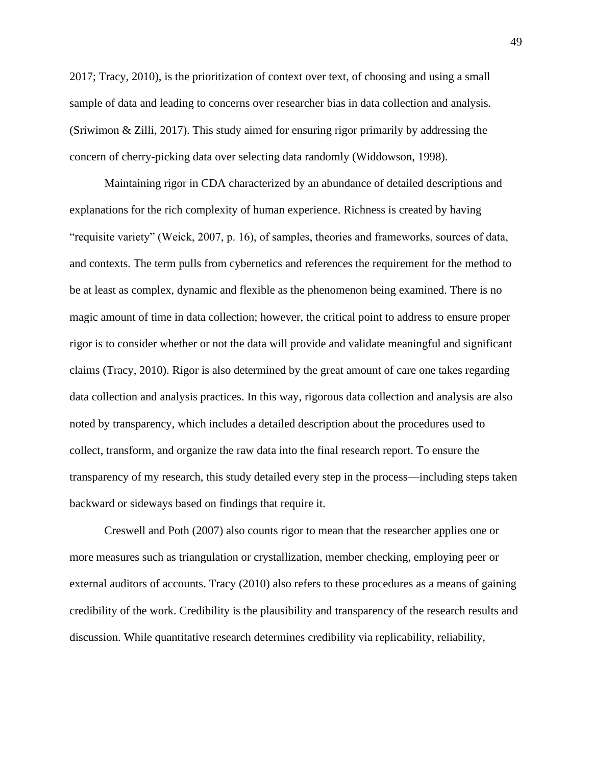2017; Tracy, 2010), is the prioritization of context over text, of choosing and using a small sample of data and leading to concerns over researcher bias in data collection and analysis. (Sriwimon & Zilli, 2017). This study aimed for ensuring rigor primarily by addressing the concern of cherry-picking data over selecting data randomly (Widdowson, 1998).

Maintaining rigor in CDA characterized by an abundance of detailed descriptions and explanations for the rich complexity of human experience. Richness is created by having "requisite variety" (Weick, 2007, p. 16), of samples, theories and frameworks, sources of data, and contexts. The term pulls from cybernetics and references the requirement for the method to be at least as complex, dynamic and flexible as the phenomenon being examined. There is no magic amount of time in data collection; however, the critical point to address to ensure proper rigor is to consider whether or not the data will provide and validate meaningful and significant claims (Tracy, 2010). Rigor is also determined by the great amount of care one takes regarding data collection and analysis practices. In this way, rigorous data collection and analysis are also noted by transparency, which includes a detailed description about the procedures used to collect, transform, and organize the raw data into the final research report. To ensure the transparency of my research, this study detailed every step in the process—including steps taken backward or sideways based on findings that require it.

Creswell and Poth (2007) also counts rigor to mean that the researcher applies one or more measures such as triangulation or crystallization, member checking, employing peer or external auditors of accounts. Tracy (2010) also refers to these procedures as a means of gaining credibility of the work. Credibility is the plausibility and transparency of the research results and discussion. While quantitative research determines credibility via replicability, reliability,

49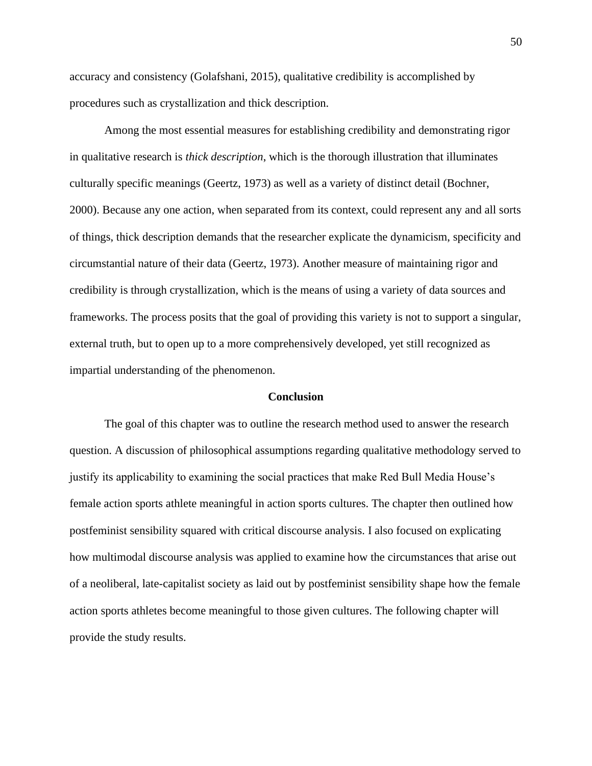accuracy and consistency (Golafshani, 2015), qualitative credibility is accomplished by procedures such as crystallization and thick description.

Among the most essential measures for establishing credibility and demonstrating rigor in qualitative research is *thick description*, which is the thorough illustration that illuminates culturally specific meanings (Geertz, 1973) as well as a variety of distinct detail (Bochner, 2000). Because any one action, when separated from its context, could represent any and all sorts of things, thick description demands that the researcher explicate the dynamicism, specificity and circumstantial nature of their data (Geertz, 1973). Another measure of maintaining rigor and credibility is through crystallization, which is the means of using a variety of data sources and frameworks. The process posits that the goal of providing this variety is not to support a singular, external truth, but to open up to a more comprehensively developed, yet still recognized as impartial understanding of the phenomenon.

#### **Conclusion**

The goal of this chapter was to outline the research method used to answer the research question. A discussion of philosophical assumptions regarding qualitative methodology served to justify its applicability to examining the social practices that make Red Bull Media House's female action sports athlete meaningful in action sports cultures. The chapter then outlined how postfeminist sensibility squared with critical discourse analysis. I also focused on explicating how multimodal discourse analysis was applied to examine how the circumstances that arise out of a neoliberal, late-capitalist society as laid out by postfeminist sensibility shape how the female action sports athletes become meaningful to those given cultures. The following chapter will provide the study results.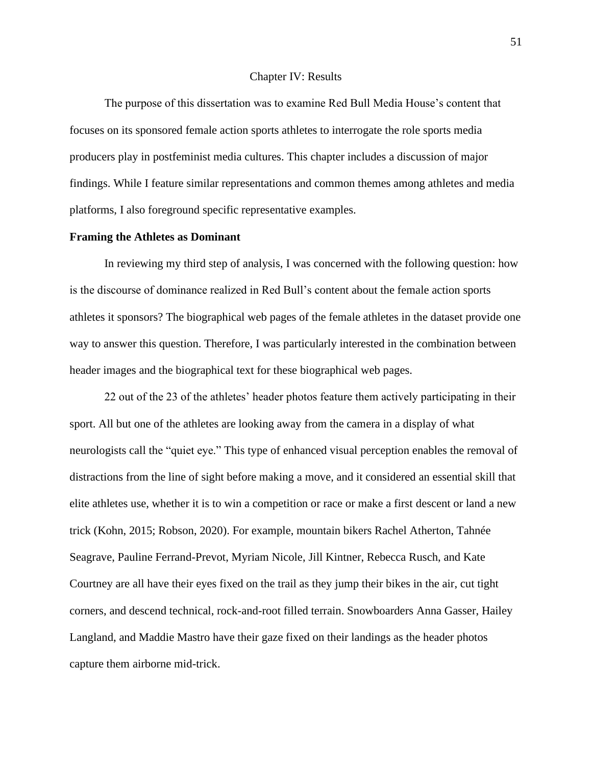#### Chapter IV: Results

The purpose of this dissertation was to examine Red Bull Media House's content that focuses on its sponsored female action sports athletes to interrogate the role sports media producers play in postfeminist media cultures. This chapter includes a discussion of major findings. While I feature similar representations and common themes among athletes and media platforms, I also foreground specific representative examples.

## **Framing the Athletes as Dominant**

In reviewing my third step of analysis, I was concerned with the following question: how is the discourse of dominance realized in Red Bull's content about the female action sports athletes it sponsors? The biographical web pages of the female athletes in the dataset provide one way to answer this question. Therefore, I was particularly interested in the combination between header images and the biographical text for these biographical web pages.

22 out of the 23 of the athletes' header photos feature them actively participating in their sport. All but one of the athletes are looking away from the camera in a display of what neurologists call the "quiet eye." This type of enhanced visual perception enables the removal of distractions from the line of sight before making a move, and it considered an essential skill that elite athletes use, whether it is to win a competition or race or make a first descent or land a new trick (Kohn, 2015; Robson, 2020). For example, mountain bikers Rachel Atherton, Tahnée Seagrave, Pauline Ferrand-Prevot, Myriam Nicole, Jill Kintner, Rebecca Rusch, and Kate Courtney are all have their eyes fixed on the trail as they jump their bikes in the air, cut tight corners, and descend technical, rock-and-root filled terrain. Snowboarders Anna Gasser, Hailey Langland, and Maddie Mastro have their gaze fixed on their landings as the header photos capture them airborne mid-trick.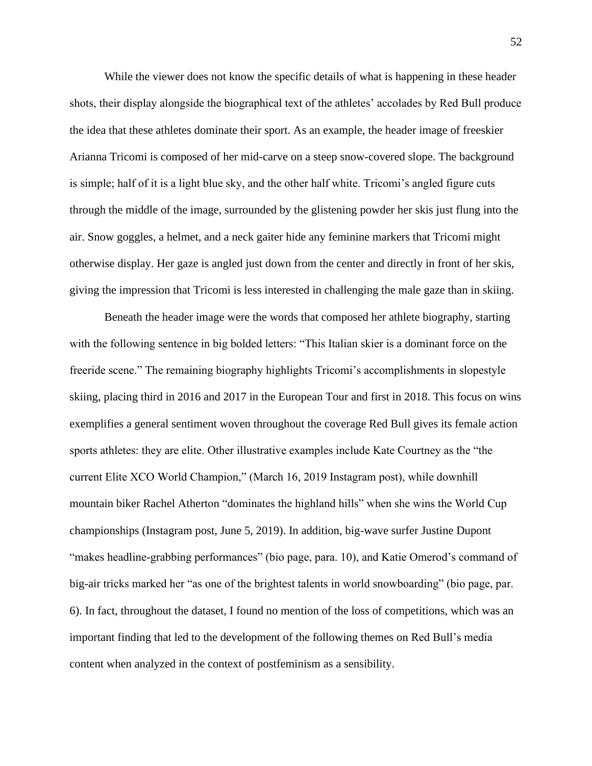While the viewer does not know the specific details of what is happening in these header shots, their display alongside the biographical text of the athletes' accolades by Red Bull produce the idea that these athletes dominate their sport. As an example, the header image of freeskier Arianna Tricomi is composed of her mid-carve on a steep snow-covered slope. The background is simple; half of it is a light blue sky, and the other half white. Tricomi's angled figure cuts through the middle of the image, surrounded by the glistening powder her skis just flung into the air. Snow goggles, a helmet, and a neck gaiter hide any feminine markers that Tricomi might otherwise display. Her gaze is angled just down from the center and directly in front of her skis, giving the impression that Tricomi is less interested in challenging the male gaze than in skiing.

Beneath the header image were the words that composed her athlete biography, starting with the following sentence in big bolded letters: "This Italian skier is a dominant force on the freeride scene." The remaining biography highlights Tricomi's accomplishments in slopestyle skiing, placing third in 2016 and 2017 in the European Tour and first in 2018. This focus on wins exemplifies a general sentiment woven throughout the coverage Red Bull gives its female action sports athletes: they are elite. Other illustrative examples include Kate Courtney as the "the current Elite XCO World Champion," (March 16, 2019 Instagram post), while downhill mountain biker Rachel Atherton "dominates the highland hills" when she wins the World Cup championships (Instagram post, June 5, 2019). In addition, big-wave surfer Justine Dupont "makes headline-grabbing performances" (bio page, para. 10), and Katie Omerod's command of big-air tricks marked her "as one of the brightest talents in world snowboarding" (bio page, par. 6). In fact, throughout the dataset, I found no mention of the loss of competitions, which was an important finding that led to the development of the following themes on Red Bull's media content when analyzed in the context of postfeminism as a sensibility.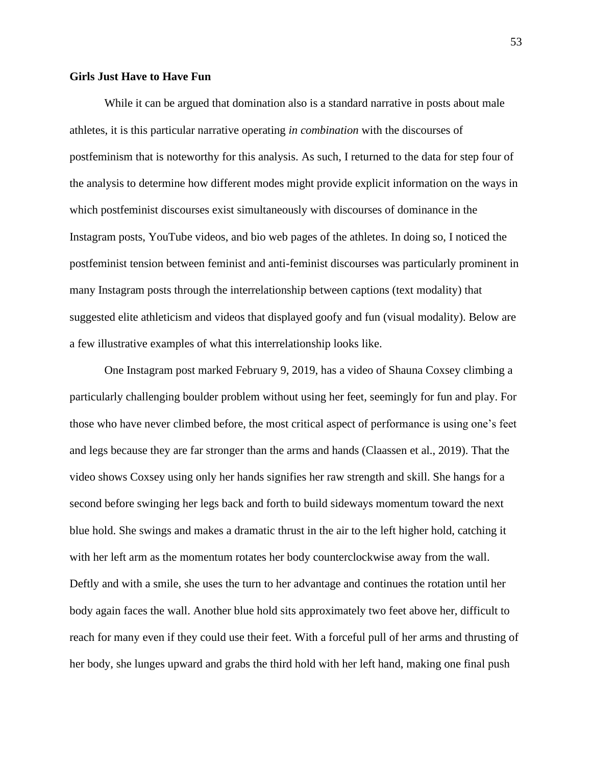## **Girls Just Have to Have Fun**

While it can be argued that domination also is a standard narrative in posts about male athletes, it is this particular narrative operating *in combination* with the discourses of postfeminism that is noteworthy for this analysis. As such, I returned to the data for step four of the analysis to determine how different modes might provide explicit information on the ways in which postfeminist discourses exist simultaneously with discourses of dominance in the Instagram posts, YouTube videos, and bio web pages of the athletes. In doing so, I noticed the postfeminist tension between feminist and anti-feminist discourses was particularly prominent in many Instagram posts through the interrelationship between captions (text modality) that suggested elite athleticism and videos that displayed goofy and fun (visual modality). Below are a few illustrative examples of what this interrelationship looks like.

One Instagram post marked February 9, 2019, has a video of Shauna Coxsey climbing a particularly challenging boulder problem without using her feet, seemingly for fun and play. For those who have never climbed before, the most critical aspect of performance is using one's feet and legs because they are far stronger than the arms and hands (Claassen et al., 2019). That the video shows Coxsey using only her hands signifies her raw strength and skill. She hangs for a second before swinging her legs back and forth to build sideways momentum toward the next blue hold. She swings and makes a dramatic thrust in the air to the left higher hold, catching it with her left arm as the momentum rotates her body counterclockwise away from the wall. Deftly and with a smile, she uses the turn to her advantage and continues the rotation until her body again faces the wall. Another blue hold sits approximately two feet above her, difficult to reach for many even if they could use their feet. With a forceful pull of her arms and thrusting of her body, she lunges upward and grabs the third hold with her left hand, making one final push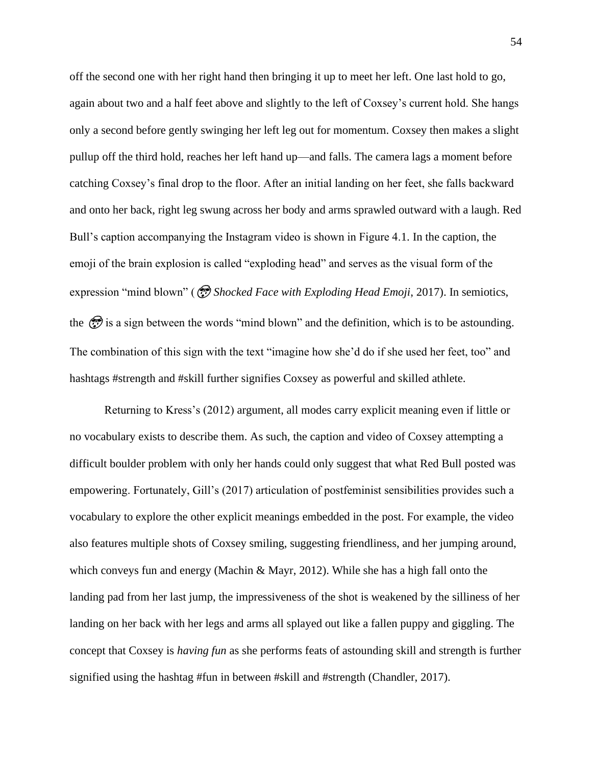off the second one with her right hand then bringing it up to meet her left. One last hold to go, again about two and a half feet above and slightly to the left of Coxsey's current hold. She hangs only a second before gently swinging her left leg out for momentum. Coxsey then makes a slight pullup off the third hold, reaches her left hand up—and falls. The camera lags a moment before catching Coxsey's final drop to the floor. After an initial landing on her feet, she falls backward and onto her back, right leg swung across her body and arms sprawled outward with a laugh. Red Bull's caption accompanying the Instagram video is shown in Figure 4.1. In the caption, the emoji of the brain explosion is called "exploding head" and serves as the visual form of the expression "mind blown" ( *Shocked Face with Exploding Head Emoji*, 2017). In semiotics, the  $\circled{r}$  is a sign between the words "mind blown" and the definition, which is to be astounding. The combination of this sign with the text "imagine how she'd do if she used her feet, too" and hashtags #strength and #skill further signifies Coxsey as powerful and skilled athlete.

Returning to Kress's (2012) argument, all modes carry explicit meaning even if little or no vocabulary exists to describe them. As such, the caption and video of Coxsey attempting a difficult boulder problem with only her hands could only suggest that what Red Bull posted was empowering. Fortunately, Gill's (2017) articulation of postfeminist sensibilities provides such a vocabulary to explore the other explicit meanings embedded in the post. For example, the video also features multiple shots of Coxsey smiling, suggesting friendliness, and her jumping around, which conveys fun and energy (Machin & Mayr, 2012). While she has a high fall onto the landing pad from her last jump, the impressiveness of the shot is weakened by the silliness of her landing on her back with her legs and arms all splayed out like a fallen puppy and giggling. The concept that Coxsey is *having fun* as she performs feats of astounding skill and strength is further signified using the hashtag #fun in between #skill and #strength (Chandler, 2017).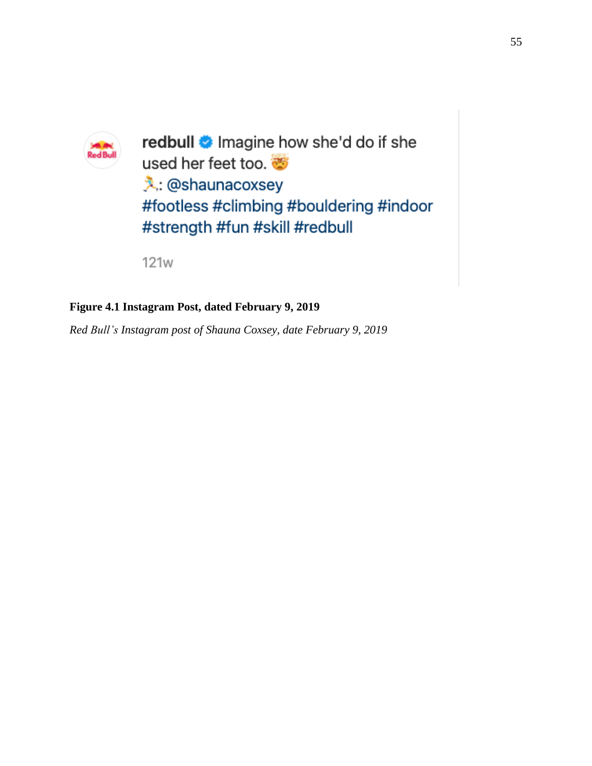

redbull **\*** Imagine how she'd do if she used her feet too. 义: @shaunacoxsey #footless #climbing #bouldering #indoor #strength #fun #skill #redbull

**121w** 

# **Figure 4.1 Instagram Post, dated February 9, 2019**

*Red Bull's Instagram post of Shauna Coxsey, date February 9, 2019*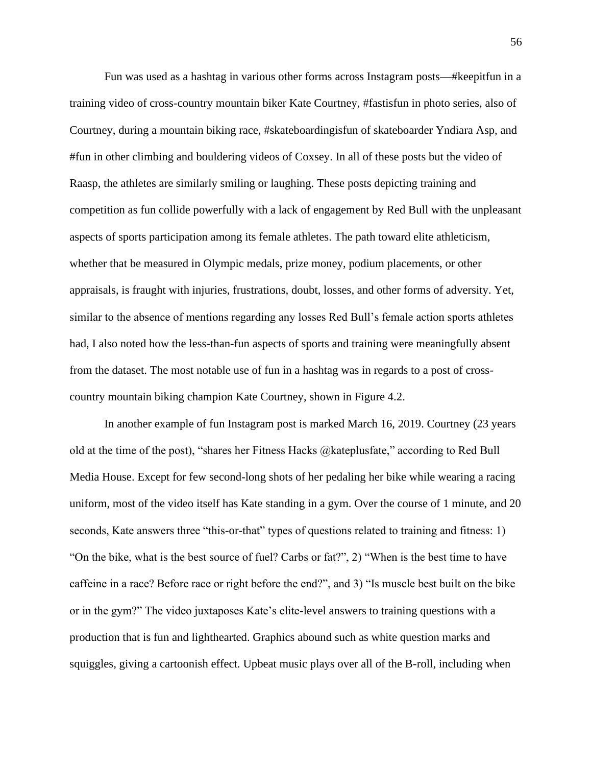Fun was used as a hashtag in various other forms across Instagram posts—#keepitfun in a training video of cross-country mountain biker Kate Courtney, #fastisfun in photo series, also of Courtney, during a mountain biking race, #skateboardingisfun of skateboarder Yndiara Asp, and #fun in other climbing and bouldering videos of Coxsey. In all of these posts but the video of Raasp, the athletes are similarly smiling or laughing. These posts depicting training and competition as fun collide powerfully with a lack of engagement by Red Bull with the unpleasant aspects of sports participation among its female athletes. The path toward elite athleticism, whether that be measured in Olympic medals, prize money, podium placements, or other appraisals, is fraught with injuries, frustrations, doubt, losses, and other forms of adversity. Yet, similar to the absence of mentions regarding any losses Red Bull's female action sports athletes had, I also noted how the less-than-fun aspects of sports and training were meaningfully absent from the dataset. The most notable use of fun in a hashtag was in regards to a post of crosscountry mountain biking champion Kate Courtney, shown in Figure 4.2.

In another example of fun Instagram post is marked March 16, 2019. Courtney (23 years old at the time of the post), "shares her Fitness Hacks @kateplusfate," according to Red Bull Media House. Except for few second-long shots of her pedaling her bike while wearing a racing uniform, most of the video itself has Kate standing in a gym. Over the course of 1 minute, and 20 seconds, Kate answers three "this-or-that" types of questions related to training and fitness: 1) "On the bike, what is the best source of fuel? Carbs or fat?", 2) "When is the best time to have caffeine in a race? Before race or right before the end?", and 3) "Is muscle best built on the bike or in the gym?" The video juxtaposes Kate's elite-level answers to training questions with a production that is fun and lighthearted. Graphics abound such as white question marks and squiggles, giving a cartoonish effect. Upbeat music plays over all of the B-roll, including when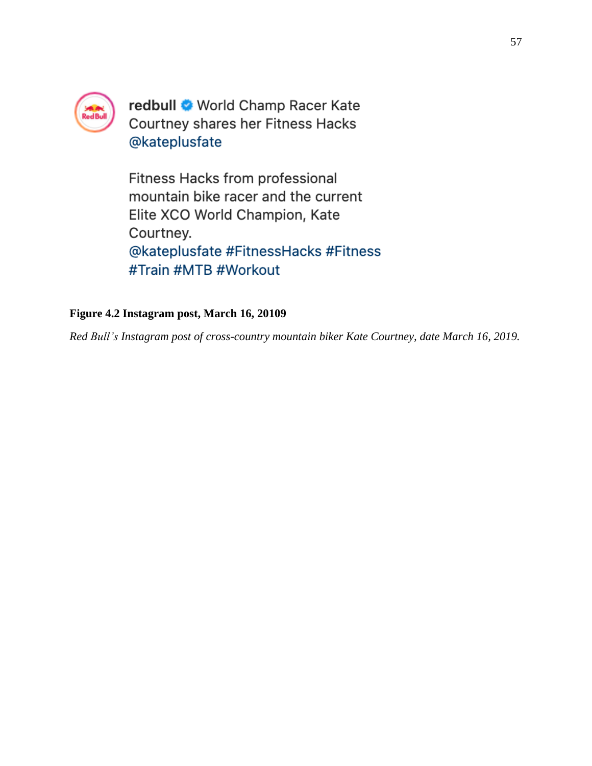

redbull World Champ Racer Kate Courtney shares her Fitness Hacks @kateplusfate

Fitness Hacks from professional mountain bike racer and the current Elite XCO World Champion, Kate Courtney. @kateplusfate #FitnessHacks #Fitness #Train #MTB #Workout

# **Figure 4.2 Instagram post, March 16, 20109**

*Red Bull's Instagram post of cross-country mountain biker Kate Courtney, date March 16, 2019.*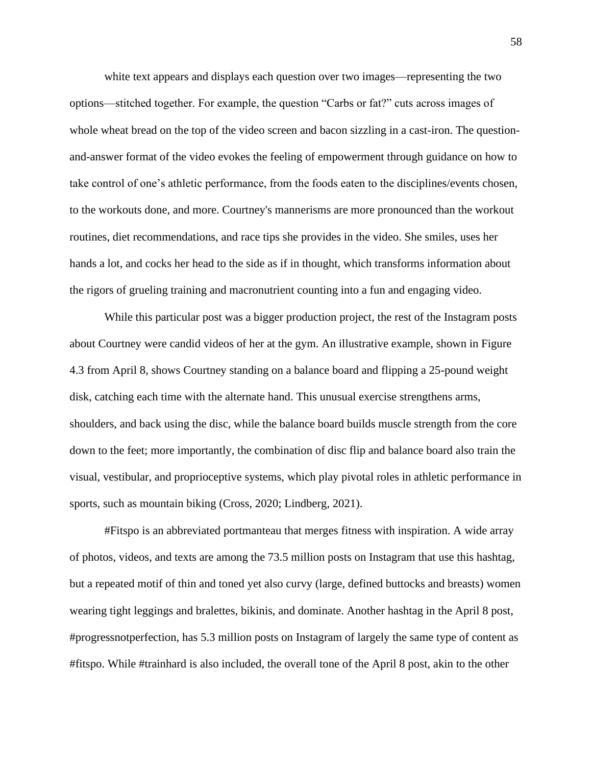white text appears and displays each question over two images—representing the two options—stitched together. For example, the question "Carbs or fat?" cuts across images of whole wheat bread on the top of the video screen and bacon sizzling in a cast-iron. The questionand-answer format of the video evokes the feeling of empowerment through guidance on how to take control of one's athletic performance, from the foods eaten to the disciplines/events chosen, to the workouts done, and more. Courtney's mannerisms are more pronounced than the workout routines, diet recommendations, and race tips she provides in the video. She smiles, uses her hands a lot, and cocks her head to the side as if in thought, which transforms information about the rigors of grueling training and macronutrient counting into a fun and engaging video.

While this particular post was a bigger production project, the rest of the Instagram posts about Courtney were candid videos of her at the gym. An illustrative example, shown in Figure 4.3 from April 8, shows Courtney standing on a balance board and flipping a 25-pound weight disk, catching each time with the alternate hand. This unusual exercise strengthens arms, shoulders, and back using the disc, while the balance board builds muscle strength from the core down to the feet; more importantly, the combination of disc flip and balance board also train the visual, vestibular, and proprioceptive systems, which play pivotal roles in athletic performance in sports, such as mountain biking (Cross, 2020; Lindberg, 2021).

#Fitspo is an abbreviated portmanteau that merges fitness with inspiration. A wide array of photos, videos, and texts are among the 73.5 million posts on Instagram that use this hashtag, but a repeated motif of thin and toned yet also curvy (large, defined buttocks and breasts) women wearing tight leggings and bralettes, bikinis, and dominate. Another hashtag in the April 8 post, #progressnotperfection, has 5.3 million posts on Instagram of largely the same type of content as #fitspo. While #trainhard is also included, the overall tone of the April 8 post, akin to the other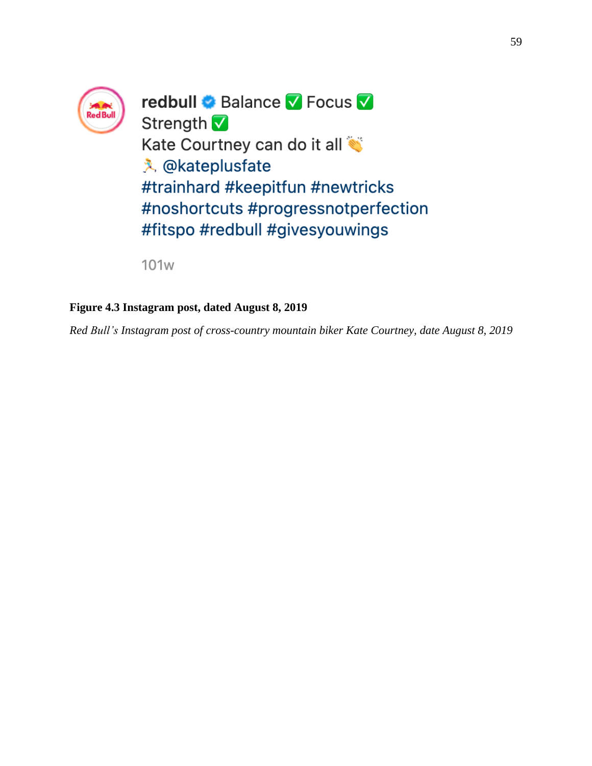

redbull & Balance V Focus V Strength V Kate Courtney can do it all **入** @kateplusfate #trainhard #keepitfun #newtricks #noshortcuts #progressnotperfection #fitspo #redbull #givesyouwings

**101w** 

# **Figure 4.3 Instagram post, dated August 8, 2019**

*Red Bull's Instagram post of cross-country mountain biker Kate Courtney, date August 8, 2019*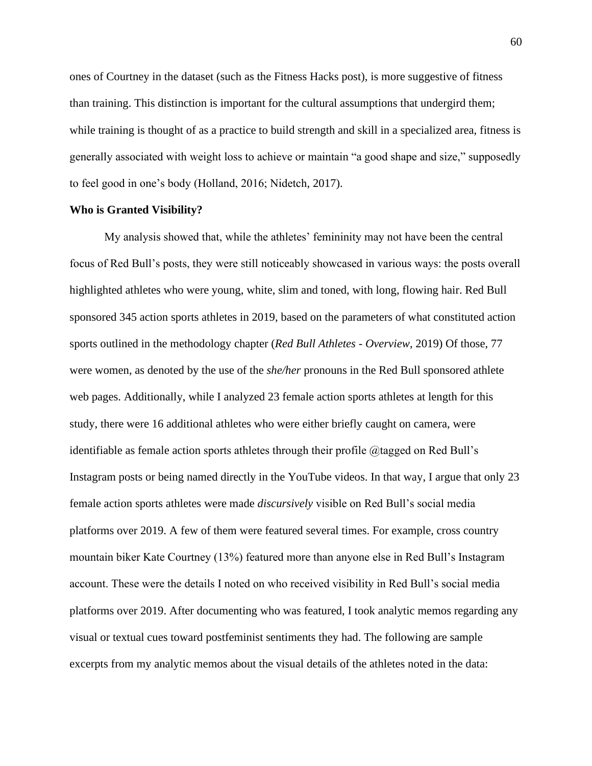ones of Courtney in the dataset (such as the Fitness Hacks post), is more suggestive of fitness than training. This distinction is important for the cultural assumptions that undergird them; while training is thought of as a practice to build strength and skill in a specialized area, fitness is generally associated with weight loss to achieve or maintain "a good shape and size," supposedly to feel good in one's body (Holland, 2016; Nidetch, 2017).

## **Who is Granted Visibility?**

My analysis showed that, while the athletes' femininity may not have been the central focus of Red Bull's posts, they were still noticeably showcased in various ways: the posts overall highlighted athletes who were young, white, slim and toned, with long, flowing hair. Red Bull sponsored 345 action sports athletes in 2019, based on the parameters of what constituted action sports outlined in the methodology chapter (*Red Bull Athletes - Overview*, 2019) Of those, 77 were women, as denoted by the use of the *she/her* pronouns in the Red Bull sponsored athlete web pages. Additionally, while I analyzed 23 female action sports athletes at length for this study, there were 16 additional athletes who were either briefly caught on camera, were identifiable as female action sports athletes through their profile @tagged on Red Bull's Instagram posts or being named directly in the YouTube videos. In that way, I argue that only 23 female action sports athletes were made *discursively* visible on Red Bull's social media platforms over 2019. A few of them were featured several times. For example, cross country mountain biker Kate Courtney (13%) featured more than anyone else in Red Bull's Instagram account. These were the details I noted on who received visibility in Red Bull's social media platforms over 2019. After documenting who was featured, I took analytic memos regarding any visual or textual cues toward postfeminist sentiments they had. The following are sample excerpts from my analytic memos about the visual details of the athletes noted in the data: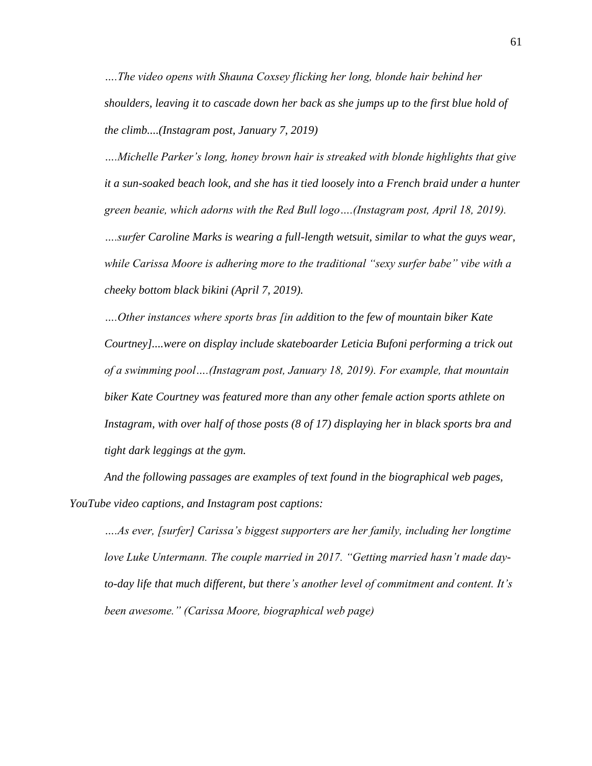*….The video opens with Shauna Coxsey flicking her long, blonde hair behind her shoulders, leaving it to cascade down her back as she jumps up to the first blue hold of the climb....(Instagram post, January 7, 2019)*

*….Michelle Parker's long, honey brown hair is streaked with blonde highlights that give it a sun-soaked beach look, and she has it tied loosely into a French braid under a hunter green beanie, which adorns with the Red Bull logo….(Instagram post, April 18, 2019). ….surfer Caroline Marks is wearing a full-length wetsuit, similar to what the guys wear, while Carissa Moore is adhering more to the traditional "sexy surfer babe" vibe with a cheeky bottom black bikini (April 7, 2019).*

*….Other instances where sports bras [in addition to the few of mountain biker Kate Courtney]....were on display include skateboarder Leticia Bufoni performing a trick out of a swimming pool….(Instagram post, January 18, 2019). For example, that mountain biker Kate Courtney was featured more than any other female action sports athlete on Instagram, with over half of those posts (8 of 17) displaying her in black sports bra and tight dark leggings at the gym.*

*And the following passages are examples of text found in the biographical web pages, YouTube video captions, and Instagram post captions:*

*….As ever, [surfer] Carissa's biggest supporters are her family, including her longtime love Luke Untermann. The couple married in 2017. "Getting married hasn't made dayto-day life that much different, but there's another level of commitment and content. It's been awesome." (Carissa Moore, biographical web page)*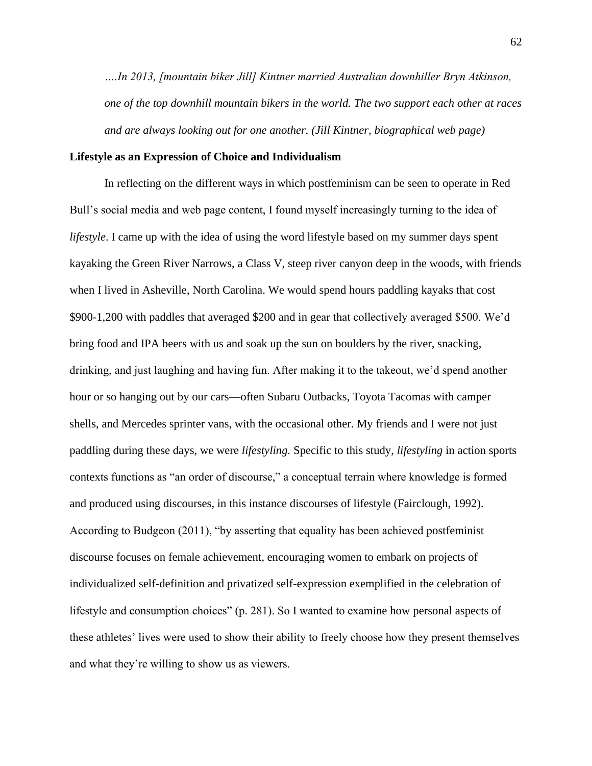*….In 2013, [mountain biker Jill] Kintner married Australian downhiller Bryn Atkinson, one of the top downhill mountain bikers in the world. The two support each other at races and are always looking out for one another. (Jill Kintner, biographical web page)*

## **Lifestyle as an Expression of Choice and Individualism**

In reflecting on the different ways in which postfeminism can be seen to operate in Red Bull's social media and web page content, I found myself increasingly turning to the idea of *lifestyle*. I came up with the idea of using the word lifestyle based on my summer days spent kayaking the Green River Narrows, a Class V, steep river canyon deep in the woods, with friends when I lived in Asheville, North Carolina. We would spend hours paddling kayaks that cost \$900-1,200 with paddles that averaged \$200 and in gear that collectively averaged \$500. We'd bring food and IPA beers with us and soak up the sun on boulders by the river, snacking, drinking, and just laughing and having fun. After making it to the takeout, we'd spend another hour or so hanging out by our cars—often Subaru Outbacks, Toyota Tacomas with camper shells, and Mercedes sprinter vans, with the occasional other. My friends and I were not just paddling during these days, we were *lifestyling.* Specific to this study, *lifestyling* in action sports contexts functions as "an order of discourse," a conceptual terrain where knowledge is formed and produced using discourses, in this instance discourses of lifestyle (Fairclough, 1992). According to Budgeon (2011), "by asserting that equality has been achieved postfeminist discourse focuses on female achievement, encouraging women to embark on projects of individualized self-definition and privatized self-expression exemplified in the celebration of lifestyle and consumption choices" (p. 281). So I wanted to examine how personal aspects of these athletes' lives were used to show their ability to freely choose how they present themselves and what they're willing to show us as viewers.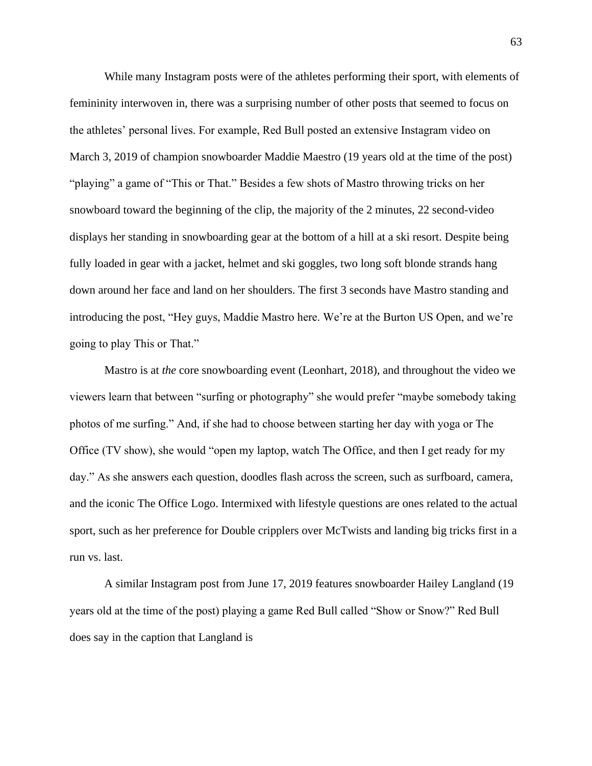While many Instagram posts were of the athletes performing their sport, with elements of femininity interwoven in, there was a surprising number of other posts that seemed to focus on the athletes' personal lives. For example, Red Bull posted an extensive Instagram video on March 3, 2019 of champion snowboarder Maddie Maestro (19 years old at the time of the post) "playing" a game of "This or That." Besides a few shots of Mastro throwing tricks on her snowboard toward the beginning of the clip, the majority of the 2 minutes, 22 second-video displays her standing in snowboarding gear at the bottom of a hill at a ski resort. Despite being fully loaded in gear with a jacket, helmet and ski goggles, two long soft blonde strands hang down around her face and land on her shoulders. The first 3 seconds have Mastro standing and introducing the post, "Hey guys, Maddie Mastro here. We're at the Burton US Open, and we're going to play This or That."

Mastro is at *the* core snowboarding event (Leonhart, 2018), and throughout the video we viewers learn that between "surfing or photography" she would prefer "maybe somebody taking photos of me surfing." And, if she had to choose between starting her day with yoga or The Office (TV show), she would "open my laptop, watch The Office, and then I get ready for my day." As she answers each question, doodles flash across the screen, such as surfboard, camera, and the iconic The Office Logo. Intermixed with lifestyle questions are ones related to the actual sport, such as her preference for Double cripplers over McTwists and landing big tricks first in a run vs. last.

A similar Instagram post from June 17, 2019 features snowboarder Hailey Langland (19 years old at the time of the post) playing a game Red Bull called "Show or Snow?" Red Bull does say in the caption that Langland is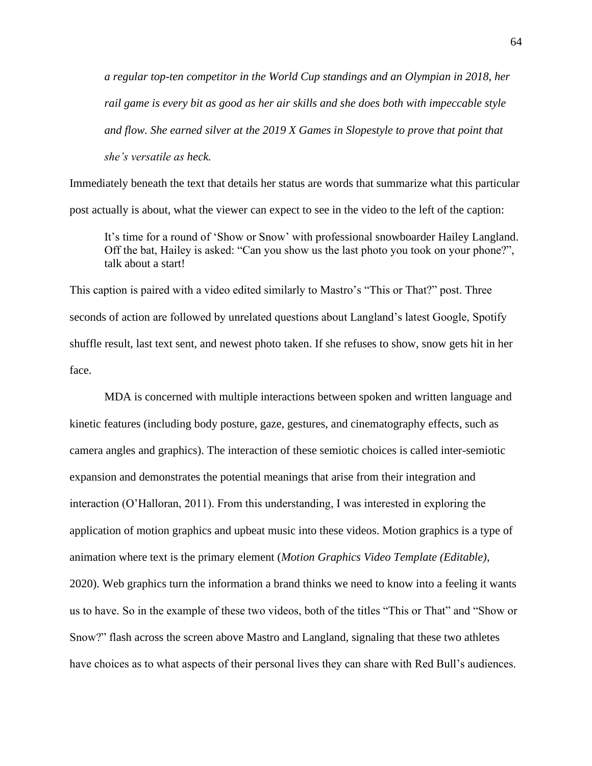*a regular top-ten competitor in the World Cup standings and an Olympian in 2018, her rail game is every bit as good as her air skills and she does both with impeccable style and flow. She earned silver at the 2019 X Games in Slopestyle to prove that point that she's versatile as heck.*

Immediately beneath the text that details her status are words that summarize what this particular post actually is about, what the viewer can expect to see in the video to the left of the caption:

It's time for a round of 'Show or Snow' with professional snowboarder Hailey Langland. Off the bat, Hailey is asked: "Can you show us the last photo you took on your phone?", talk about a start!

This caption is paired with a video edited similarly to Mastro's "This or That?" post. Three seconds of action are followed by unrelated questions about Langland's latest Google, Spotify shuffle result, last text sent, and newest photo taken. If she refuses to show, snow gets hit in her face.

MDA is concerned with multiple interactions between spoken and written language and kinetic features (including body posture, gaze, gestures, and cinematography effects, such as camera angles and graphics). The interaction of these semiotic choices is called inter-semiotic expansion and demonstrates the potential meanings that arise from their integration and interaction (O'Halloran, 2011). From this understanding, I was interested in exploring the application of motion graphics and upbeat music into these videos. Motion graphics is a type of animation where text is the primary element (*Motion Graphics Video Template (Editable)*, 2020). Web graphics turn the information a brand thinks we need to know into a feeling it wants us to have. So in the example of these two videos, both of the titles "This or That" and "Show or Snow?" flash across the screen above Mastro and Langland, signaling that these two athletes have choices as to what aspects of their personal lives they can share with Red Bull's audiences.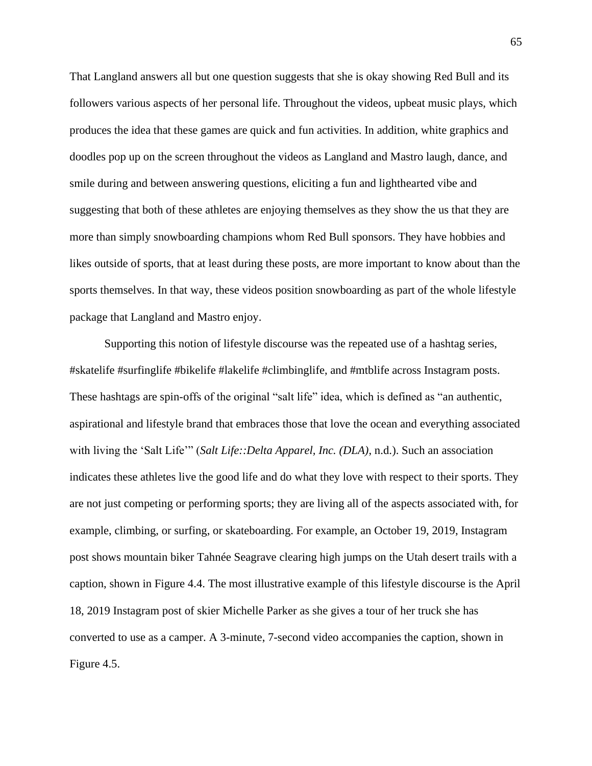That Langland answers all but one question suggests that she is okay showing Red Bull and its followers various aspects of her personal life. Throughout the videos, upbeat music plays, which produces the idea that these games are quick and fun activities. In addition, white graphics and doodles pop up on the screen throughout the videos as Langland and Mastro laugh, dance, and smile during and between answering questions, eliciting a fun and lighthearted vibe and suggesting that both of these athletes are enjoying themselves as they show the us that they are more than simply snowboarding champions whom Red Bull sponsors. They have hobbies and likes outside of sports, that at least during these posts, are more important to know about than the sports themselves. In that way, these videos position snowboarding as part of the whole lifestyle package that Langland and Mastro enjoy.

Supporting this notion of lifestyle discourse was the repeated use of a hashtag series, #skatelife #surfinglife #bikelife #lakelife #climbinglife, and #mtblife across Instagram posts. These hashtags are spin-offs of the original "salt life" idea, which is defined as "an authentic, aspirational and lifestyle brand that embraces those that love the ocean and everything associated with living the 'Salt Life'" (*Salt Life::Delta Apparel, Inc. (DLA)*, n.d.). Such an association indicates these athletes live the good life and do what they love with respect to their sports. They are not just competing or performing sports; they are living all of the aspects associated with, for example, climbing, or surfing, or skateboarding. For example, an October 19, 2019, Instagram post shows mountain biker Tahnée Seagrave clearing high jumps on the Utah desert trails with a caption, shown in Figure 4.4. The most illustrative example of this lifestyle discourse is the April 18, 2019 Instagram post of skier Michelle Parker as she gives a tour of her truck she has converted to use as a camper. A 3-minute, 7-second video accompanies the caption, shown in Figure 4.5.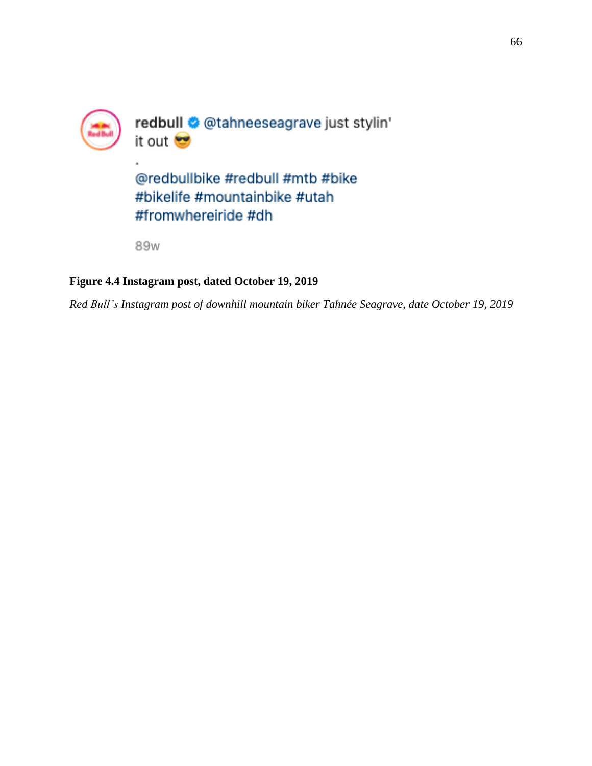

89w

# **Figure 4.4 Instagram post, dated October 19, 2019**

*Red Bull's Instagram post of downhill mountain biker Tahnée Seagrave, date October 19, 2019*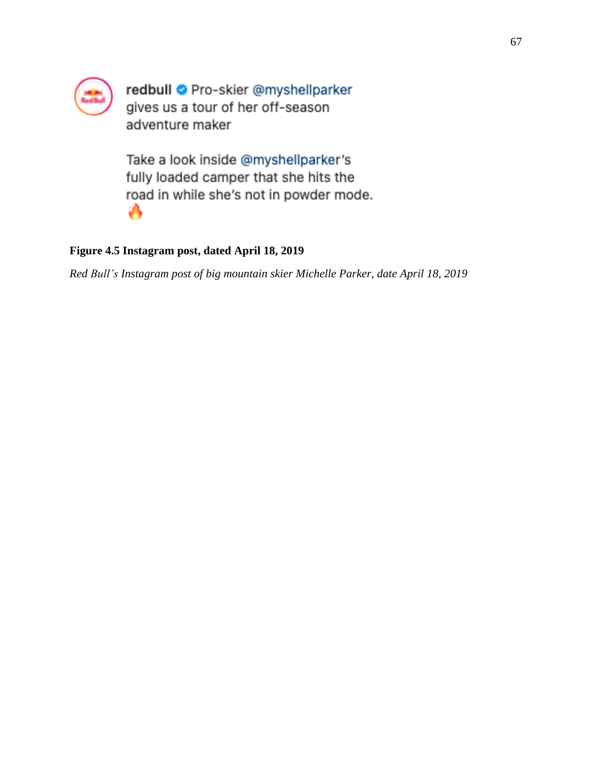

redbull Pro-skier @myshellparker gives us a tour of her off-season adventure maker

Take a look inside @myshellparker's fully loaded camper that she hits the road in while she's not in powder mode. ۰

# **Figure 4.5 Instagram post, dated April 18, 2019**

*Red Bull's Instagram post of big mountain skier Michelle Parker, date April 18, 2019*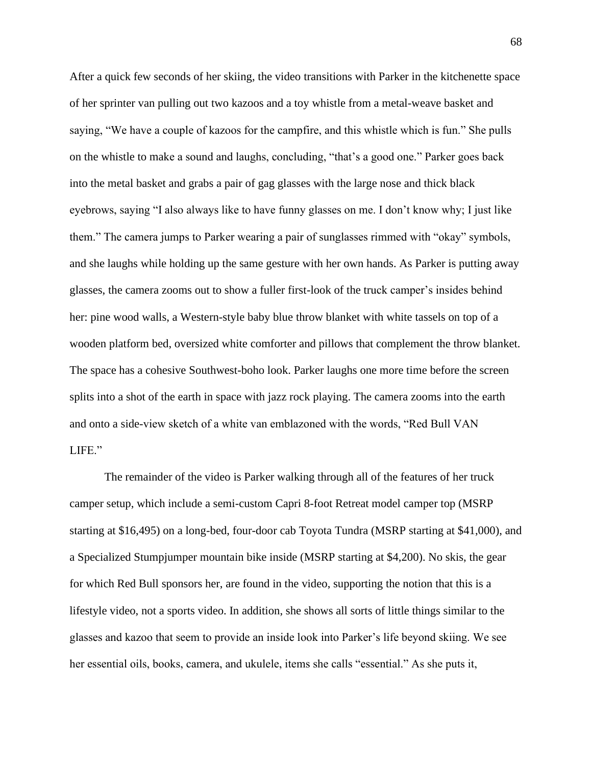After a quick few seconds of her skiing, the video transitions with Parker in the kitchenette space of her sprinter van pulling out two kazoos and a toy whistle from a metal-weave basket and saying, "We have a couple of kazoos for the campfire, and this whistle which is fun." She pulls on the whistle to make a sound and laughs, concluding, "that's a good one." Parker goes back into the metal basket and grabs a pair of gag glasses with the large nose and thick black eyebrows, saying "I also always like to have funny glasses on me. I don't know why; I just like them." The camera jumps to Parker wearing a pair of sunglasses rimmed with "okay" symbols, and she laughs while holding up the same gesture with her own hands. As Parker is putting away glasses, the camera zooms out to show a fuller first-look of the truck camper's insides behind her: pine wood walls, a Western-style baby blue throw blanket with white tassels on top of a wooden platform bed, oversized white comforter and pillows that complement the throw blanket. The space has a cohesive Southwest-boho look. Parker laughs one more time before the screen splits into a shot of the earth in space with jazz rock playing. The camera zooms into the earth and onto a side-view sketch of a white van emblazoned with the words, "Red Bull VAN LIFE."

The remainder of the video is Parker walking through all of the features of her truck camper setup, which include a semi-custom Capri 8-foot Retreat model camper top (MSRP starting at \$16,495) on a long-bed, four-door cab Toyota Tundra (MSRP starting at \$41,000), and a Specialized Stumpjumper mountain bike inside (MSRP starting at \$4,200). No skis, the gear for which Red Bull sponsors her, are found in the video, supporting the notion that this is a lifestyle video, not a sports video. In addition, she shows all sorts of little things similar to the glasses and kazoo that seem to provide an inside look into Parker's life beyond skiing. We see her essential oils, books, camera, and ukulele, items she calls "essential." As she puts it,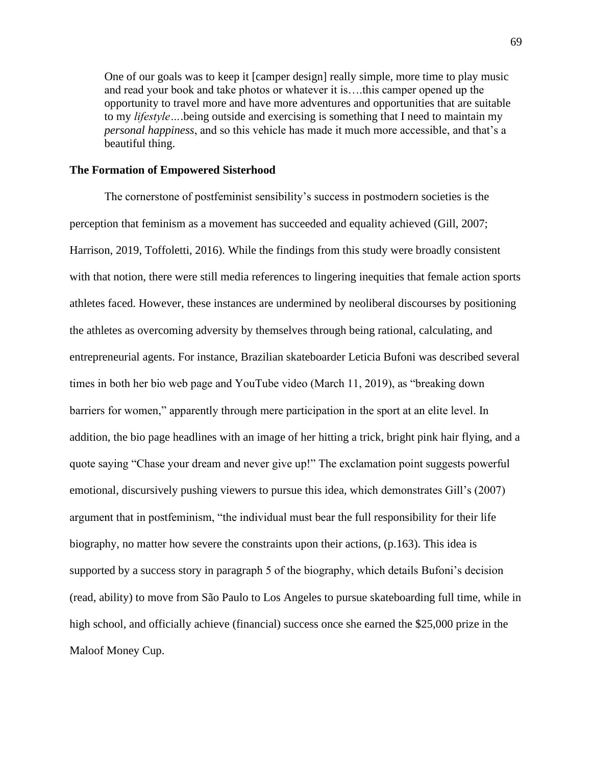One of our goals was to keep it [camper design] really simple, more time to play music and read your book and take photos or whatever it is….this camper opened up the opportunity to travel more and have more adventures and opportunities that are suitable to my *lifestyle…*.being outside and exercising is something that I need to maintain my *personal happiness*, and so this vehicle has made it much more accessible, and that's a beautiful thing.

# **The Formation of Empowered Sisterhood**

The cornerstone of postfeminist sensibility's success in postmodern societies is the perception that feminism as a movement has succeeded and equality achieved (Gill, 2007; Harrison, 2019, Toffoletti, 2016). While the findings from this study were broadly consistent with that notion, there were still media references to lingering inequities that female action sports athletes faced. However, these instances are undermined by neoliberal discourses by positioning the athletes as overcoming adversity by themselves through being rational, calculating, and entrepreneurial agents. For instance, Brazilian skateboarder Leticia Bufoni was described several times in both her bio web page and YouTube video (March 11, 2019), as "breaking down barriers for women," apparently through mere participation in the sport at an elite level. In addition, the bio page headlines with an image of her hitting a trick, bright pink hair flying, and a quote saying "Chase your dream and never give up!" The exclamation point suggests powerful emotional, discursively pushing viewers to pursue this idea, which demonstrates Gill's (2007) argument that in postfeminism, "the individual must bear the full responsibility for their life biography, no matter how severe the constraints upon their actions, (p.163). This idea is supported by a success story in paragraph 5 of the biography, which details Bufoni's decision (read, ability) to move from São Paulo to Los Angeles to pursue skateboarding full time, while in high school, and officially achieve (financial) success once she earned the \$25,000 prize in the Maloof Money Cup.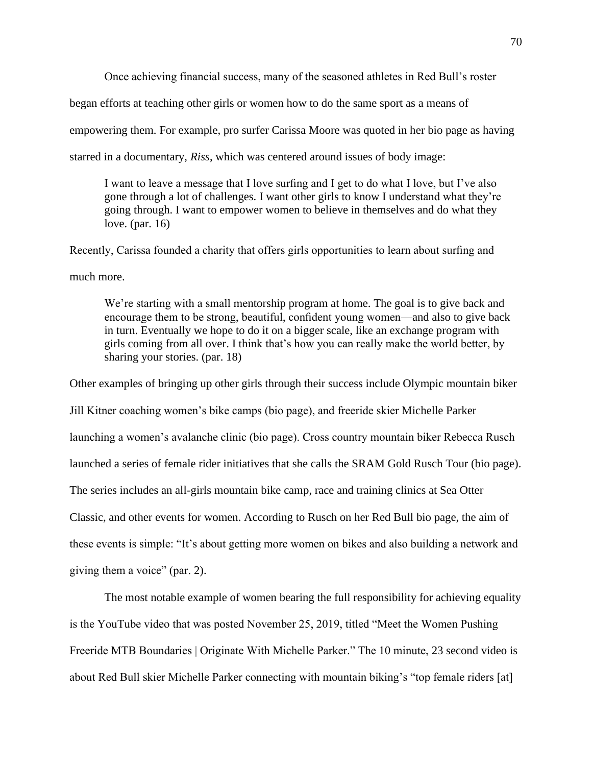Once achieving financial success, many of the seasoned athletes in Red Bull's roster

began efforts at teaching other girls or women how to do the same sport as a means of

empowering them. For example, pro surfer Carissa Moore was quoted in her bio page as having

starred in a documentary, *Riss*, which was centered around issues of body image:

I want to leave a message that I love surfing and I get to do what I love, but I've also gone through a lot of challenges. I want other girls to know I understand what they're going through. I want to empower women to believe in themselves and do what they love. (par. 16)

Recently, Carissa founded a charity that offers girls opportunities to learn about surfing and much more.

We're starting with a small mentorship program at home. The goal is to give back and encourage them to be strong, beautiful, confident young women—and also to give back in turn. Eventually we hope to do it on a bigger scale, like an exchange program with girls coming from all over. I think that's how you can really make the world better, by sharing your stories. (par. 18)

Other examples of bringing up other girls through their success include Olympic mountain biker Jill Kitner coaching women's bike camps (bio page), and freeride skier Michelle Parker launching a women's avalanche clinic (bio page). Cross country mountain biker Rebecca Rusch launched a series of female rider initiatives that she calls the SRAM Gold Rusch Tour (bio page). The series includes an all-girls mountain bike camp, race and training clinics at Sea Otter Classic, and other events for women. According to Rusch on her Red Bull bio page, the aim of these events is simple: "It's about getting more women on bikes and also building a network and giving them a voice" (par. 2).

The most notable example of women bearing the full responsibility for achieving equality is the YouTube video that was posted November 25, 2019, titled "Meet the Women Pushing Freeride MTB Boundaries | Originate With Michelle Parker." The 10 minute, 23 second video is about Red Bull skier Michelle Parker connecting with mountain biking's "top female riders [at]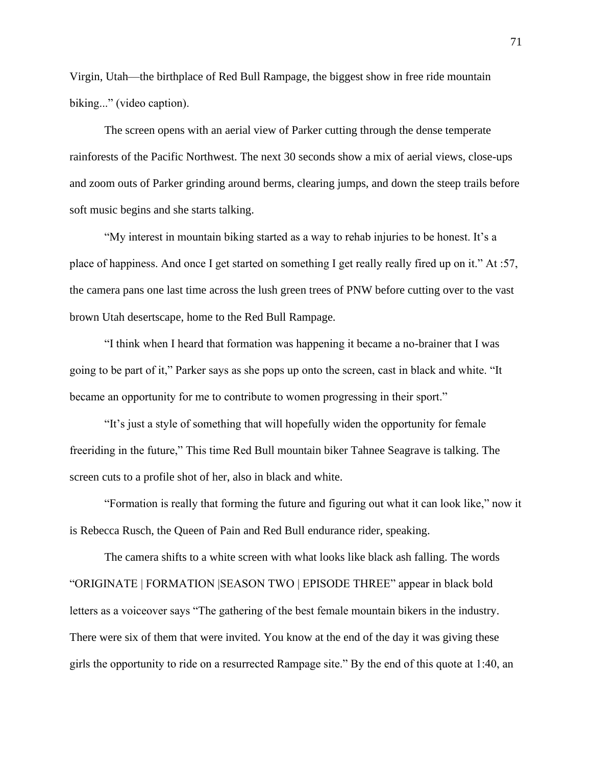Virgin, Utah—the birthplace of Red Bull Rampage, the biggest show in free ride mountain biking..." (video caption).

The screen opens with an aerial view of Parker cutting through the dense temperate rainforests of the Pacific Northwest. The next 30 seconds show a mix of aerial views, close-ups and zoom outs of Parker grinding around berms, clearing jumps, and down the steep trails before soft music begins and she starts talking.

"My interest in mountain biking started as a way to rehab injuries to be honest. It's a place of happiness. And once I get started on something I get really really fired up on it." At :57, the camera pans one last time across the lush green trees of PNW before cutting over to the vast brown Utah desertscape, home to the Red Bull Rampage.

"I think when I heard that formation was happening it became a no-brainer that I was going to be part of it," Parker says as she pops up onto the screen, cast in black and white. "It became an opportunity for me to contribute to women progressing in their sport."

"It's just a style of something that will hopefully widen the opportunity for female freeriding in the future," This time Red Bull mountain biker Tahnee Seagrave is talking. The screen cuts to a profile shot of her, also in black and white.

"Formation is really that forming the future and figuring out what it can look like," now it is Rebecca Rusch, the Queen of Pain and Red Bull endurance rider, speaking.

The camera shifts to a white screen with what looks like black ash falling. The words "ORIGINATE | FORMATION |SEASON TWO | EPISODE THREE" appear in black bold letters as a voiceover says "The gathering of the best female mountain bikers in the industry. There were six of them that were invited. You know at the end of the day it was giving these girls the opportunity to ride on a resurrected Rampage site." By the end of this quote at 1:40, an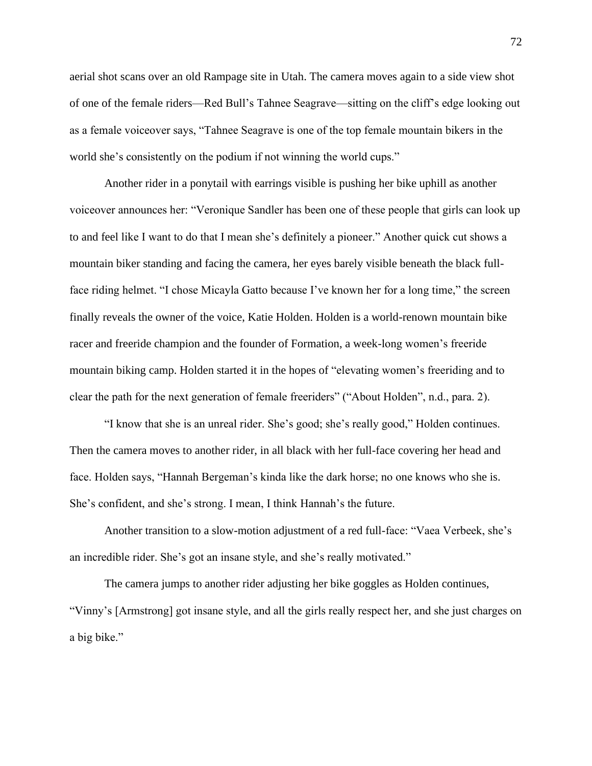aerial shot scans over an old Rampage site in Utah. The camera moves again to a side view shot of one of the female riders—Red Bull's Tahnee Seagrave—sitting on the cliff's edge looking out as a female voiceover says, "Tahnee Seagrave is one of the top female mountain bikers in the world she's consistently on the podium if not winning the world cups."

Another rider in a ponytail with earrings visible is pushing her bike uphill as another voiceover announces her: "Veronique Sandler has been one of these people that girls can look up to and feel like I want to do that I mean she's definitely a pioneer." Another quick cut shows a mountain biker standing and facing the camera, her eyes barely visible beneath the black fullface riding helmet. "I chose Micayla Gatto because I've known her for a long time," the screen finally reveals the owner of the voice, Katie Holden. Holden is a world-renown mountain bike racer and freeride champion and the founder of Formation, a week-long women's freeride mountain biking camp. Holden started it in the hopes of "elevating women's freeriding and to clear the path for the next generation of female freeriders" ("About Holden", n.d., para. 2).

"I know that she is an unreal rider. She's good; she's really good," Holden continues. Then the camera moves to another rider, in all black with her full-face covering her head and face. Holden says, "Hannah Bergeman's kinda like the dark horse; no one knows who she is. She's confident, and she's strong. I mean, I think Hannah's the future.

Another transition to a slow-motion adjustment of a red full-face: "Vaea Verbeek, she's an incredible rider. She's got an insane style, and she's really motivated."

The camera jumps to another rider adjusting her bike goggles as Holden continues, "Vinny's [Armstrong] got insane style, and all the girls really respect her, and she just charges on a big bike."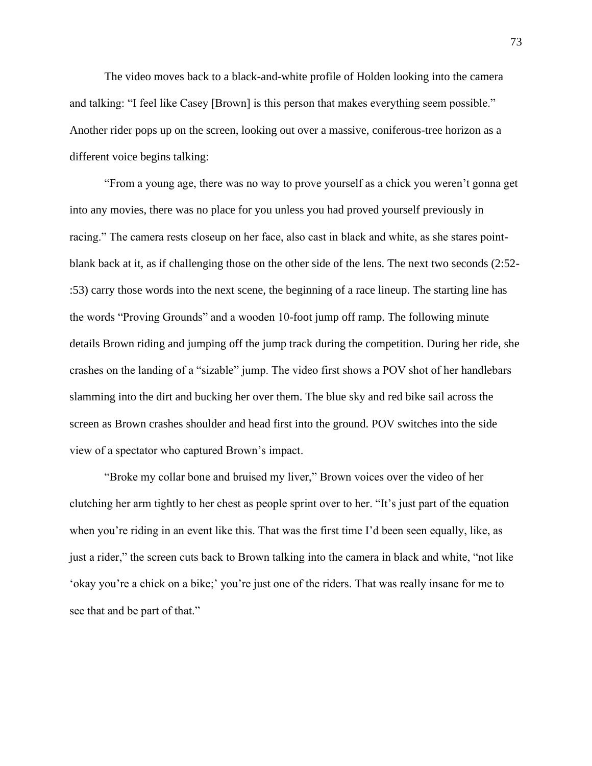The video moves back to a black-and-white profile of Holden looking into the camera and talking: "I feel like Casey [Brown] is this person that makes everything seem possible." Another rider pops up on the screen, looking out over a massive, coniferous-tree horizon as a different voice begins talking:

"From a young age, there was no way to prove yourself as a chick you weren't gonna get into any movies, there was no place for you unless you had proved yourself previously in racing." The camera rests closeup on her face, also cast in black and white, as she stares pointblank back at it, as if challenging those on the other side of the lens. The next two seconds (2:52- :53) carry those words into the next scene, the beginning of a race lineup. The starting line has the words "Proving Grounds" and a wooden 10-foot jump off ramp. The following minute details Brown riding and jumping off the jump track during the competition. During her ride, she crashes on the landing of a "sizable" jump. The video first shows a POV shot of her handlebars slamming into the dirt and bucking her over them. The blue sky and red bike sail across the screen as Brown crashes shoulder and head first into the ground. POV switches into the side view of a spectator who captured Brown's impact.

"Broke my collar bone and bruised my liver," Brown voices over the video of her clutching her arm tightly to her chest as people sprint over to her. "It's just part of the equation when you're riding in an event like this. That was the first time I'd been seen equally, like, as just a rider," the screen cuts back to Brown talking into the camera in black and white, "not like 'okay you're a chick on a bike;' you're just one of the riders. That was really insane for me to see that and be part of that."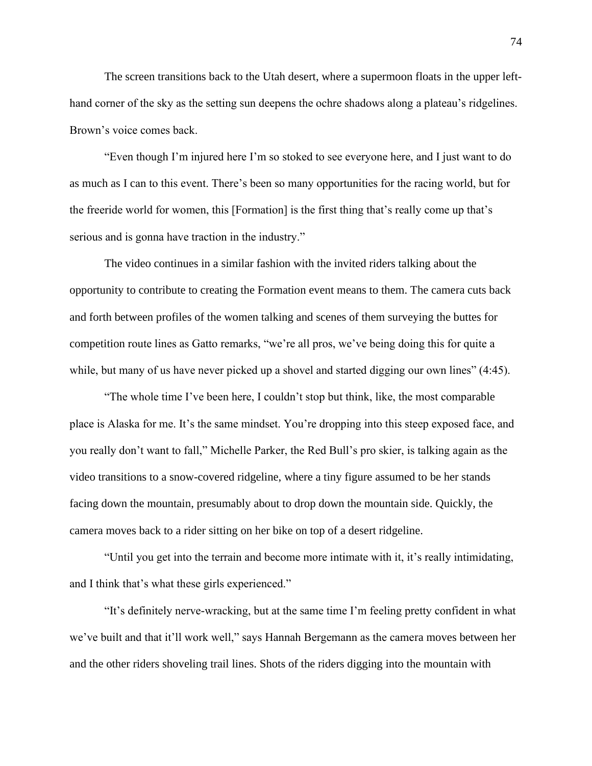The screen transitions back to the Utah desert, where a supermoon floats in the upper lefthand corner of the sky as the setting sun deepens the ochre shadows along a plateau's ridgelines. Brown's voice comes back.

"Even though I'm injured here I'm so stoked to see everyone here, and I just want to do as much as I can to this event. There's been so many opportunities for the racing world, but for the freeride world for women, this [Formation] is the first thing that's really come up that's serious and is gonna have traction in the industry."

The video continues in a similar fashion with the invited riders talking about the opportunity to contribute to creating the Formation event means to them. The camera cuts back and forth between profiles of the women talking and scenes of them surveying the buttes for competition route lines as Gatto remarks, "we're all pros, we've being doing this for quite a while, but many of us have never picked up a shovel and started digging our own lines" (4:45).

"The whole time I've been here, I couldn't stop but think, like, the most comparable place is Alaska for me. It's the same mindset. You're dropping into this steep exposed face, and you really don't want to fall," Michelle Parker, the Red Bull's pro skier, is talking again as the video transitions to a snow-covered ridgeline, where a tiny figure assumed to be her stands facing down the mountain, presumably about to drop down the mountain side. Quickly, the camera moves back to a rider sitting on her bike on top of a desert ridgeline.

"Until you get into the terrain and become more intimate with it, it's really intimidating, and I think that's what these girls experienced."

"It's definitely nerve-wracking, but at the same time I'm feeling pretty confident in what we've built and that it'll work well," says Hannah Bergemann as the camera moves between her and the other riders shoveling trail lines. Shots of the riders digging into the mountain with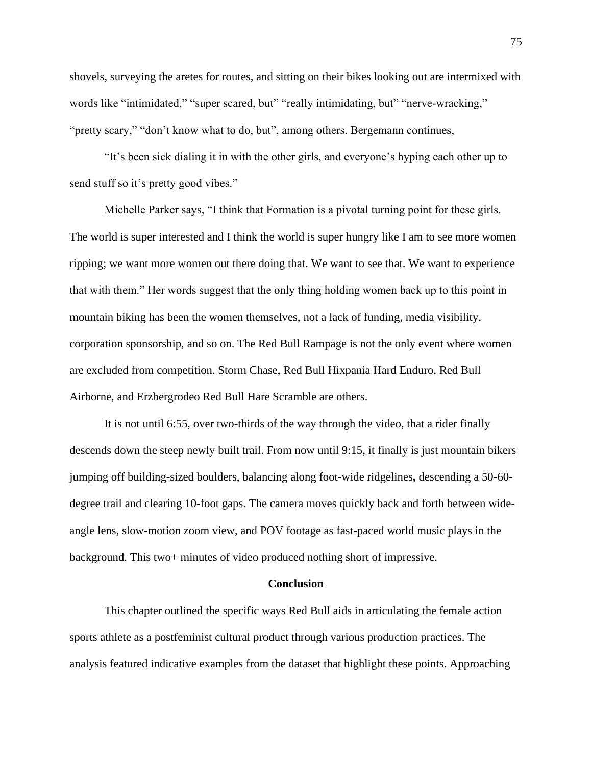shovels, surveying the aretes for routes, and sitting on their bikes looking out are intermixed with words like "intimidated," "super scared, but" "really intimidating, but" "nerve-wracking," "pretty scary," "don't know what to do, but", among others. Bergemann continues,

"It's been sick dialing it in with the other girls, and everyone's hyping each other up to send stuff so it's pretty good vibes."

Michelle Parker says, "I think that Formation is a pivotal turning point for these girls. The world is super interested and I think the world is super hungry like I am to see more women ripping; we want more women out there doing that. We want to see that. We want to experience that with them." Her words suggest that the only thing holding women back up to this point in mountain biking has been the women themselves, not a lack of funding, media visibility, corporation sponsorship, and so on. The Red Bull Rampage is not the only event where women are excluded from competition. Storm Chase, Red Bull Hixpania Hard Enduro, Red Bull Airborne, and Erzbergrodeo Red Bull Hare Scramble are others.

It is not until 6:55, over two-thirds of the way through the video, that a rider finally descends down the steep newly built trail. From now until 9:15, it finally is just mountain bikers jumping off building-sized boulders, balancing along foot-wide ridgelines**,** descending a 50-60 degree trail and clearing 10-foot gaps. The camera moves quickly back and forth between wideangle lens, slow-motion zoom view, and POV footage as fast-paced world music plays in the background. This two+ minutes of video produced nothing short of impressive.

#### **Conclusion**

This chapter outlined the specific ways Red Bull aids in articulating the female action sports athlete as a postfeminist cultural product through various production practices. The analysis featured indicative examples from the dataset that highlight these points. Approaching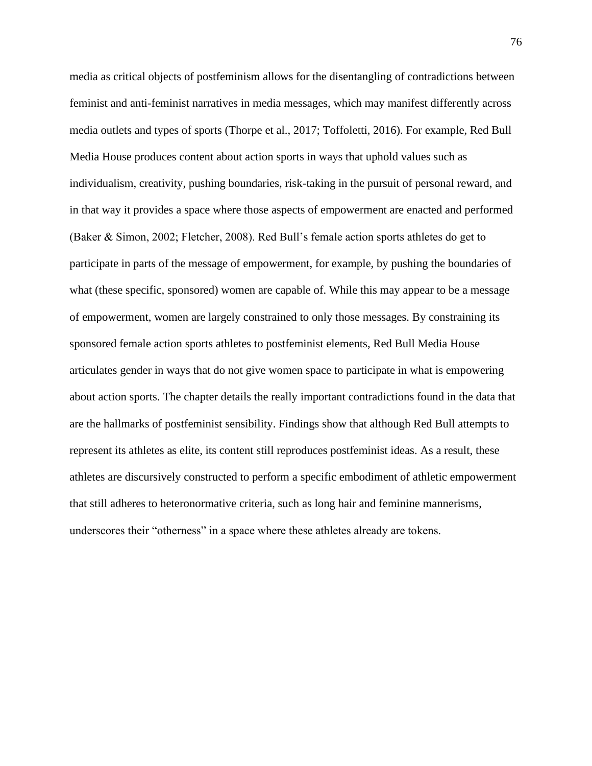media as critical objects of postfeminism allows for the disentangling of contradictions between feminist and anti-feminist narratives in media messages, which may manifest differently across media outlets and types of sports (Thorpe et al., 2017; Toffoletti, 2016). For example, Red Bull Media House produces content about action sports in ways that uphold values such as individualism, creativity, pushing boundaries, risk-taking in the pursuit of personal reward, and in that way it provides a space where those aspects of empowerment are enacted and performed (Baker & Simon, 2002; Fletcher, 2008). Red Bull's female action sports athletes do get to participate in parts of the message of empowerment, for example, by pushing the boundaries of what (these specific, sponsored) women are capable of. While this may appear to be a message of empowerment, women are largely constrained to only those messages. By constraining its sponsored female action sports athletes to postfeminist elements, Red Bull Media House articulates gender in ways that do not give women space to participate in what is empowering about action sports. The chapter details the really important contradictions found in the data that are the hallmarks of postfeminist sensibility. Findings show that although Red Bull attempts to represent its athletes as elite, its content still reproduces postfeminist ideas. As a result, these athletes are discursively constructed to perform a specific embodiment of athletic empowerment that still adheres to heteronormative criteria, such as long hair and feminine mannerisms, underscores their "otherness" in a space where these athletes already are tokens.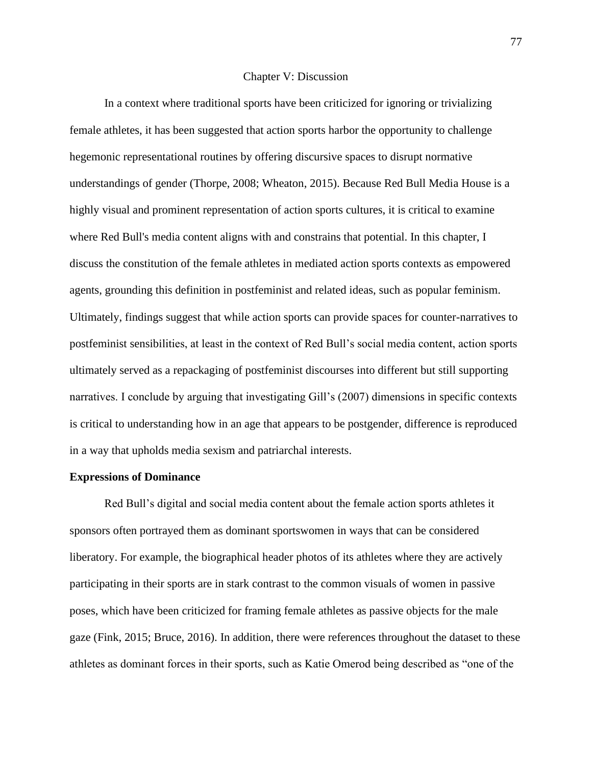#### Chapter V: Discussion

In a context where traditional sports have been criticized for ignoring or trivializing female athletes, it has been suggested that action sports harbor the opportunity to challenge hegemonic representational routines by offering discursive spaces to disrupt normative understandings of gender (Thorpe, 2008; Wheaton, 2015). Because Red Bull Media House is a highly visual and prominent representation of action sports cultures, it is critical to examine where Red Bull's media content aligns with and constrains that potential. In this chapter, I discuss the constitution of the female athletes in mediated action sports contexts as empowered agents, grounding this definition in postfeminist and related ideas, such as popular feminism. Ultimately, findings suggest that while action sports can provide spaces for counter-narratives to postfeminist sensibilities, at least in the context of Red Bull's social media content, action sports ultimately served as a repackaging of postfeminist discourses into different but still supporting narratives. I conclude by arguing that investigating Gill's (2007) dimensions in specific contexts is critical to understanding how in an age that appears to be postgender, difference is reproduced in a way that upholds media sexism and patriarchal interests.

### **Expressions of Dominance**

Red Bull's digital and social media content about the female action sports athletes it sponsors often portrayed them as dominant sportswomen in ways that can be considered liberatory. For example, the biographical header photos of its athletes where they are actively participating in their sports are in stark contrast to the common visuals of women in passive poses, which have been criticized for framing female athletes as passive objects for the male gaze (Fink, 2015; Bruce, 2016). In addition, there were references throughout the dataset to these athletes as dominant forces in their sports, such as Katie Omerod being described as "one of the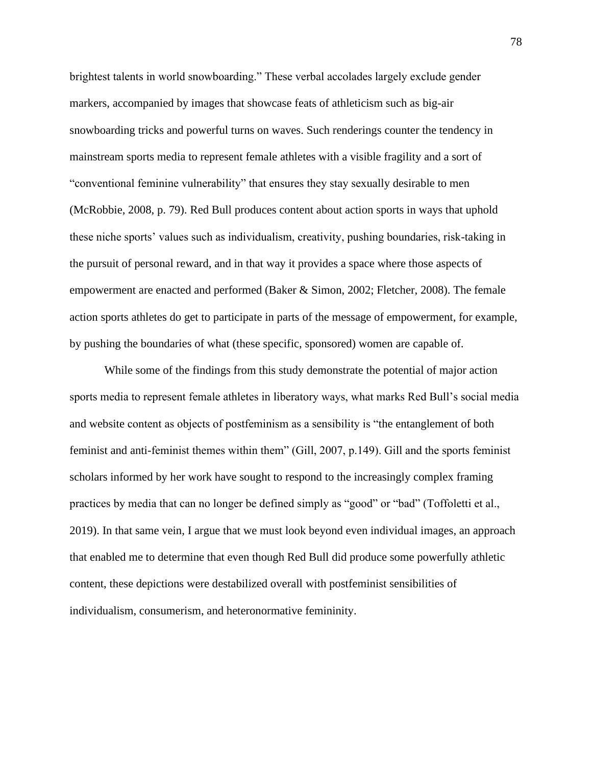brightest talents in world snowboarding." These verbal accolades largely exclude gender markers, accompanied by images that showcase feats of athleticism such as big-air snowboarding tricks and powerful turns on waves. Such renderings counter the tendency in mainstream sports media to represent female athletes with a visible fragility and a sort of "conventional feminine vulnerability" that ensures they stay sexually desirable to men (McRobbie, 2008, p. 79). Red Bull produces content about action sports in ways that uphold these niche sports' values such as individualism, creativity, pushing boundaries, risk-taking in the pursuit of personal reward, and in that way it provides a space where those aspects of empowerment are enacted and performed (Baker & Simon, 2002; Fletcher, 2008). The female action sports athletes do get to participate in parts of the message of empowerment, for example, by pushing the boundaries of what (these specific, sponsored) women are capable of.

While some of the findings from this study demonstrate the potential of major action sports media to represent female athletes in liberatory ways, what marks Red Bull's social media and website content as objects of postfeminism as a sensibility is "the entanglement of both feminist and anti-feminist themes within them" (Gill, 2007, p.149). Gill and the sports feminist scholars informed by her work have sought to respond to the increasingly complex framing practices by media that can no longer be defined simply as "good" or "bad" (Toffoletti et al., 2019). In that same vein, I argue that we must look beyond even individual images, an approach that enabled me to determine that even though Red Bull did produce some powerfully athletic content, these depictions were destabilized overall with postfeminist sensibilities of individualism, consumerism, and heteronormative femininity.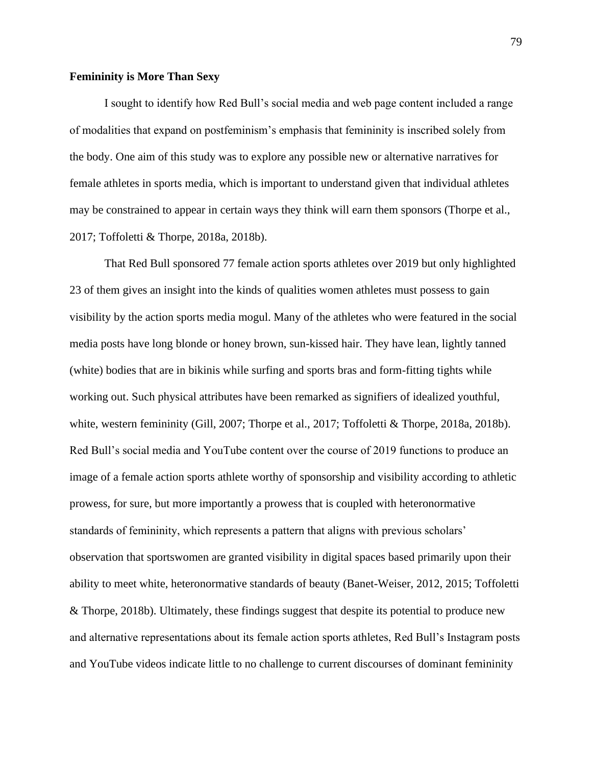#### **Femininity is More Than Sexy**

I sought to identify how Red Bull's social media and web page content included a range of modalities that expand on postfeminism's emphasis that femininity is inscribed solely from the body. One aim of this study was to explore any possible new or alternative narratives for female athletes in sports media, which is important to understand given that individual athletes may be constrained to appear in certain ways they think will earn them sponsors (Thorpe et al., 2017; Toffoletti & Thorpe, 2018a, 2018b).

That Red Bull sponsored 77 female action sports athletes over 2019 but only highlighted 23 of them gives an insight into the kinds of qualities women athletes must possess to gain visibility by the action sports media mogul. Many of the athletes who were featured in the social media posts have long blonde or honey brown, sun-kissed hair. They have lean, lightly tanned (white) bodies that are in bikinis while surfing and sports bras and form-fitting tights while working out. Such physical attributes have been remarked as signifiers of idealized youthful, white, western femininity (Gill, 2007; Thorpe et al., 2017; Toffoletti & Thorpe, 2018a, 2018b). Red Bull's social media and YouTube content over the course of 2019 functions to produce an image of a female action sports athlete worthy of sponsorship and visibility according to athletic prowess, for sure, but more importantly a prowess that is coupled with heteronormative standards of femininity, which represents a pattern that aligns with previous scholars' observation that sportswomen are granted visibility in digital spaces based primarily upon their ability to meet white, heteronormative standards of beauty (Banet-Weiser, 2012, 2015; Toffoletti & Thorpe, 2018b). Ultimately, these findings suggest that despite its potential to produce new and alternative representations about its female action sports athletes, Red Bull's Instagram posts and YouTube videos indicate little to no challenge to current discourses of dominant femininity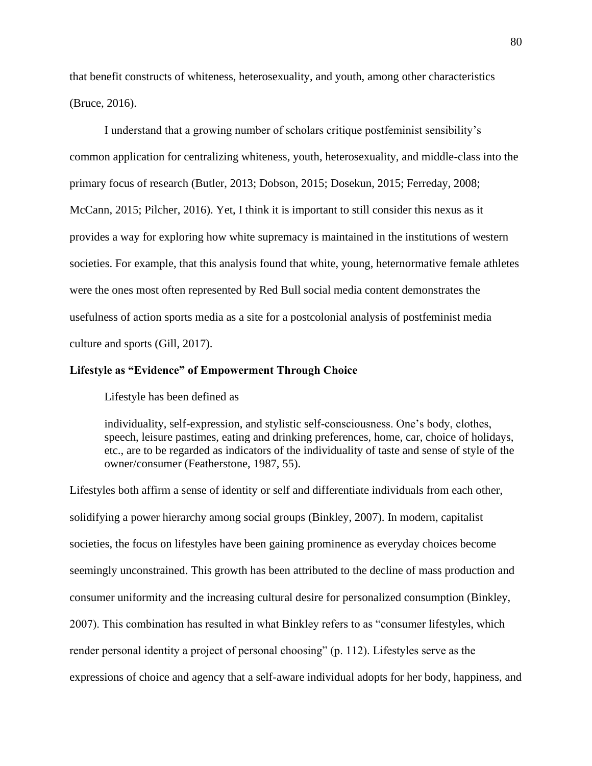that benefit constructs of whiteness, heterosexuality, and youth, among other characteristics (Bruce, 2016).

I understand that a growing number of scholars critique postfeminist sensibility's common application for centralizing whiteness, youth, heterosexuality, and middle-class into the primary focus of research (Butler, 2013; Dobson, 2015; Dosekun, 2015; Ferreday, 2008; McCann, 2015; Pilcher, 2016). Yet, I think it is important to still consider this nexus as it provides a way for exploring how white supremacy is maintained in the institutions of western societies. For example, that this analysis found that white, young, heternormative female athletes were the ones most often represented by Red Bull social media content demonstrates the usefulness of action sports media as a site for a postcolonial analysis of postfeminist media culture and sports (Gill, 2017).

# **Lifestyle as "Evidence" of Empowerment Through Choice**

Lifestyle has been defined as

individuality, self-expression, and stylistic self-consciousness. One's body, clothes, speech, leisure pastimes, eating and drinking preferences, home, car, choice of holidays, etc., are to be regarded as indicators of the individuality of taste and sense of style of the owner/consumer (Featherstone, 1987, 55).

Lifestyles both affirm a sense of identity or self and differentiate individuals from each other, solidifying a power hierarchy among social groups (Binkley, 2007). In modern, capitalist societies, the focus on lifestyles have been gaining prominence as everyday choices become seemingly unconstrained. This growth has been attributed to the decline of mass production and consumer uniformity and the increasing cultural desire for personalized consumption (Binkley, 2007). This combination has resulted in what Binkley refers to as "consumer lifestyles, which render personal identity a project of personal choosing" (p. 112). Lifestyles serve as the expressions of choice and agency that a self-aware individual adopts for her body, happiness, and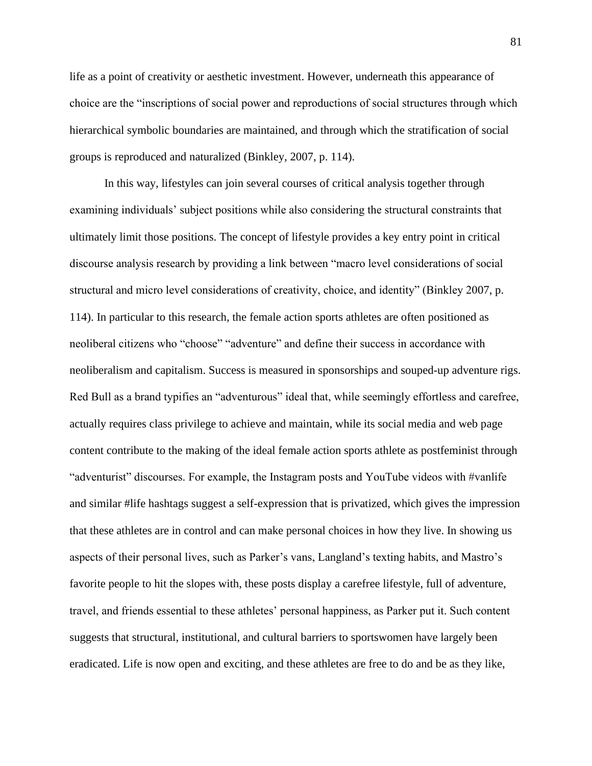life as a point of creativity or aesthetic investment. However, underneath this appearance of choice are the "inscriptions of social power and reproductions of social structures through which hierarchical symbolic boundaries are maintained, and through which the stratification of social groups is reproduced and naturalized (Binkley, 2007, p. 114).

In this way, lifestyles can join several courses of critical analysis together through examining individuals' subject positions while also considering the structural constraints that ultimately limit those positions. The concept of lifestyle provides a key entry point in critical discourse analysis research by providing a link between "macro level considerations of social structural and micro level considerations of creativity, choice, and identity" (Binkley 2007, p. 114). In particular to this research, the female action sports athletes are often positioned as neoliberal citizens who "choose" "adventure" and define their success in accordance with neoliberalism and capitalism. Success is measured in sponsorships and souped-up adventure rigs. Red Bull as a brand typifies an "adventurous" ideal that, while seemingly effortless and carefree, actually requires class privilege to achieve and maintain, while its social media and web page content contribute to the making of the ideal female action sports athlete as postfeminist through "adventurist" discourses. For example, the Instagram posts and YouTube videos with #vanlife and similar #life hashtags suggest a self-expression that is privatized, which gives the impression that these athletes are in control and can make personal choices in how they live. In showing us aspects of their personal lives, such as Parker's vans, Langland's texting habits, and Mastro's favorite people to hit the slopes with, these posts display a carefree lifestyle, full of adventure, travel, and friends essential to these athletes' personal happiness, as Parker put it. Such content suggests that structural, institutional, and cultural barriers to sportswomen have largely been eradicated. Life is now open and exciting, and these athletes are free to do and be as they like,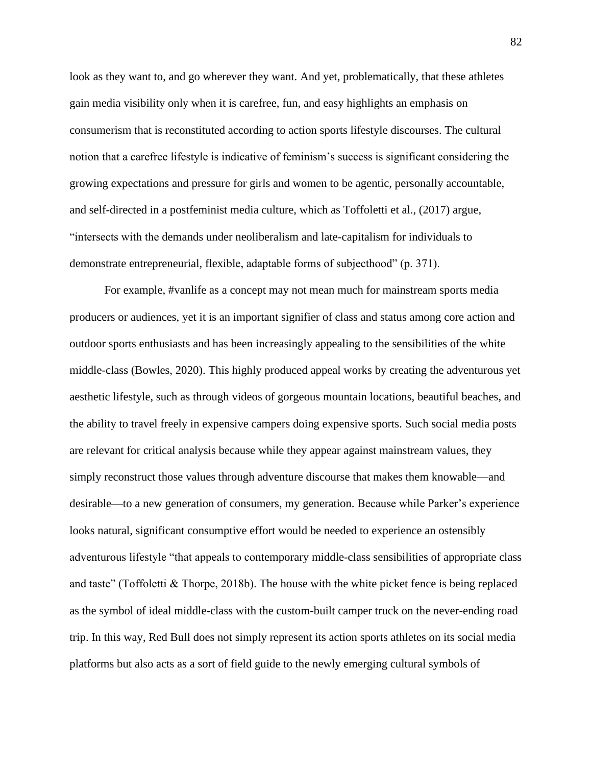look as they want to, and go wherever they want. And yet, problematically, that these athletes gain media visibility only when it is carefree, fun, and easy highlights an emphasis on consumerism that is reconstituted according to action sports lifestyle discourses. The cultural notion that a carefree lifestyle is indicative of feminism's success is significant considering the growing expectations and pressure for girls and women to be agentic, personally accountable, and self-directed in a postfeminist media culture, which as Toffoletti et al., (2017) argue, "intersects with the demands under neoliberalism and late-capitalism for individuals to demonstrate entrepreneurial, flexible, adaptable forms of subjecthood" (p. 371).

For example, #vanlife as a concept may not mean much for mainstream sports media producers or audiences, yet it is an important signifier of class and status among core action and outdoor sports enthusiasts and has been increasingly appealing to the sensibilities of the white middle-class (Bowles, 2020). This highly produced appeal works by creating the adventurous yet aesthetic lifestyle, such as through videos of gorgeous mountain locations, beautiful beaches, and the ability to travel freely in expensive campers doing expensive sports. Such social media posts are relevant for critical analysis because while they appear against mainstream values, they simply reconstruct those values through adventure discourse that makes them knowable—and desirable—to a new generation of consumers, my generation. Because while Parker's experience looks natural, significant consumptive effort would be needed to experience an ostensibly adventurous lifestyle "that appeals to contemporary middle-class sensibilities of appropriate class and taste" (Toffoletti & Thorpe, 2018b). The house with the white picket fence is being replaced as the symbol of ideal middle-class with the custom-built camper truck on the never-ending road trip. In this way, Red Bull does not simply represent its action sports athletes on its social media platforms but also acts as a sort of field guide to the newly emerging cultural symbols of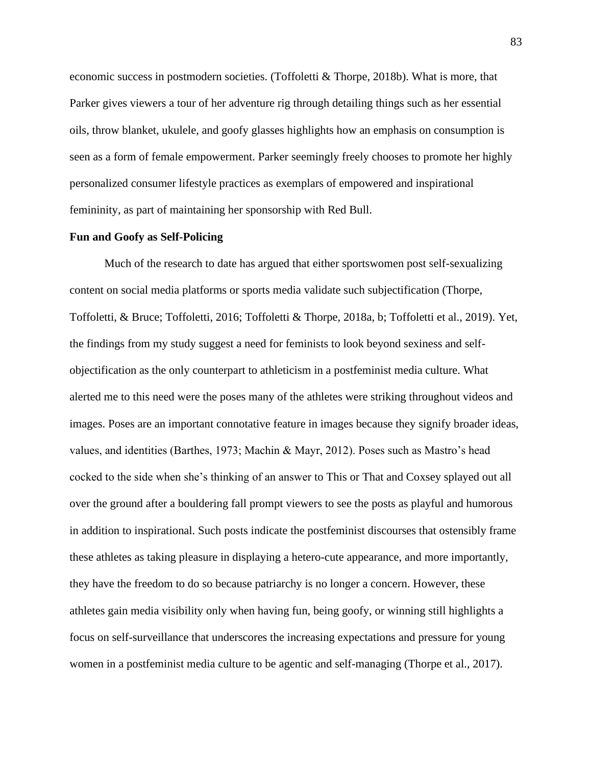economic success in postmodern societies. (Toffoletti  $&$  Thorpe, 2018b). What is more, that Parker gives viewers a tour of her adventure rig through detailing things such as her essential oils, throw blanket, ukulele, and goofy glasses highlights how an emphasis on consumption is seen as a form of female empowerment. Parker seemingly freely chooses to promote her highly personalized consumer lifestyle practices as exemplars of empowered and inspirational femininity, as part of maintaining her sponsorship with Red Bull.

## **Fun and Goofy as Self-Policing**

Much of the research to date has argued that either sportswomen post self-sexualizing content on social media platforms or sports media validate such subjectification (Thorpe, Toffoletti, & Bruce; Toffoletti, 2016; Toffoletti & Thorpe, 2018a, b; Toffoletti et al., 2019). Yet, the findings from my study suggest a need for feminists to look beyond sexiness and selfobjectification as the only counterpart to athleticism in a postfeminist media culture. What alerted me to this need were the poses many of the athletes were striking throughout videos and images. Poses are an important connotative feature in images because they signify broader ideas, values, and identities (Barthes, 1973; Machin & Mayr, 2012). Poses such as Mastro's head cocked to the side when she's thinking of an answer to This or That and Coxsey splayed out all over the ground after a bouldering fall prompt viewers to see the posts as playful and humorous in addition to inspirational. Such posts indicate the postfeminist discourses that ostensibly frame these athletes as taking pleasure in displaying a hetero-cute appearance, and more importantly, they have the freedom to do so because patriarchy is no longer a concern. However, these athletes gain media visibility only when having fun, being goofy, or winning still highlights a focus on self-surveillance that underscores the increasing expectations and pressure for young women in a postfeminist media culture to be agentic and self-managing (Thorpe et al., 2017).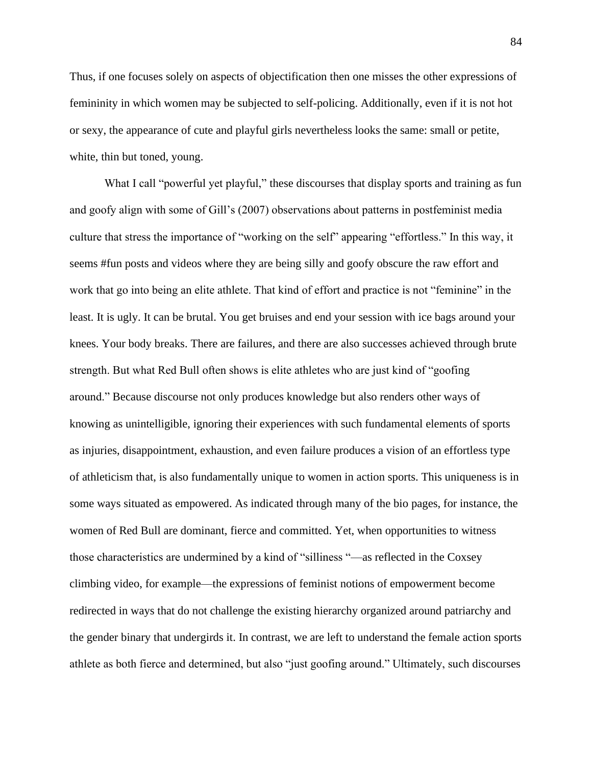Thus, if one focuses solely on aspects of objectification then one misses the other expressions of femininity in which women may be subjected to self-policing. Additionally, even if it is not hot or sexy, the appearance of cute and playful girls nevertheless looks the same: small or petite, white, thin but toned, young.

What I call "powerful yet playful," these discourses that display sports and training as fun and goofy align with some of Gill's (2007) observations about patterns in postfeminist media culture that stress the importance of "working on the self" appearing "effortless." In this way, it seems #fun posts and videos where they are being silly and goofy obscure the raw effort and work that go into being an elite athlete. That kind of effort and practice is not "feminine" in the least. It is ugly. It can be brutal. You get bruises and end your session with ice bags around your knees. Your body breaks. There are failures, and there are also successes achieved through brute strength. But what Red Bull often shows is elite athletes who are just kind of "goofing around." Because discourse not only produces knowledge but also renders other ways of knowing as unintelligible, ignoring their experiences with such fundamental elements of sports as injuries, disappointment, exhaustion, and even failure produces a vision of an effortless type of athleticism that, is also fundamentally unique to women in action sports. This uniqueness is in some ways situated as empowered. As indicated through many of the bio pages, for instance, the women of Red Bull are dominant, fierce and committed. Yet, when opportunities to witness those characteristics are undermined by a kind of "silliness "—as reflected in the Coxsey climbing video, for example—the expressions of feminist notions of empowerment become redirected in ways that do not challenge the existing hierarchy organized around patriarchy and the gender binary that undergirds it. In contrast, we are left to understand the female action sports athlete as both fierce and determined, but also "just goofing around." Ultimately, such discourses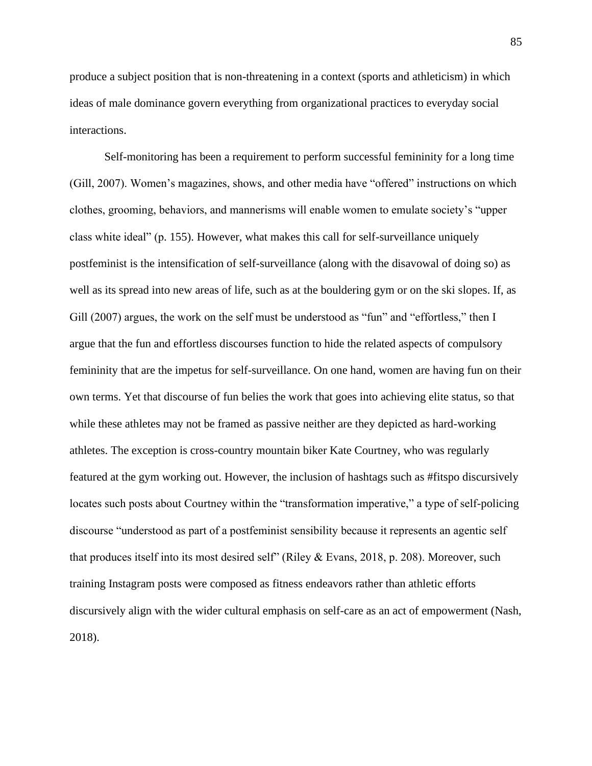produce a subject position that is non-threatening in a context (sports and athleticism) in which ideas of male dominance govern everything from organizational practices to everyday social interactions.

Self-monitoring has been a requirement to perform successful femininity for a long time (Gill, 2007). Women's magazines, shows, and other media have "offered" instructions on which clothes, grooming, behaviors, and mannerisms will enable women to emulate society's "upper class white ideal" (p. 155). However, what makes this call for self-surveillance uniquely postfeminist is the intensification of self-surveillance (along with the disavowal of doing so) as well as its spread into new areas of life, such as at the bouldering gym or on the ski slopes. If, as Gill (2007) argues, the work on the self must be understood as "fun" and "effortless," then I argue that the fun and effortless discourses function to hide the related aspects of compulsory femininity that are the impetus for self-surveillance. On one hand, women are having fun on their own terms. Yet that discourse of fun belies the work that goes into achieving elite status, so that while these athletes may not be framed as passive neither are they depicted as hard-working athletes. The exception is cross-country mountain biker Kate Courtney, who was regularly featured at the gym working out. However, the inclusion of hashtags such as #fitspo discursively locates such posts about Courtney within the "transformation imperative," a type of self-policing discourse "understood as part of a postfeminist sensibility because it represents an agentic self that produces itself into its most desired self" (Riley & Evans, 2018, p. 208). Moreover, such training Instagram posts were composed as fitness endeavors rather than athletic efforts discursively align with the wider cultural emphasis on self-care as an act of empowerment (Nash, 2018).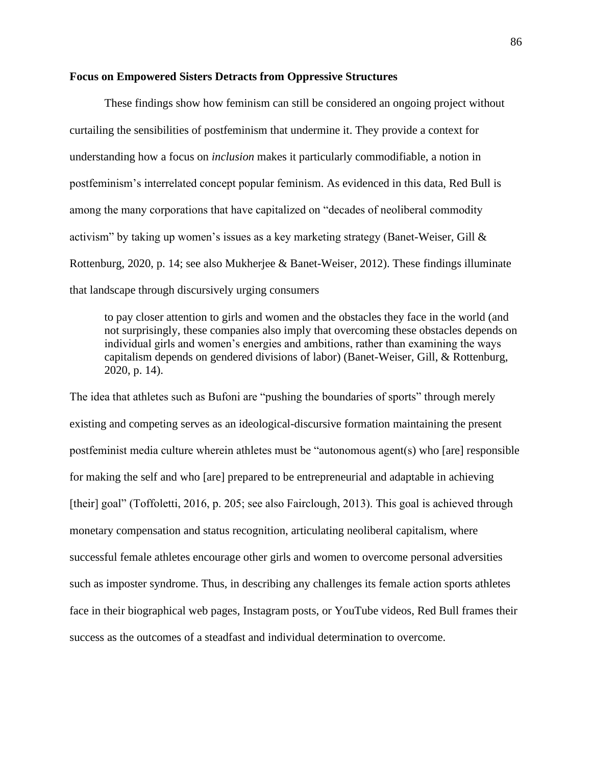# **Focus on Empowered Sisters Detracts from Oppressive Structures**

These findings show how feminism can still be considered an ongoing project without curtailing the sensibilities of postfeminism that undermine it. They provide a context for understanding how a focus on *inclusion* makes it particularly commodifiable, a notion in postfeminism's interrelated concept popular feminism. As evidenced in this data, Red Bull is among the many corporations that have capitalized on "decades of neoliberal commodity activism" by taking up women's issues as a key marketing strategy (Banet-Weiser, Gill & Rottenburg, 2020, p. 14; see also Mukherjee & Banet-Weiser, 2012). These findings illuminate that landscape through discursively urging consumers

to pay closer attention to girls and women and the obstacles they face in the world (and not surprisingly, these companies also imply that overcoming these obstacles depends on individual girls and women's energies and ambitions, rather than examining the ways capitalism depends on gendered divisions of labor) (Banet-Weiser, Gill, & Rottenburg, 2020, p. 14).

The idea that athletes such as Bufoni are "pushing the boundaries of sports" through merely existing and competing serves as an ideological-discursive formation maintaining the present postfeminist media culture wherein athletes must be "autonomous agent(s) who [are] responsible for making the self and who [are] prepared to be entrepreneurial and adaptable in achieving [their] goal" (Toffoletti, 2016, p. 205; see also Fairclough, 2013). This goal is achieved through monetary compensation and status recognition, articulating neoliberal capitalism, where successful female athletes encourage other girls and women to overcome personal adversities such as imposter syndrome. Thus, in describing any challenges its female action sports athletes face in their biographical web pages, Instagram posts, or YouTube videos, Red Bull frames their success as the outcomes of a steadfast and individual determination to overcome.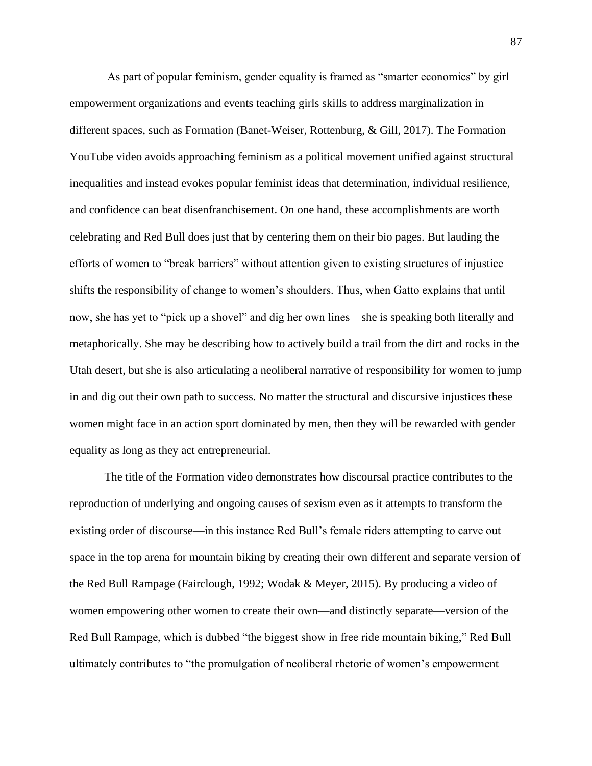As part of popular feminism, gender equality is framed as "smarter economics" by girl empowerment organizations and events teaching girls skills to address marginalization in different spaces, such as Formation (Banet-Weiser, Rottenburg, & Gill, 2017). The Formation YouTube video avoids approaching feminism as a political movement unified against structural inequalities and instead evokes popular feminist ideas that determination, individual resilience, and confidence can beat disenfranchisement. On one hand, these accomplishments are worth celebrating and Red Bull does just that by centering them on their bio pages. But lauding the efforts of women to "break barriers" without attention given to existing structures of injustice shifts the responsibility of change to women's shoulders. Thus, when Gatto explains that until now, she has yet to "pick up a shovel" and dig her own lines—she is speaking both literally and metaphorically. She may be describing how to actively build a trail from the dirt and rocks in the Utah desert, but she is also articulating a neoliberal narrative of responsibility for women to jump in and dig out their own path to success. No matter the structural and discursive injustices these women might face in an action sport dominated by men, then they will be rewarded with gender equality as long as they act entrepreneurial.

The title of the Formation video demonstrates how discoursal practice contributes to the reproduction of underlying and ongoing causes of sexism even as it attempts to transform the existing order of discourse—in this instance Red Bull's female riders attempting to carve out space in the top arena for mountain biking by creating their own different and separate version of the Red Bull Rampage (Fairclough, 1992; Wodak & Meyer, 2015). By producing a video of women empowering other women to create their own—and distinctly separate—version of the Red Bull Rampage, which is dubbed "the biggest show in free ride mountain biking," Red Bull ultimately contributes to "the promulgation of neoliberal rhetoric of women's empowerment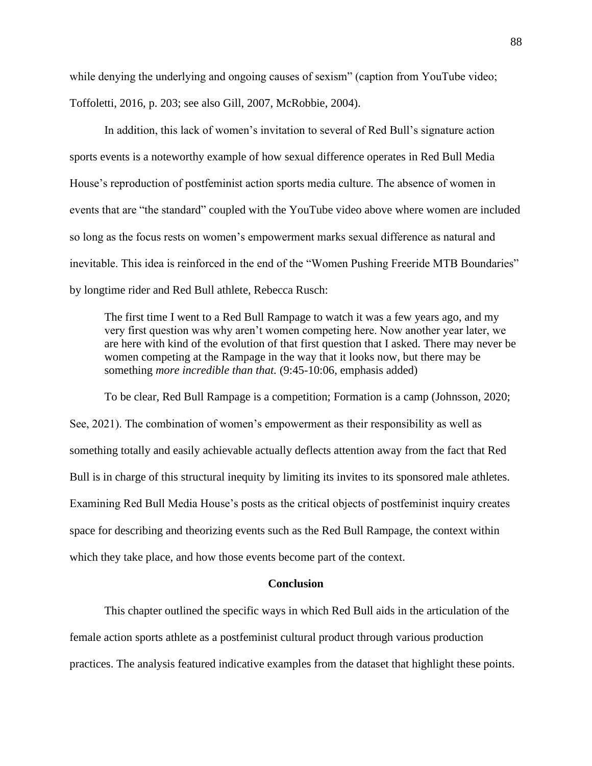while denying the underlying and ongoing causes of sexism" (caption from YouTube video; Toffoletti, 2016, p. 203; see also Gill, 2007, McRobbie, 2004).

In addition, this lack of women's invitation to several of Red Bull's signature action sports events is a noteworthy example of how sexual difference operates in Red Bull Media House's reproduction of postfeminist action sports media culture. The absence of women in events that are "the standard" coupled with the YouTube video above where women are included so long as the focus rests on women's empowerment marks sexual difference as natural and inevitable. This idea is reinforced in the end of the "Women Pushing Freeride MTB Boundaries" by longtime rider and Red Bull athlete, Rebecca Rusch:

The first time I went to a Red Bull Rampage to watch it was a few years ago, and my very first question was why aren't women competing here. Now another year later, we are here with kind of the evolution of that first question that I asked. There may never be women competing at the Rampage in the way that it looks now, but there may be something *more incredible than that.* (9:45-10:06, emphasis added)

To be clear, Red Bull Rampage is a competition; Formation is a camp (Johnsson, 2020; See, 2021). The combination of women's empowerment as their responsibility as well as something totally and easily achievable actually deflects attention away from the fact that Red Bull is in charge of this structural inequity by limiting its invites to its sponsored male athletes. Examining Red Bull Media House's posts as the critical objects of postfeminist inquiry creates space for describing and theorizing events such as the Red Bull Rampage, the context within which they take place, and how those events become part of the context.

# **Conclusion**

This chapter outlined the specific ways in which Red Bull aids in the articulation of the female action sports athlete as a postfeminist cultural product through various production practices. The analysis featured indicative examples from the dataset that highlight these points.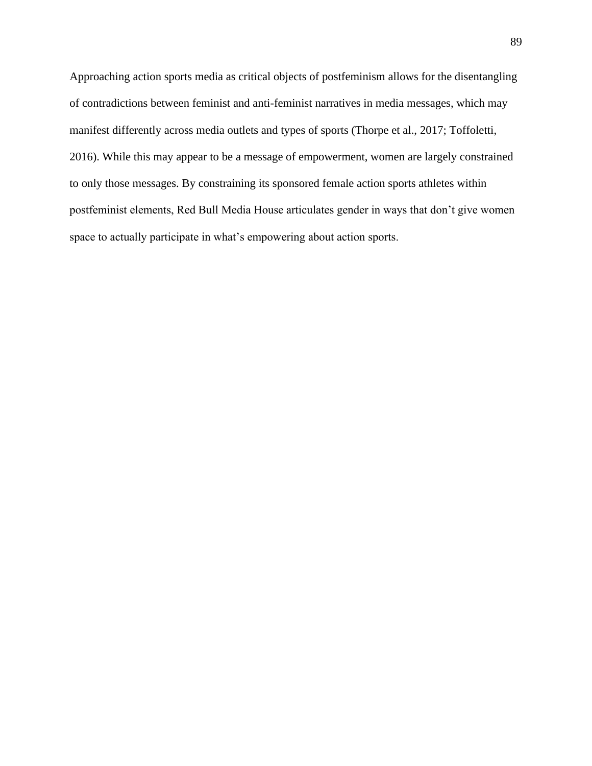Approaching action sports media as critical objects of postfeminism allows for the disentangling of contradictions between feminist and anti-feminist narratives in media messages, which may manifest differently across media outlets and types of sports (Thorpe et al., 2017; Toffoletti, 2016). While this may appear to be a message of empowerment, women are largely constrained to only those messages. By constraining its sponsored female action sports athletes within postfeminist elements, Red Bull Media House articulates gender in ways that don't give women space to actually participate in what's empowering about action sports.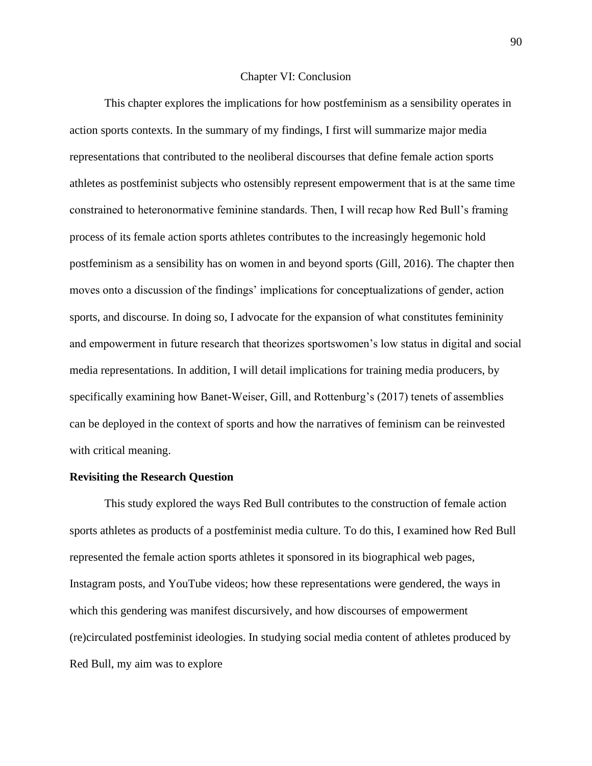#### Chapter VI: Conclusion

This chapter explores the implications for how postfeminism as a sensibility operates in action sports contexts. In the summary of my findings, I first will summarize major media representations that contributed to the neoliberal discourses that define female action sports athletes as postfeminist subjects who ostensibly represent empowerment that is at the same time constrained to heteronormative feminine standards. Then, I will recap how Red Bull's framing process of its female action sports athletes contributes to the increasingly hegemonic hold postfeminism as a sensibility has on women in and beyond sports (Gill, 2016). The chapter then moves onto a discussion of the findings' implications for conceptualizations of gender, action sports, and discourse. In doing so, I advocate for the expansion of what constitutes femininity and empowerment in future research that theorizes sportswomen's low status in digital and social media representations. In addition, I will detail implications for training media producers, by specifically examining how Banet-Weiser, Gill, and Rottenburg's (2017) tenets of assemblies can be deployed in the context of sports and how the narratives of feminism can be reinvested with critical meaning.

#### **Revisiting the Research Question**

This study explored the ways Red Bull contributes to the construction of female action sports athletes as products of a postfeminist media culture. To do this, I examined how Red Bull represented the female action sports athletes it sponsored in its biographical web pages, Instagram posts, and YouTube videos; how these representations were gendered, the ways in which this gendering was manifest discursively, and how discourses of empowerment (re)circulated postfeminist ideologies. In studying social media content of athletes produced by Red Bull, my aim was to explore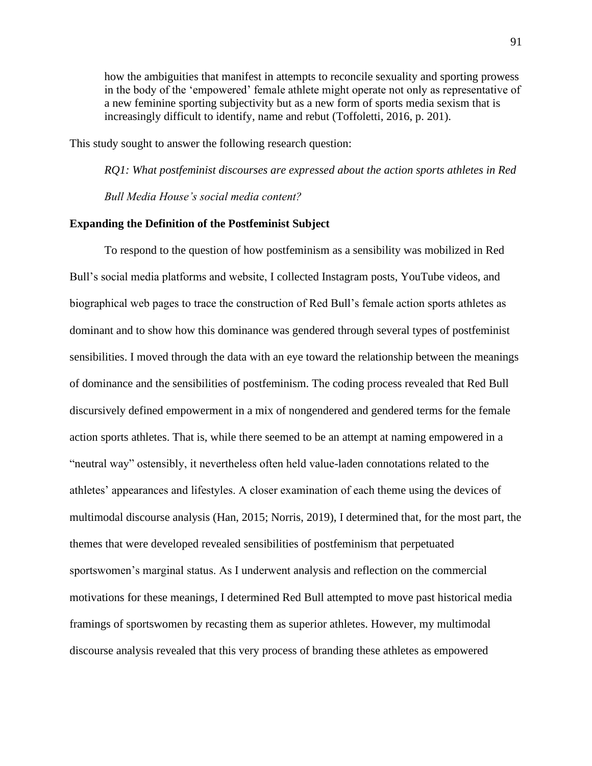how the ambiguities that manifest in attempts to reconcile sexuality and sporting prowess in the body of the 'empowered' female athlete might operate not only as representative of a new feminine sporting subjectivity but as a new form of sports media sexism that is increasingly difficult to identify, name and rebut (Toffoletti, 2016, p. 201).

This study sought to answer the following research question:

*RQ1: What postfeminist discourses are expressed about the action sports athletes in Red Bull Media House's social media content?*

# **Expanding the Definition of the Postfeminist Subject**

To respond to the question of how postfeminism as a sensibility was mobilized in Red Bull's social media platforms and website, I collected Instagram posts, YouTube videos, and biographical web pages to trace the construction of Red Bull's female action sports athletes as dominant and to show how this dominance was gendered through several types of postfeminist sensibilities. I moved through the data with an eye toward the relationship between the meanings of dominance and the sensibilities of postfeminism. The coding process revealed that Red Bull discursively defined empowerment in a mix of nongendered and gendered terms for the female action sports athletes. That is, while there seemed to be an attempt at naming empowered in a "neutral way" ostensibly, it nevertheless often held value-laden connotations related to the athletes' appearances and lifestyles. A closer examination of each theme using the devices of multimodal discourse analysis (Han, 2015; Norris, 2019), I determined that, for the most part, the themes that were developed revealed sensibilities of postfeminism that perpetuated sportswomen's marginal status. As I underwent analysis and reflection on the commercial motivations for these meanings, I determined Red Bull attempted to move past historical media framings of sportswomen by recasting them as superior athletes. However, my multimodal discourse analysis revealed that this very process of branding these athletes as empowered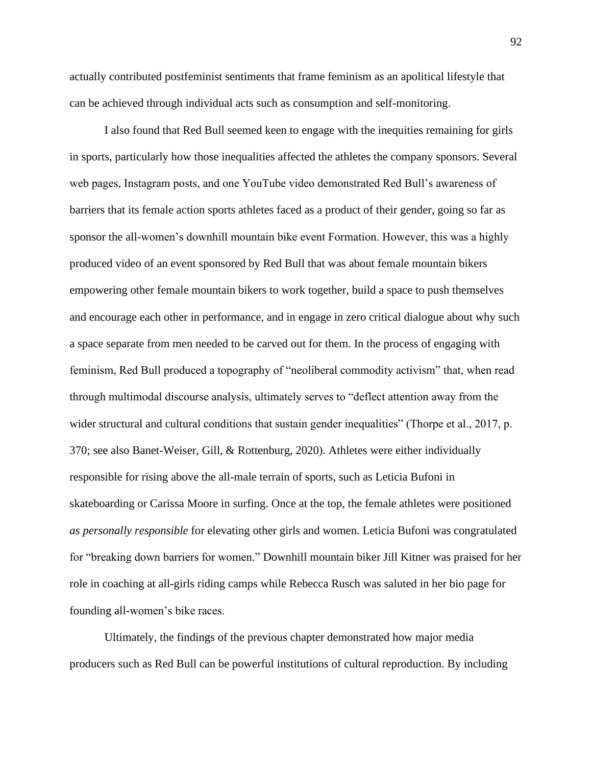actually contributed postfeminist sentiments that frame feminism as an apolitical lifestyle that can be achieved through individual acts such as consumption and self-monitoring.

I also found that Red Bull seemed keen to engage with the inequities remaining for girls in sports, particularly how those inequalities affected the athletes the company sponsors. Several web pages, Instagram posts, and one YouTube video demonstrated Red Bull's awareness of barriers that its female action sports athletes faced as a product of their gender, going so far as sponsor the all-women's downhill mountain bike event Formation. However, this was a highly produced video of an event sponsored by Red Bull that was about female mountain bikers empowering other female mountain bikers to work together, build a space to push themselves and encourage each other in performance, and in engage in zero critical dialogue about why such a space separate from men needed to be carved out for them. In the process of engaging with feminism, Red Bull produced a topography of "neoliberal commodity activism" that, when read through multimodal discourse analysis, ultimately serves to "deflect attention away from the wider structural and cultural conditions that sustain gender inequalities" (Thorpe et al., 2017, p. 370; see also Banet-Weiser, Gill, & Rottenburg, 2020). Athletes were either individually responsible for rising above the all-male terrain of sports, such as Leticia Bufoni in skateboarding or Carissa Moore in surfing. Once at the top, the female athletes were positioned *as personally responsible* for elevating other girls and women. Leticia Bufoni was congratulated for "breaking down barriers for women." Downhill mountain biker Jill Kitner was praised for her role in coaching at all-girls riding camps while Rebecca Rusch was saluted in her bio page for founding all-women's bike races.

Ultimately, the findings of the previous chapter demonstrated how major media producers such as Red Bull can be powerful institutions of cultural reproduction. By including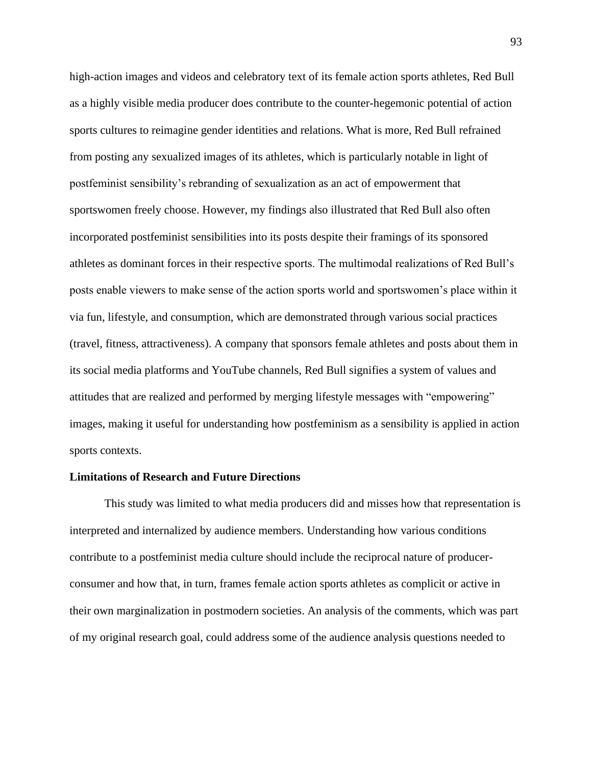high-action images and videos and celebratory text of its female action sports athletes, Red Bull as a highly visible media producer does contribute to the counter-hegemonic potential of action sports cultures to reimagine gender identities and relations. What is more, Red Bull refrained from posting any sexualized images of its athletes, which is particularly notable in light of postfeminist sensibility's rebranding of sexualization as an act of empowerment that sportswomen freely choose. However, my findings also illustrated that Red Bull also often incorporated postfeminist sensibilities into its posts despite their framings of its sponsored athletes as dominant forces in their respective sports. The multimodal realizations of Red Bull's posts enable viewers to make sense of the action sports world and sportswomen's place within it via fun, lifestyle, and consumption, which are demonstrated through various social practices (travel, fitness, attractiveness). A company that sponsors female athletes and posts about them in its social media platforms and YouTube channels, Red Bull signifies a system of values and attitudes that are realized and performed by merging lifestyle messages with "empowering" images, making it useful for understanding how postfeminism as a sensibility is applied in action sports contexts.

### **Limitations of Research and Future Directions**

This study was limited to what media producers did and misses how that representation is interpreted and internalized by audience members. Understanding how various conditions contribute to a postfeminist media culture should include the reciprocal nature of producerconsumer and how that, in turn, frames female action sports athletes as complicit or active in their own marginalization in postmodern societies. An analysis of the comments, which was part of my original research goal, could address some of the audience analysis questions needed to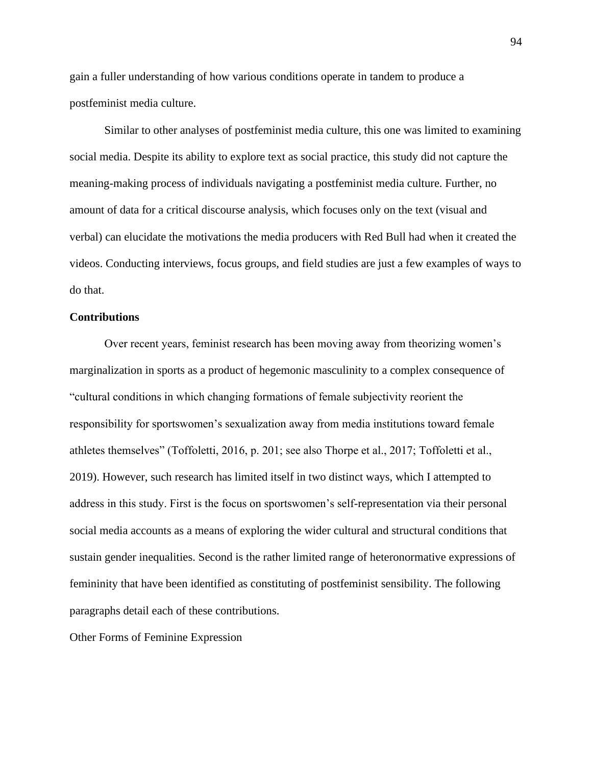gain a fuller understanding of how various conditions operate in tandem to produce a postfeminist media culture.

Similar to other analyses of postfeminist media culture, this one was limited to examining social media. Despite its ability to explore text as social practice, this study did not capture the meaning-making process of individuals navigating a postfeminist media culture. Further, no amount of data for a critical discourse analysis, which focuses only on the text (visual and verbal) can elucidate the motivations the media producers with Red Bull had when it created the videos. Conducting interviews, focus groups, and field studies are just a few examples of ways to do that.

# **Contributions**

Over recent years, feminist research has been moving away from theorizing women's marginalization in sports as a product of hegemonic masculinity to a complex consequence of "cultural conditions in which changing formations of female subjectivity reorient the responsibility for sportswomen's sexualization away from media institutions toward female athletes themselves" (Toffoletti, 2016, p. 201; see also Thorpe et al., 2017; Toffoletti et al., 2019). However, such research has limited itself in two distinct ways, which I attempted to address in this study. First is the focus on sportswomen's self-representation via their personal social media accounts as a means of exploring the wider cultural and structural conditions that sustain gender inequalities. Second is the rather limited range of heteronormative expressions of femininity that have been identified as constituting of postfeminist sensibility. The following paragraphs detail each of these contributions.

Other Forms of Feminine Expression

94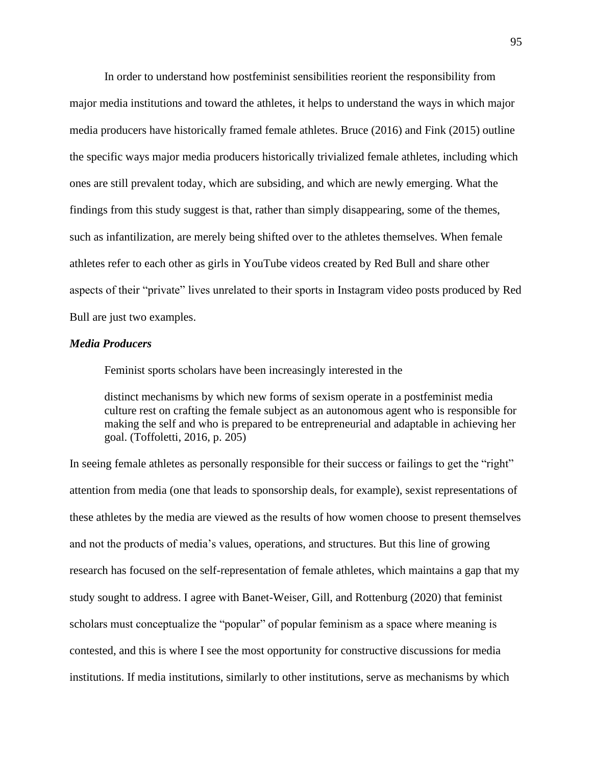In order to understand how postfeminist sensibilities reorient the responsibility from major media institutions and toward the athletes, it helps to understand the ways in which major media producers have historically framed female athletes. Bruce (2016) and Fink (2015) outline the specific ways major media producers historically trivialized female athletes, including which ones are still prevalent today, which are subsiding, and which are newly emerging. What the findings from this study suggest is that, rather than simply disappearing, some of the themes, such as infantilization, are merely being shifted over to the athletes themselves. When female athletes refer to each other as girls in YouTube videos created by Red Bull and share other aspects of their "private" lives unrelated to their sports in Instagram video posts produced by Red Bull are just two examples.

# *Media Producers*

Feminist sports scholars have been increasingly interested in the

distinct mechanisms by which new forms of sexism operate in a postfeminist media culture rest on crafting the female subject as an autonomous agent who is responsible for making the self and who is prepared to be entrepreneurial and adaptable in achieving her goal. (Toffoletti, 2016, p. 205)

In seeing female athletes as personally responsible for their success or failings to get the "right" attention from media (one that leads to sponsorship deals, for example), sexist representations of these athletes by the media are viewed as the results of how women choose to present themselves and not the products of media's values, operations, and structures. But this line of growing research has focused on the self-representation of female athletes, which maintains a gap that my study sought to address. I agree with Banet-Weiser, Gill, and Rottenburg (2020) that feminist scholars must conceptualize the "popular" of popular feminism as a space where meaning is contested, and this is where I see the most opportunity for constructive discussions for media institutions. If media institutions, similarly to other institutions, serve as mechanisms by which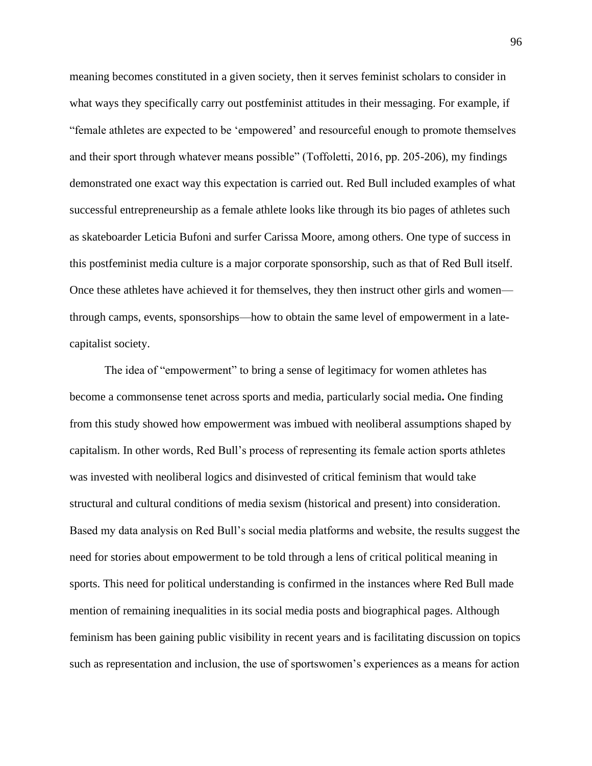meaning becomes constituted in a given society, then it serves feminist scholars to consider in what ways they specifically carry out postfeminist attitudes in their messaging. For example, if "female athletes are expected to be 'empowered' and resourceful enough to promote themselves and their sport through whatever means possible" (Toffoletti, 2016, pp. 205-206), my findings demonstrated one exact way this expectation is carried out. Red Bull included examples of what successful entrepreneurship as a female athlete looks like through its bio pages of athletes such as skateboarder Leticia Bufoni and surfer Carissa Moore, among others. One type of success in this postfeminist media culture is a major corporate sponsorship, such as that of Red Bull itself. Once these athletes have achieved it for themselves, they then instruct other girls and women through camps, events, sponsorships—how to obtain the same level of empowerment in a latecapitalist society.

The idea of "empowerment" to bring a sense of legitimacy for women athletes has become a commonsense tenet across sports and media, particularly social media**.** One finding from this study showed how empowerment was imbued with neoliberal assumptions shaped by capitalism. In other words, Red Bull's process of representing its female action sports athletes was invested with neoliberal logics and disinvested of critical feminism that would take structural and cultural conditions of media sexism (historical and present) into consideration. Based my data analysis on Red Bull's social media platforms and website, the results suggest the need for stories about empowerment to be told through a lens of critical political meaning in sports. This need for political understanding is confirmed in the instances where Red Bull made mention of remaining inequalities in its social media posts and biographical pages. Although feminism has been gaining public visibility in recent years and is facilitating discussion on topics such as representation and inclusion, the use of sportswomen's experiences as a means for action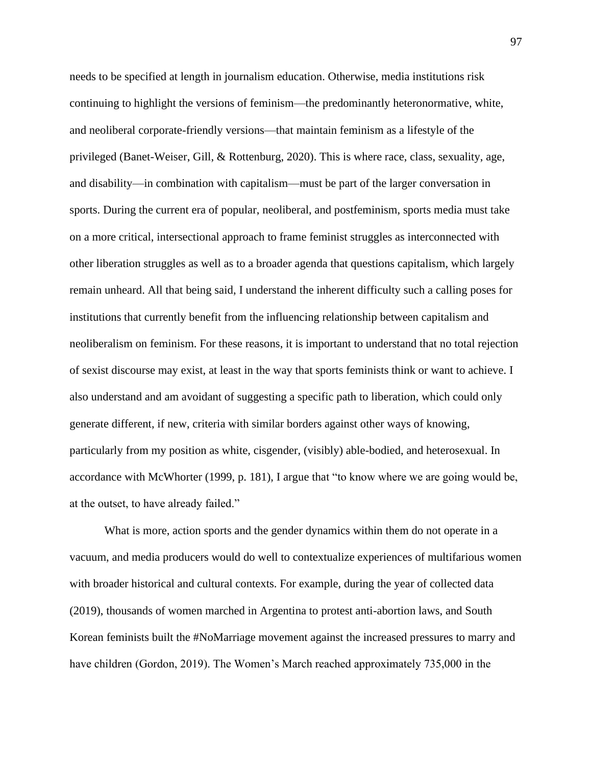needs to be specified at length in journalism education. Otherwise, media institutions risk continuing to highlight the versions of feminism—the predominantly heteronormative, white, and neoliberal corporate-friendly versions—that maintain feminism as a lifestyle of the privileged (Banet-Weiser, Gill, & Rottenburg, 2020). This is where race, class, sexuality, age, and disability—in combination with capitalism—must be part of the larger conversation in sports. During the current era of popular, neoliberal, and postfeminism, sports media must take on a more critical, intersectional approach to frame feminist struggles as interconnected with other liberation struggles as well as to a broader agenda that questions capitalism, which largely remain unheard. All that being said, I understand the inherent difficulty such a calling poses for institutions that currently benefit from the influencing relationship between capitalism and neoliberalism on feminism. For these reasons, it is important to understand that no total rejection of sexist discourse may exist, at least in the way that sports feminists think or want to achieve. I also understand and am avoidant of suggesting a specific path to liberation, which could only generate different, if new, criteria with similar borders against other ways of knowing, particularly from my position as white, cisgender, (visibly) able-bodied, and heterosexual. In accordance with McWhorter (1999, p. 181), I argue that "to know where we are going would be, at the outset, to have already failed."

What is more, action sports and the gender dynamics within them do not operate in a vacuum, and media producers would do well to contextualize experiences of multifarious women with broader historical and cultural contexts. For example, during the year of collected data (2019), thousands of women marched in Argentina to protest anti-abortion laws, and South Korean feminists built the #NoMarriage movement against the increased pressures to marry and have children (Gordon, 2019). The Women's March reached approximately 735,000 in the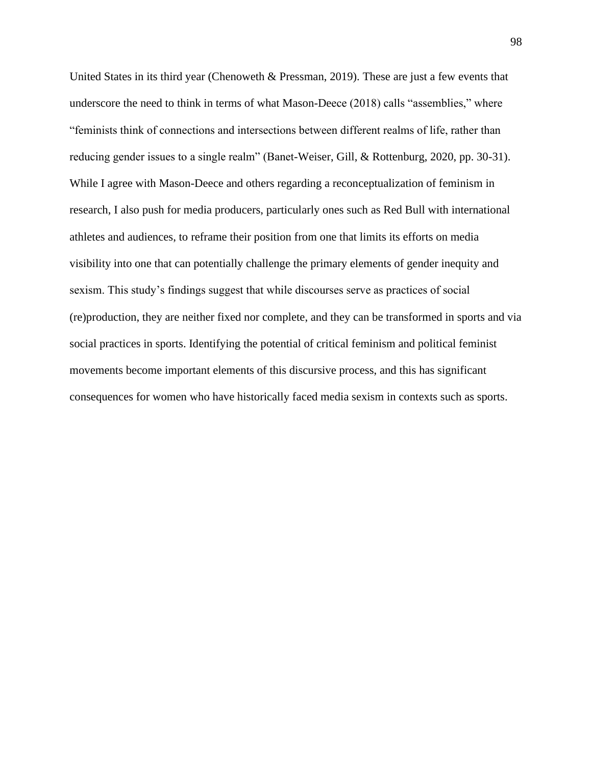United States in its third year (Chenoweth & Pressman, 2019). These are just a few events that underscore the need to think in terms of what Mason-Deece (2018) calls "assemblies," where "feminists think of connections and intersections between different realms of life, rather than reducing gender issues to a single realm" (Banet-Weiser, Gill, & Rottenburg, 2020, pp. 30-31). While I agree with Mason-Deece and others regarding a reconceptualization of feminism in research, I also push for media producers, particularly ones such as Red Bull with international athletes and audiences, to reframe their position from one that limits its efforts on media visibility into one that can potentially challenge the primary elements of gender inequity and sexism. This study's findings suggest that while discourses serve as practices of social (re)production, they are neither fixed nor complete, and they can be transformed in sports and via social practices in sports. Identifying the potential of critical feminism and political feminist movements become important elements of this discursive process, and this has significant consequences for women who have historically faced media sexism in contexts such as sports.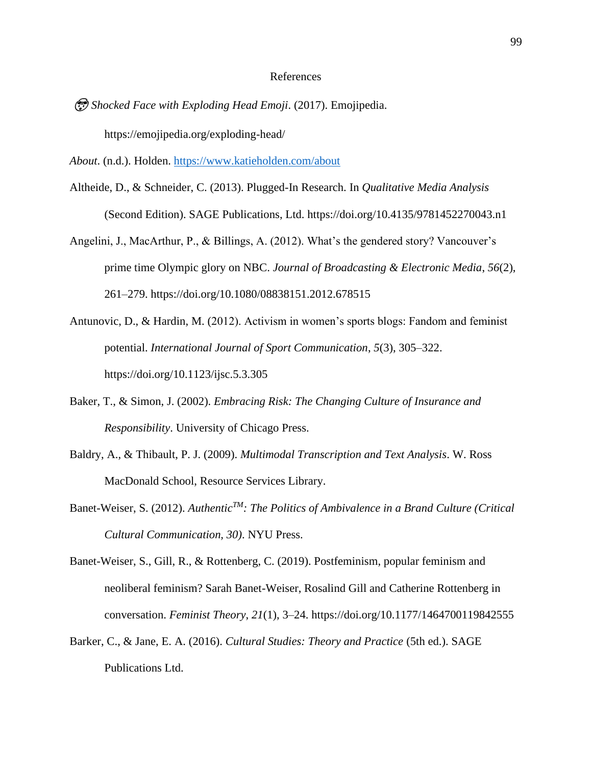### References

 *Shocked Face with Exploding Head Emoji*. (2017). Emojipedia. https://emojipedia.org/exploding-head/

*About*. (n.d.). Holden.<https://www.katieholden.com/about>

- Altheide, D., & Schneider, C. (2013). Plugged-In Research. In *Qualitative Media Analysis* (Second Edition). SAGE Publications, Ltd. https://doi.org/10.4135/9781452270043.n1
- Angelini, J., MacArthur, P., & Billings, A. (2012). What's the gendered story? Vancouver's prime time Olympic glory on NBC. *Journal of Broadcasting & Electronic Media*, *56*(2), 261–279. https://doi.org/10.1080/08838151.2012.678515
- Antunovic, D., & Hardin, M. (2012). Activism in women's sports blogs: Fandom and feminist potential. *International Journal of Sport Communication*, *5*(3), 305–322. https://doi.org/10.1123/ijsc.5.3.305
- Baker, T., & Simon, J. (2002). *Embracing Risk: The Changing Culture of Insurance and Responsibility*. University of Chicago Press.
- Baldry, A., & Thibault, P. J. (2009). *Multimodal Transcription and Text Analysis*. W. Ross MacDonald School, Resource Services Library.
- Banet-Weiser, S. (2012). *AuthenticTM: The Politics of Ambivalence in a Brand Culture (Critical Cultural Communication, 30)*. NYU Press.
- Banet-Weiser, S., Gill, R., & Rottenberg, C. (2019). Postfeminism, popular feminism and neoliberal feminism? Sarah Banet-Weiser, Rosalind Gill and Catherine Rottenberg in conversation. *Feminist Theory*, *21*(1), 3–24. https://doi.org/10.1177/1464700119842555
- Barker, C., & Jane, E. A. (2016). *Cultural Studies: Theory and Practice* (5th ed.). SAGE Publications Ltd.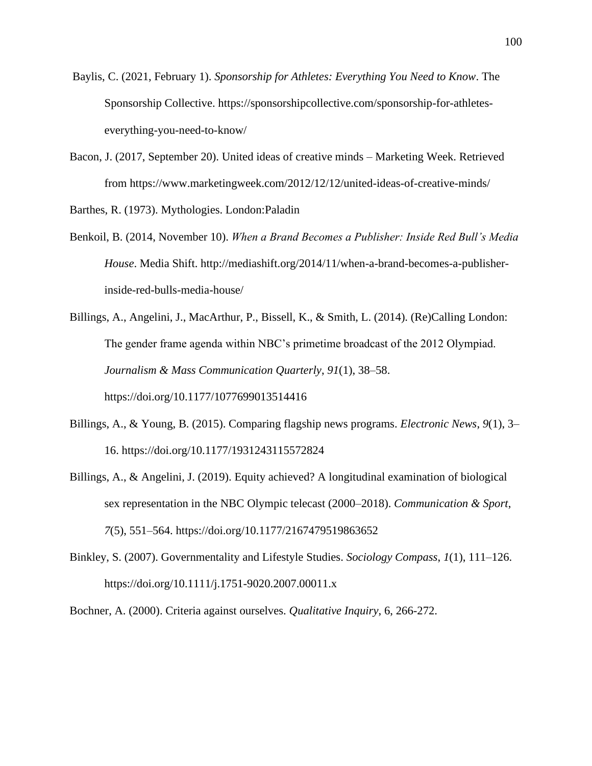- Baylis, C. (2021, February 1). *Sponsorship for Athletes: Everything You Need to Know*. The Sponsorship Collective. https://sponsorshipcollective.com/sponsorship-for-athleteseverything-you-need-to-know/
- Bacon, J. (2017, September 20). United ideas of creative minds Marketing Week. Retrieved from https://www.marketingweek.com/2012/12/12/united-ideas-of-creative-minds/

Barthes, R. (1973). Mythologies. London:Paladin

- Benkoil, B. (2014, November 10). *When a Brand Becomes a Publisher: Inside Red Bull's Media House*. Media Shift. http://mediashift.org/2014/11/when-a-brand-becomes-a-publisherinside-red-bulls-media-house/
- Billings, A., Angelini, J., MacArthur, P., Bissell, K., & Smith, L. (2014). (Re)Calling London: The gender frame agenda within NBC's primetime broadcast of the 2012 Olympiad. *Journalism & Mass Communication Quarterly*, *91*(1), 38–58. https://doi.org/10.1177/1077699013514416
- Billings, A., & Young, B. (2015). Comparing flagship news programs. *Electronic News*, *9*(1), 3– 16. https://doi.org/10.1177/1931243115572824
- Billings, A., & Angelini, J. (2019). Equity achieved? A longitudinal examination of biological sex representation in the NBC Olympic telecast (2000–2018). *Communication & Sport*, *7*(5), 551–564. https://doi.org/10.1177/2167479519863652
- Binkley, S. (2007). Governmentality and Lifestyle Studies. *Sociology Compass*, *1*(1), 111–126. https://doi.org/10.1111/j.1751-9020.2007.00011.x

Bochner, A. (2000). Criteria against ourselves. *Qualitative Inquiry*, 6, 266-272.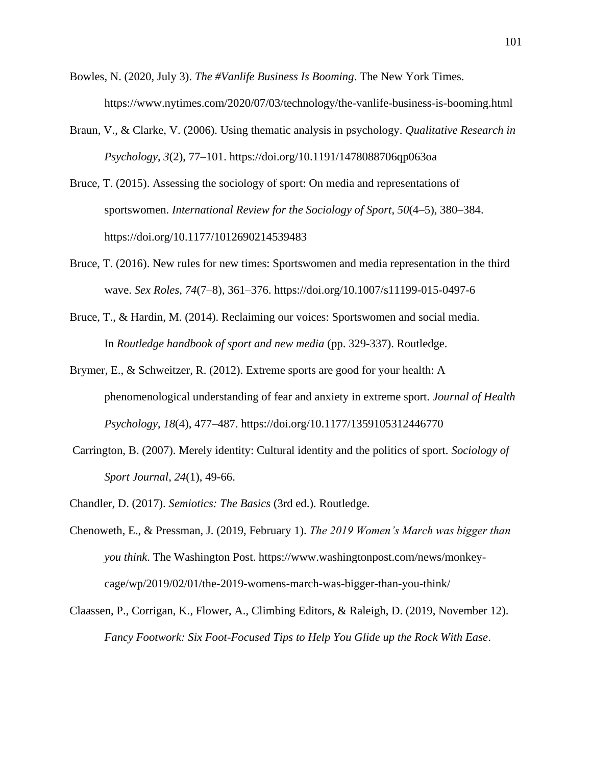- Bowles, N. (2020, July 3). *The #Vanlife Business Is Booming*. The New York Times. https://www.nytimes.com/2020/07/03/technology/the-vanlife-business-is-booming.html
- Braun, V., & Clarke, V. (2006). Using thematic analysis in psychology. *Qualitative Research in Psychology*, *3*(2), 77–101. https://doi.org/10.1191/1478088706qp063oa
- Bruce, T. (2015). Assessing the sociology of sport: On media and representations of sportswomen. *International Review for the Sociology of Sport*, *50*(4–5), 380–384. https://doi.org/10.1177/1012690214539483
- Bruce, T. (2016). New rules for new times: Sportswomen and media representation in the third wave. *Sex Roles*, *74*(7–8), 361–376. https://doi.org/10.1007/s11199-015-0497-6
- Bruce, T., & Hardin, M. (2014). Reclaiming our voices: Sportswomen and social media. In *Routledge handbook of sport and new media* (pp. 329-337). Routledge.
- Brymer, E., & Schweitzer, R. (2012). Extreme sports are good for your health: A phenomenological understanding of fear and anxiety in extreme sport. *Journal of Health Psychology*, *18*(4), 477–487. https://doi.org/10.1177/1359105312446770
- Carrington, B. (2007). Merely identity: Cultural identity and the politics of sport. *Sociology of Sport Journal*, *24*(1), 49-66.
- Chandler, D. (2017). *Semiotics: The Basics* (3rd ed.). Routledge.
- Chenoweth, E., & Pressman, J. (2019, February 1). *The 2019 Women's March was bigger than you think*. The Washington Post. https://www.washingtonpost.com/news/monkeycage/wp/2019/02/01/the-2019-womens-march-was-bigger-than-you-think/
- Claassen, P., Corrigan, K., Flower, A., Climbing Editors, & Raleigh, D. (2019, November 12). *Fancy Footwork: Six Foot-Focused Tips to Help You Glide up the Rock With Ease*.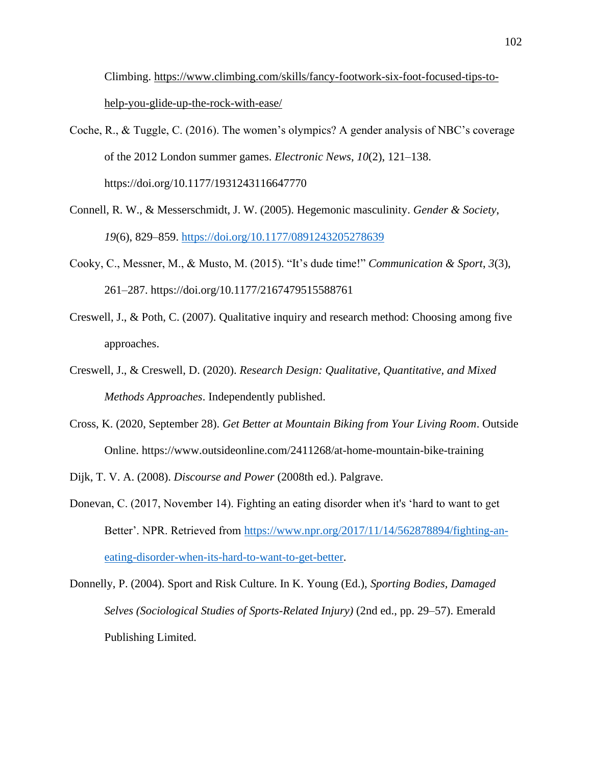Climbing. [https://www.climbing.com/skills/fancy-footwork-six-foot-focused-tips-to](https://www.climbing.com/skills/fancy-footwork-six-foot-focused-tips-to-help-you-glide-up-the-rock-with-ease/)[help-you-glide-up-the-rock-with-ease/](https://www.climbing.com/skills/fancy-footwork-six-foot-focused-tips-to-help-you-glide-up-the-rock-with-ease/)

- Coche, R., & Tuggle, C. (2016). The women's olympics? A gender analysis of NBC's coverage of the 2012 London summer games. *Electronic News*, *10*(2), 121–138. https://doi.org/10.1177/1931243116647770
- Connell, R. W., & Messerschmidt, J. W. (2005). Hegemonic masculinity. *Gender & Society*, *19*(6), 829–859.<https://doi.org/10.1177/0891243205278639>
- Cooky, C., Messner, M., & Musto, M. (2015). "It's dude time!" *Communication & Sport*, *3*(3), 261–287. https://doi.org/10.1177/2167479515588761
- Creswell, J., & Poth, C. (2007). Qualitative inquiry and research method: Choosing among five approaches.
- Creswell, J., & Creswell, D. (2020). *Research Design: Qualitative, Quantitative, and Mixed Methods Approaches*. Independently published.
- Cross, K. (2020, September 28). *Get Better at Mountain Biking from Your Living Room*. Outside Online. https://www.outsideonline.com/2411268/at-home-mountain-bike-training
- Dijk, T. V. A. (2008). *Discourse and Power* (2008th ed.). Palgrave.
- Donevan, C. (2017, November 14). Fighting an eating disorder when it's 'hard to want to get Better'. NPR. Retrieved from [https://www.npr.org/2017/11/14/562878894/fighting-an](https://www.npr.org/2017/11/14/562878894/fighting-an-eating-disorder-when-its-hard-to-want-to-get-better)[eating-disorder-when-its-hard-to-want-to-get-better.](https://www.npr.org/2017/11/14/562878894/fighting-an-eating-disorder-when-its-hard-to-want-to-get-better)

Donnelly, P. (2004). Sport and Risk Culture. In K. Young (Ed.), *Sporting Bodies, Damaged Selves (Sociological Studies of Sports-Related Injury)* (2nd ed., pp. 29–57). Emerald Publishing Limited.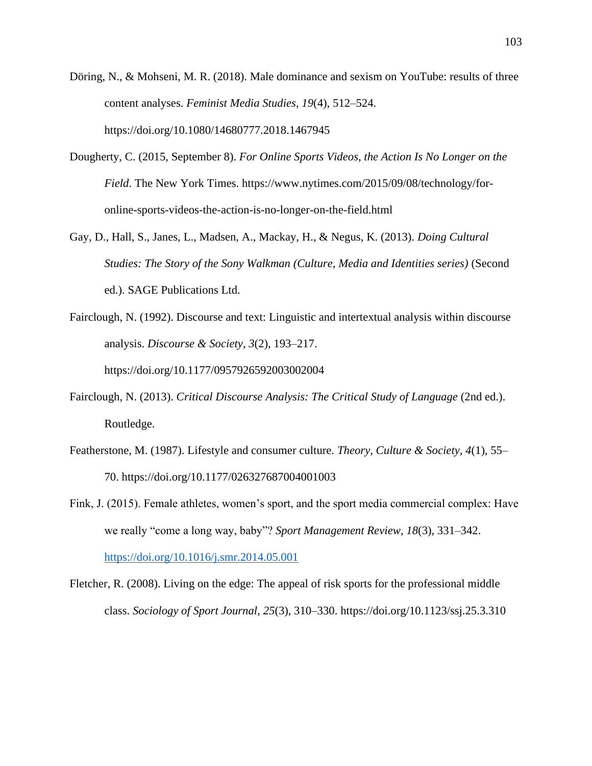- Döring, N., & Mohseni, M. R. (2018). Male dominance and sexism on YouTube: results of three content analyses. *Feminist Media Studies*, *19*(4), 512–524. https://doi.org/10.1080/14680777.2018.1467945
- Dougherty, C. (2015, September 8). *For Online Sports Videos, the Action Is No Longer on the Field*. The New York Times. https://www.nytimes.com/2015/09/08/technology/foronline-sports-videos-the-action-is-no-longer-on-the-field.html
- Gay, D., Hall, S., Janes, L., Madsen, A., Mackay, H., & Negus, K. (2013). *Doing Cultural Studies: The Story of the Sony Walkman (Culture, Media and Identities series)* (Second ed.). SAGE Publications Ltd.
- Fairclough, N. (1992). Discourse and text: Linguistic and intertextual analysis within discourse analysis. *Discourse & Society*, *3*(2), 193–217. https://doi.org/10.1177/0957926592003002004
- Fairclough, N. (2013). *Critical Discourse Analysis: The Critical Study of Language* (2nd ed.). Routledge.
- Featherstone, M. (1987). Lifestyle and consumer culture. *Theory, Culture & Society*, *4*(1), 55– 70. https://doi.org/10.1177/026327687004001003
- Fink, J. (2015). Female athletes, women's sport, and the sport media commercial complex: Have we really "come a long way, baby"? *Sport Management Review*, *18*(3), 331–342. <https://doi.org/10.1016/j.smr.2014.05.001>
- Fletcher, R. (2008). Living on the edge: The appeal of risk sports for the professional middle class. *Sociology of Sport Journal*, *25*(3), 310–330. https://doi.org/10.1123/ssj.25.3.310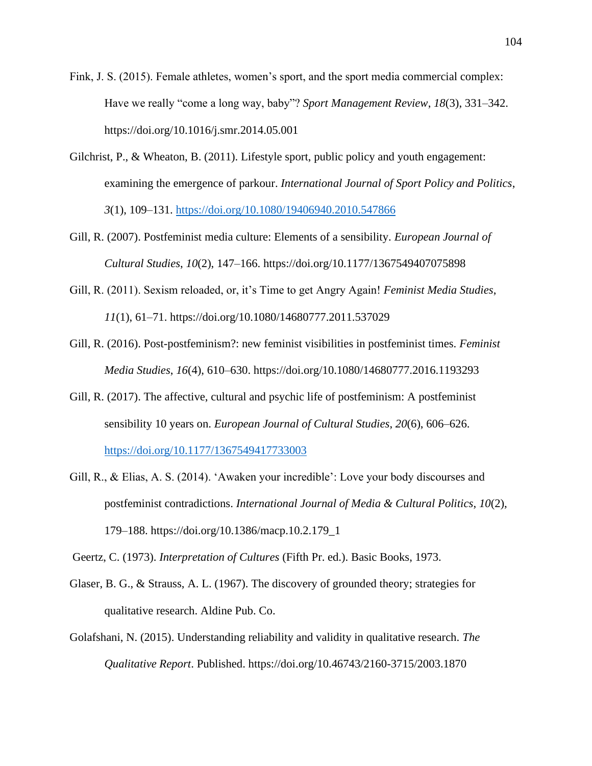Fink, J. S. (2015). Female athletes, women's sport, and the sport media commercial complex: Have we really "come a long way, baby"? *Sport Management Review*, *18*(3), 331–342. https://doi.org/10.1016/j.smr.2014.05.001

- Gilchrist, P., & Wheaton, B. (2011). Lifestyle sport, public policy and youth engagement: examining the emergence of parkour. *International Journal of Sport Policy and Politics*, *3*(1), 109–131.<https://doi.org/10.1080/19406940.2010.547866>
- Gill, R. (2007). Postfeminist media culture: Elements of a sensibility. *European Journal of Cultural Studies*, *10*(2), 147–166. https://doi.org/10.1177/1367549407075898
- Gill, R. (2011). Sexism reloaded, or, it's Time to get Angry Again! *Feminist Media Studies*, *11*(1), 61–71. https://doi.org/10.1080/14680777.2011.537029
- Gill, R. (2016). Post-postfeminism?: new feminist visibilities in postfeminist times. *Feminist Media Studies*, *16*(4), 610–630. https://doi.org/10.1080/14680777.2016.1193293
- Gill, R. (2017). The affective, cultural and psychic life of postfeminism: A postfeminist sensibility 10 years on. *European Journal of Cultural Studies*, *20*(6), 606–626. <https://doi.org/10.1177/1367549417733003>
- Gill, R., & Elias, A. S. (2014). 'Awaken your incredible': Love your body discourses and postfeminist contradictions. *International Journal of Media & Cultural Politics*, *10*(2), 179–188. https://doi.org/10.1386/macp.10.2.179\_1

Geertz, C. (1973). *Interpretation of Cultures* (Fifth Pr. ed.). Basic Books, 1973.

- Glaser, B. G., & Strauss, A. L. (1967). The discovery of grounded theory; strategies for qualitative research. Aldine Pub. Co.
- Golafshani, N. (2015). Understanding reliability and validity in qualitative research. *The Qualitative Report*. Published. https://doi.org/10.46743/2160-3715/2003.1870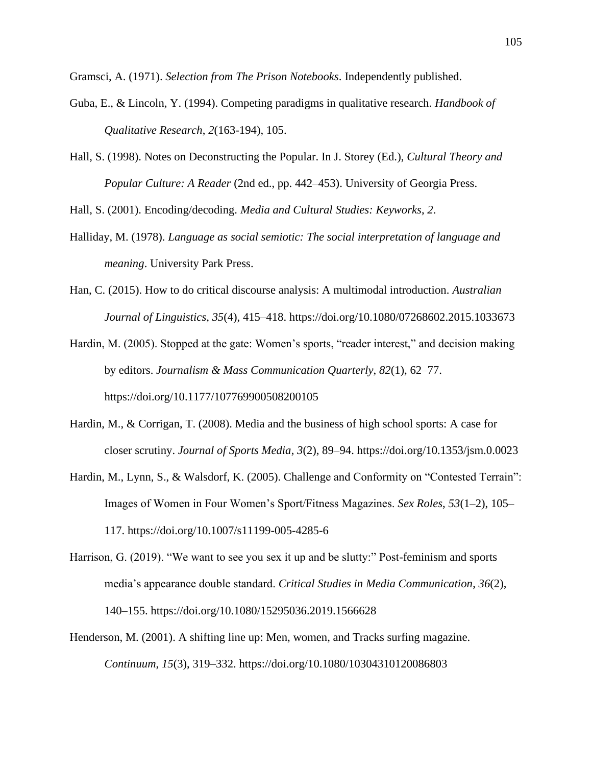Gramsci, A. (1971). *Selection from The Prison Notebooks*. Independently published.

- Guba, E., & Lincoln, Y. (1994). Competing paradigms in qualitative research. *Handbook of Qualitative Research*, *2*(163-194), 105.
- Hall, S. (1998). Notes on Deconstructing the Popular. In J. Storey (Ed.), *Cultural Theory and Popular Culture: A Reader* (2nd ed., pp. 442–453). University of Georgia Press.

Hall, S. (2001). Encoding/decoding. *Media and Cultural Studies: Keyworks*, *2*.

- Halliday, M. (1978). *Language as social semiotic: The social interpretation of language and meaning*. University Park Press.
- Han, C. (2015). How to do critical discourse analysis: A multimodal introduction. *Australian Journal of Linguistics*, *35*(4), 415–418. https://doi.org/10.1080/07268602.2015.1033673

Hardin, M. (2005). Stopped at the gate: Women's sports, "reader interest," and decision making by editors. *Journalism & Mass Communication Quarterly*, *82*(1), 62–77. https://doi.org/10.1177/107769900508200105

- Hardin, M., & Corrigan, T. (2008). Media and the business of high school sports: A case for closer scrutiny. *Journal of Sports Media*, *3*(2), 89–94. https://doi.org/10.1353/jsm.0.0023
- Hardin, M., Lynn, S., & Walsdorf, K. (2005). Challenge and Conformity on "Contested Terrain": Images of Women in Four Women's Sport/Fitness Magazines. *Sex Roles*, *53*(1–2), 105– 117. https://doi.org/10.1007/s11199-005-4285-6
- Harrison, G. (2019). "We want to see you sex it up and be slutty:" Post-feminism and sports media's appearance double standard. *Critical Studies in Media Communication*, *36*(2), 140–155. https://doi.org/10.1080/15295036.2019.1566628
- Henderson, M. (2001). A shifting line up: Men, women, and Tracks surfing magazine. *Continuum*, *15*(3), 319–332. https://doi.org/10.1080/10304310120086803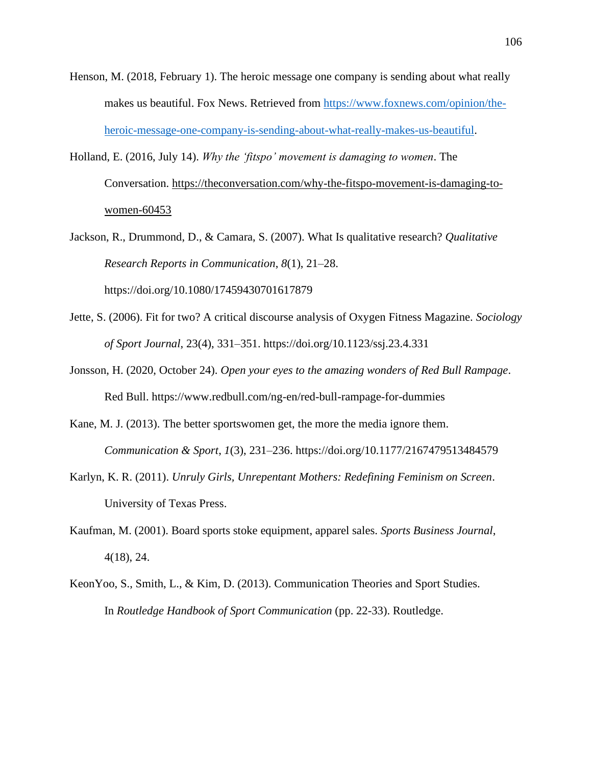- Henson, M. (2018, February 1). The heroic message one company is sending about what really makes us beautiful. Fox News. Retrieved from [https://www.foxnews.com/opinion/the](https://www.foxnews.com/opinion/the-heroic-message-one-company-is-sending-about-what-really-makes-us-beautiful)[heroic-message-one-company-is-sending-about-what-really-makes-us-beautiful.](https://www.foxnews.com/opinion/the-heroic-message-one-company-is-sending-about-what-really-makes-us-beautiful)
- Holland, E. (2016, July 14). *Why the 'fitspo' movement is damaging to women*. The Conversation. [https://theconversation.com/why-the-fitspo-movement-is-damaging-to](https://theconversation.com/why-the-fitspo-movement-is-damaging-to-women-60453)[women-60453](https://theconversation.com/why-the-fitspo-movement-is-damaging-to-women-60453)
- Jackson, R., Drummond, D., & Camara, S. (2007). What Is qualitative research? *Qualitative Research Reports in Communication*, *8*(1), 21–28. https://doi.org/10.1080/17459430701617879
- Jette, S. (2006). Fit for two? A critical discourse analysis of Oxygen Fitness Magazine. *Sociology of Sport Journal*, 23(4), 331–351. https://doi.org/10.1123/ssj.23.4.331
- Jonsson, H. (2020, October 24). *Open your eyes to the amazing wonders of Red Bull Rampage*. Red Bull. https://www.redbull.com/ng-en/red-bull-rampage-for-dummies
- Kane, M. J. (2013). The better sportswomen get, the more the media ignore them. *Communication & Sport*, *1*(3), 231–236. https://doi.org/10.1177/2167479513484579
- Karlyn, K. R. (2011). *Unruly Girls, Unrepentant Mothers: Redefining Feminism on Screen*. University of Texas Press.
- Kaufman, M. (2001). Board sports stoke equipment, apparel sales. *Sports Business Journal*, 4(18), 24.
- KeonYoo, S., Smith, L., & Kim, D. (2013). Communication Theories and Sport Studies. In *Routledge Handbook of Sport Communication* (pp. 22-33). Routledge.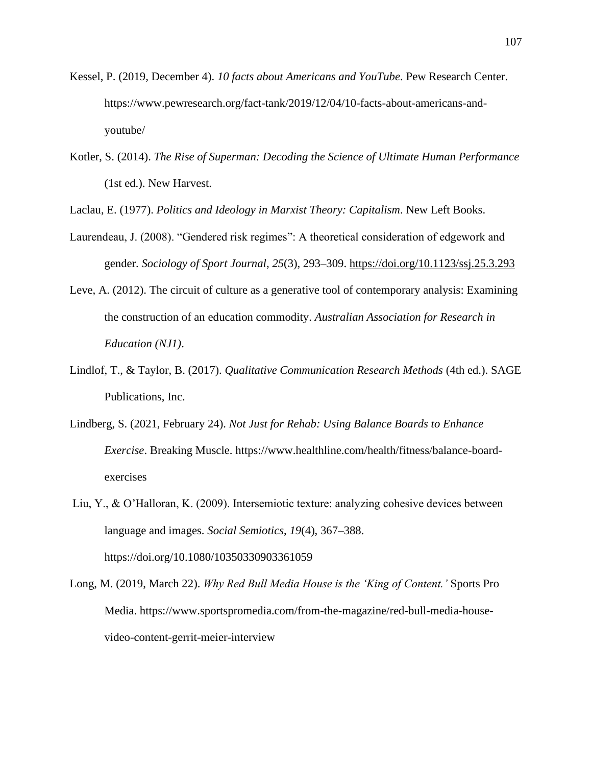- Kessel, P. (2019, December 4). *10 facts about Americans and YouTube*. Pew Research Center. https://www.pewresearch.org/fact-tank/2019/12/04/10-facts-about-americans-andyoutube/
- Kotler, S. (2014). *The Rise of Superman: Decoding the Science of Ultimate Human Performance* (1st ed.). New Harvest.

Laclau, E. (1977). *Politics and Ideology in Marxist Theory: Capitalism*. New Left Books.

- Laurendeau, J. (2008). "Gendered risk regimes": A theoretical consideration of edgework and gender. *Sociology of Sport Journal*, *25*(3), 293–309.<https://doi.org/10.1123/ssj.25.3.293>
- Leve, A. (2012). The circuit of culture as a generative tool of contemporary analysis: Examining the construction of an education commodity. *Australian Association for Research in Education (NJ1)*.
- Lindlof, T., & Taylor, B. (2017). *Qualitative Communication Research Methods* (4th ed.). SAGE Publications, Inc.
- Lindberg, S. (2021, February 24). *Not Just for Rehab: Using Balance Boards to Enhance Exercise*. Breaking Muscle. https://www.healthline.com/health/fitness/balance-boardexercises
- Liu, Y., & O'Halloran, K. (2009). Intersemiotic texture: analyzing cohesive devices between language and images. *Social Semiotics*, *19*(4), 367–388. https://doi.org/10.1080/10350330903361059
- Long, M. (2019, March 22). *Why Red Bull Media House is the 'King of Content.'* Sports Pro Media. https://www.sportspromedia.com/from-the-magazine/red-bull-media-housevideo-content-gerrit-meier-interview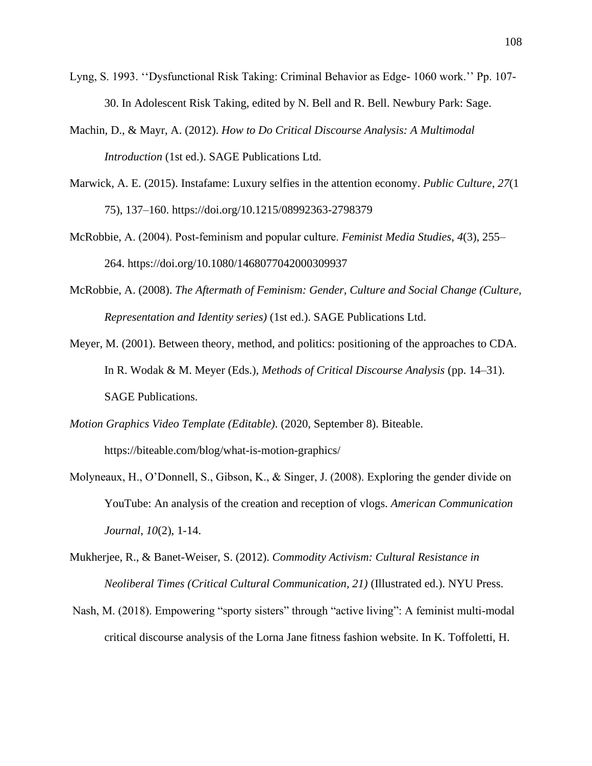- Lyng, S. 1993. ''Dysfunctional Risk Taking: Criminal Behavior as Edge- 1060 work.'' Pp. 107- 30. In Adolescent Risk Taking, edited by N. Bell and R. Bell. Newbury Park: Sage.
- Machin, D., & Mayr, A. (2012). *How to Do Critical Discourse Analysis: A Multimodal Introduction* (1st ed.). SAGE Publications Ltd.
- Marwick, A. E. (2015). Instafame: Luxury selfies in the attention economy. *Public Culture*, *27*(1 75), 137–160. https://doi.org/10.1215/08992363-2798379
- McRobbie, A. (2004). Post‐feminism and popular culture. *Feminist Media Studies*, *4*(3), 255– 264. https://doi.org/10.1080/1468077042000309937
- McRobbie, A. (2008). *The Aftermath of Feminism: Gender, Culture and Social Change (Culture, Representation and Identity series)* (1st ed.). SAGE Publications Ltd.
- Meyer, M. (2001). Between theory, method, and politics: positioning of the approaches to CDA. In R. Wodak & M. Meyer (Eds.), *Methods of Critical Discourse Analysis* (pp. 14–31). SAGE Publications.
- *Motion Graphics Video Template (Editable)*. (2020, September 8). Biteable. https://biteable.com/blog/what-is-motion-graphics/
- Molyneaux, H., O'Donnell, S., Gibson, K., & Singer, J. (2008). Exploring the gender divide on YouTube: An analysis of the creation and reception of vlogs. *American Communication Journal*, *10*(2), 1-14.
- Mukherjee, R., & Banet-Weiser, S. (2012). *Commodity Activism: Cultural Resistance in Neoliberal Times (Critical Cultural Communication, 21)* (Illustrated ed.). NYU Press.
- Nash, M. (2018). Empowering "sporty sisters" through "active living": A feminist multi-modal critical discourse analysis of the Lorna Jane fitness fashion website. In K. Toffoletti, H.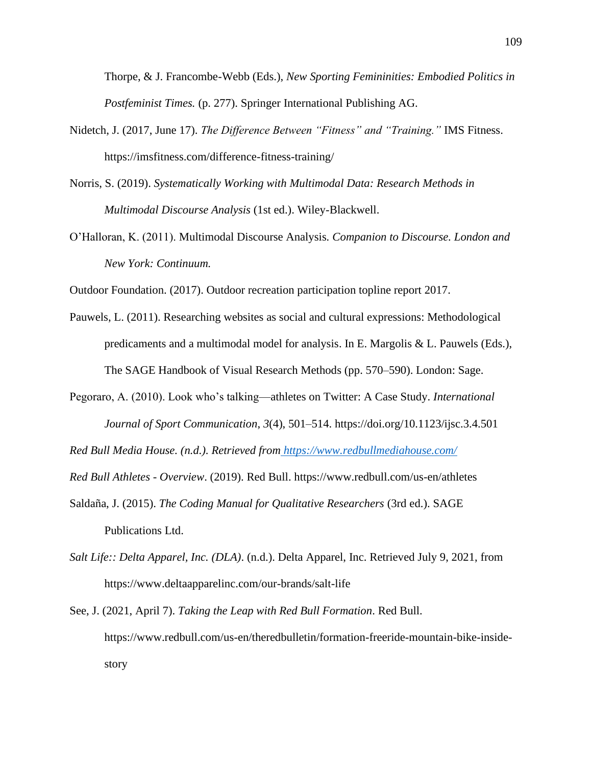Thorpe, & J. Francombe-Webb (Eds.), *New Sporting Femininities: Embodied Politics in Postfeminist Times.* (p. 277). Springer International Publishing AG.

- Nidetch, J. (2017, June 17). *The Difference Between "Fitness" and "Training."* IMS Fitness. https://imsfitness.com/difference-fitness-training/
- Norris, S. (2019). *Systematically Working with Multimodal Data: Research Methods in Multimodal Discourse Analysis* (1st ed.). Wiley-Blackwell.
- O'Halloran, K. (2011). Multimodal Discourse Analysis*. Companion to Discourse. London and New York: Continuum.*
- Outdoor Foundation. (2017). Outdoor recreation participation topline report 2017.
- Pauwels, L. (2011). Researching websites as social and cultural expressions: Methodological predicaments and a multimodal model for analysis. In E. Margolis & L. Pauwels (Eds.), The SAGE Handbook of Visual Research Methods (pp. 570–590). London: Sage.
- Pegoraro, A. (2010). Look who's talking—athletes on Twitter: A Case Study. *International Journal of Sport Communication*, *3*(4), 501–514. https://doi.org/10.1123/ijsc.3.4.501

*Red Bull Media House. (n.d.). Retrieved from <https://www.redbullmediahouse.com/>*

*Red Bull Athletes - Overview*. (2019). Red Bull. https://www.redbull.com/us-en/athletes

- Saldaña, J. (2015). *The Coding Manual for Qualitative Researchers* (3rd ed.). SAGE Publications Ltd.
- *Salt Life:: Delta Apparel, Inc. (DLA)*. (n.d.). Delta Apparel, Inc. Retrieved July 9, 2021, from https://www.deltaapparelinc.com/our-brands/salt-life
- See, J. (2021, April 7). *Taking the Leap with Red Bull Formation*. Red Bull. https://www.redbull.com/us-en/theredbulletin/formation-freeride-mountain-bike-insidestory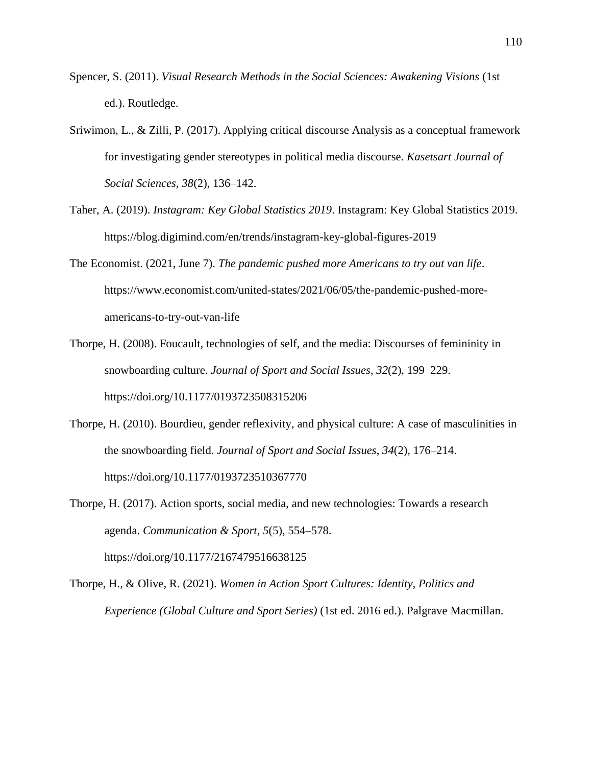- Spencer, S. (2011). *Visual Research Methods in the Social Sciences: Awakening Visions* (1st ed.). Routledge.
- Sriwimon, L., & Zilli, P. (2017). Applying critical discourse Analysis as a conceptual framework for investigating gender stereotypes in political media discourse. *Kasetsart Journal of Social Sciences, 38*(2), 136–142.
- Taher, A. (2019). *Instagram: Key Global Statistics 2019*. Instagram: Key Global Statistics 2019. https://blog.digimind.com/en/trends/instagram-key-global-figures-2019
- The Economist. (2021, June 7). *The pandemic pushed more Americans to try out van life*. https://www.economist.com/united-states/2021/06/05/the-pandemic-pushed-moreamericans-to-try-out-van-life
- Thorpe, H. (2008). Foucault, technologies of self, and the media: Discourses of femininity in snowboarding culture. *Journal of Sport and Social Issues*, *32*(2), 199–229. https://doi.org/10.1177/0193723508315206
- Thorpe, H. (2010). Bourdieu, gender reflexivity, and physical culture: A case of masculinities in the snowboarding field. *Journal of Sport and Social Issues*, *34*(2), 176–214. https://doi.org/10.1177/0193723510367770
- Thorpe, H. (2017). Action sports, social media, and new technologies: Towards a research agenda. *Communication & Sport*, *5*(5), 554–578. https://doi.org/10.1177/2167479516638125
- Thorpe, H., & Olive, R. (2021). *Women in Action Sport Cultures: Identity, Politics and Experience (Global Culture and Sport Series)* (1st ed. 2016 ed.). Palgrave Macmillan.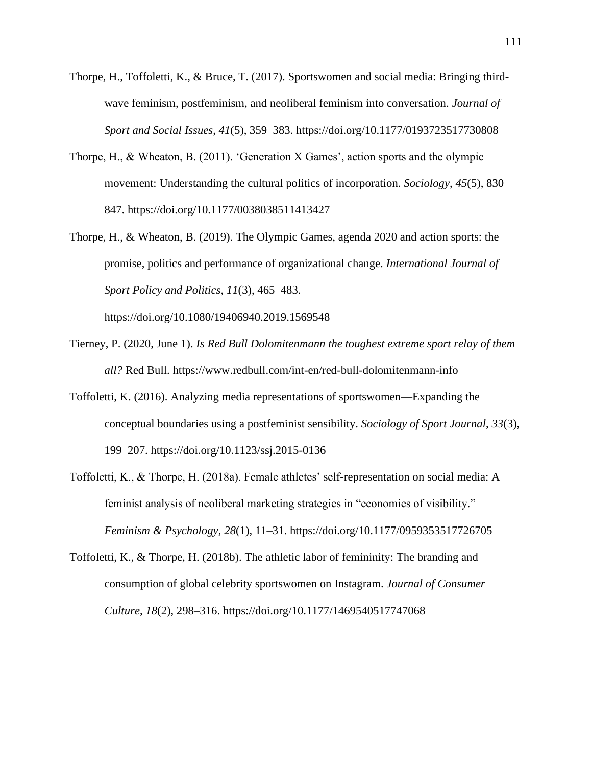- Thorpe, H., Toffoletti, K., & Bruce, T. (2017). Sportswomen and social media: Bringing thirdwave feminism, postfeminism, and neoliberal feminism into conversation. *Journal of Sport and Social Issues*, *41*(5), 359–383. https://doi.org/10.1177/0193723517730808
- Thorpe, H., & Wheaton, B. (2011). 'Generation X Games', action sports and the olympic movement: Understanding the cultural politics of incorporation. *Sociology*, *45*(5), 830– 847. https://doi.org/10.1177/0038038511413427
- Thorpe, H., & Wheaton, B. (2019). The Olympic Games, agenda 2020 and action sports: the promise, politics and performance of organizational change. *International Journal of Sport Policy and Politics*, *11*(3), 465–483.

https://doi.org/10.1080/19406940.2019.1569548

- Tierney, P. (2020, June 1). *Is Red Bull Dolomitenmann the toughest extreme sport relay of them all?* Red Bull. https://www.redbull.com/int-en/red-bull-dolomitenmann-info
- Toffoletti, K. (2016). Analyzing media representations of sportswomen—Expanding the conceptual boundaries using a postfeminist sensibility. *Sociology of Sport Journal*, *33*(3), 199–207. https://doi.org/10.1123/ssj.2015-0136
- Toffoletti, K., & Thorpe, H. (2018a). Female athletes' self-representation on social media: A feminist analysis of neoliberal marketing strategies in "economies of visibility." *Feminism & Psychology*, *28*(1), 11–31. https://doi.org/10.1177/0959353517726705
- Toffoletti, K., & Thorpe, H. (2018b). The athletic labor of femininity: The branding and consumption of global celebrity sportswomen on Instagram. *Journal of Consumer Culture*, *18*(2), 298–316. https://doi.org/10.1177/1469540517747068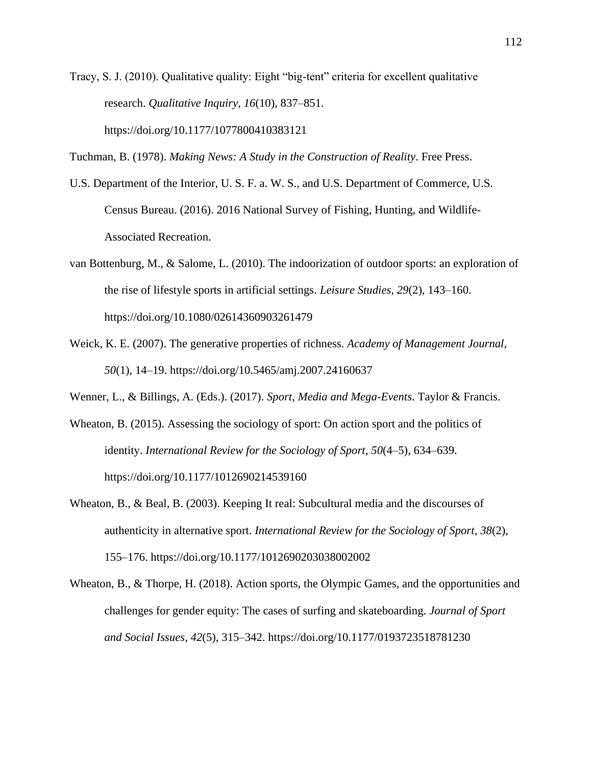Tracy, S. J. (2010). Qualitative quality: Eight "big-tent" criteria for excellent qualitative research. *Qualitative Inquiry*, *16*(10), 837–851. https://doi.org/10.1177/1077800410383121

Tuchman, B. (1978). *Making News: A Study in the Construction of Reality*. Free Press.

- U.S. Department of the Interior, U. S. F. a. W. S., and U.S. Department of Commerce, U.S. Census Bureau. (2016). 2016 National Survey of Fishing, Hunting, and Wildlife-Associated Recreation.
- van Bottenburg, M., & Salome, L. (2010). The indoorization of outdoor sports: an exploration of the rise of lifestyle sports in artificial settings. *Leisure Studies*, *29*(2), 143–160. https://doi.org/10.1080/02614360903261479
- Weick, K. E. (2007). The generative properties of richness. *Academy of Management Journal*, *50*(1), 14–19. https://doi.org/10.5465/amj.2007.24160637

Wenner, L., & Billings, A. (Eds.). (2017). *Sport, Media and Mega-Events*. Taylor & Francis.

- Wheaton, B. (2015). Assessing the sociology of sport: On action sport and the politics of identity. *International Review for the Sociology of Sport*, *50*(4–5), 634–639. https://doi.org/10.1177/1012690214539160
- Wheaton, B., & Beal, B. (2003). Keeping It real: Subcultural media and the discourses of authenticity in alternative sport. *International Review for the Sociology of Sport*, *38*(2), 155–176. https://doi.org/10.1177/1012690203038002002
- Wheaton, B., & Thorpe, H. (2018). Action sports, the Olympic Games, and the opportunities and challenges for gender equity: The cases of surfing and skateboarding. *Journal of Sport and Social Issues*, *42*(5), 315–342. https://doi.org/10.1177/0193723518781230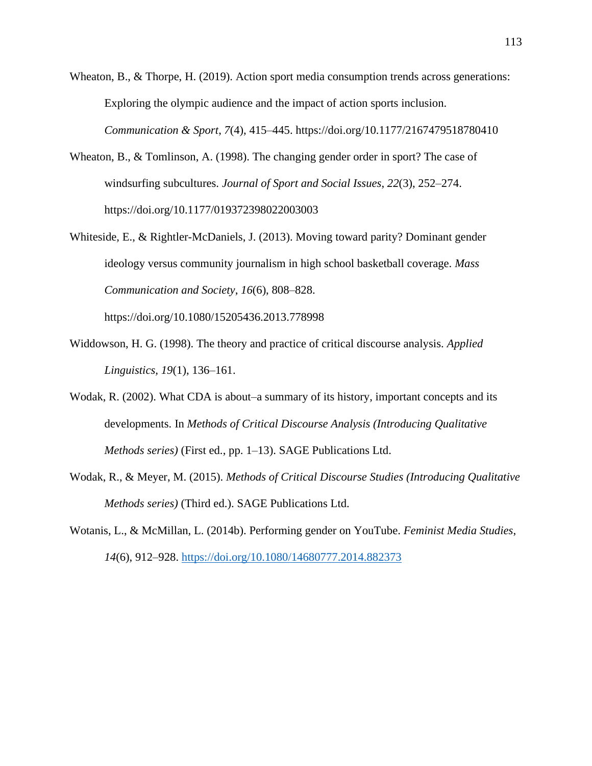Wheaton, B., & Thorpe, H. (2019). Action sport media consumption trends across generations: Exploring the olympic audience and the impact of action sports inclusion. *Communication & Sport*, *7*(4), 415–445. https://doi.org/10.1177/2167479518780410

- Wheaton, B., & Tomlinson, A. (1998). The changing gender order in sport? The case of windsurfing subcultures. *Journal of Sport and Social Issues*, *22*(3), 252–274. https://doi.org/10.1177/019372398022003003
- Whiteside, E., & Rightler-McDaniels, J. (2013). Moving toward parity? Dominant gender ideology versus community journalism in high school basketball coverage. *Mass Communication and Society*, *16*(6), 808–828.

https://doi.org/10.1080/15205436.2013.778998

- Widdowson, H. G. (1998). The theory and practice of critical discourse analysis. *Applied Linguistics, 19*(1), 136–161.
- Wodak, R. (2002). What CDA is about–a summary of its history, important concepts and its developments. In *Methods of Critical Discourse Analysis (Introducing Qualitative Methods series)* (First ed., pp. 1–13). SAGE Publications Ltd.
- Wodak, R., & Meyer, M. (2015). *Methods of Critical Discourse Studies (Introducing Qualitative Methods series)* (Third ed.). SAGE Publications Ltd.
- Wotanis, L., & McMillan, L. (2014b). Performing gender on YouTube. *Feminist Media Studies*, *14*(6), 912–928.<https://doi.org/10.1080/14680777.2014.882373>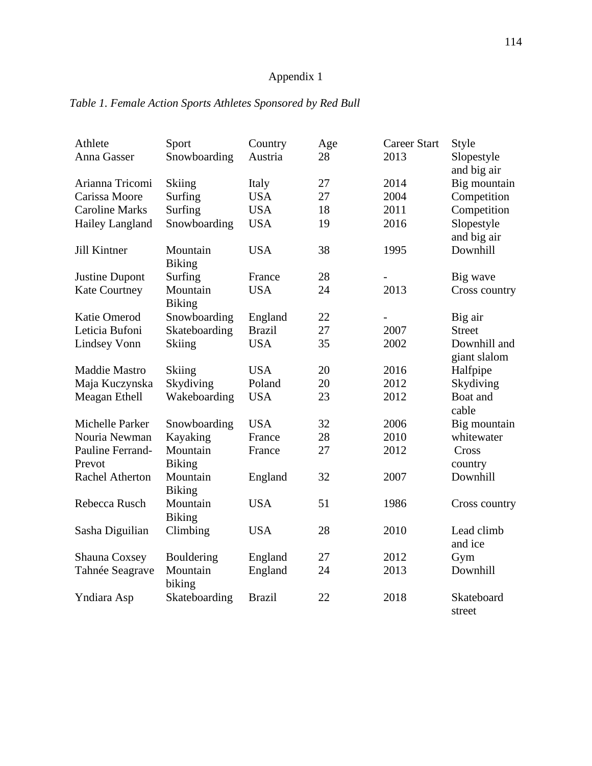## Appendix 1

| Athlete                | Sport                     | Country       | Age | <b>Career Start</b> | Style                   |
|------------------------|---------------------------|---------------|-----|---------------------|-------------------------|
| Anna Gasser            | Snowboarding              | Austria       | 28  | 2013                | Slopestyle              |
|                        |                           |               |     |                     | and big air             |
| Arianna Tricomi        | <b>Skiing</b>             | Italy         | 27  | 2014                | Big mountain            |
| Carissa Moore          | Surfing                   | <b>USA</b>    | 27  | 2004                | Competition             |
| <b>Caroline Marks</b>  | Surfing                   | <b>USA</b>    | 18  | 2011                | Competition             |
| Hailey Langland        | Snowboarding              | <b>USA</b>    | 19  | 2016                | Slopestyle              |
|                        | Mountain                  | <b>USA</b>    | 38  | 1995                | and big air<br>Downhill |
| Jill Kintner           | <b>Biking</b>             |               |     |                     |                         |
| <b>Justine Dupont</b>  | Surfing                   | France        | 28  |                     | Big wave                |
| <b>Kate Courtney</b>   | Mountain<br><b>Biking</b> | <b>USA</b>    | 24  | 2013                | Cross country           |
| Katie Omerod           | Snowboarding              | England       | 22  |                     | Big air                 |
| Leticia Bufoni         | Skateboarding             | <b>Brazil</b> | 27  | 2007                | <b>Street</b>           |
| <b>Lindsey Vonn</b>    | <b>Skiing</b>             | <b>USA</b>    | 35  | 2002                | Downhill and            |
|                        |                           |               |     |                     | giant slalom            |
| <b>Maddie Mastro</b>   | Skiing                    | <b>USA</b>    | 20  | 2016                | Halfpipe                |
| Maja Kuczynska         | Skydiving                 | Poland        | 20  | 2012                | Skydiving               |
| Meagan Ethell          | Wakeboarding              | <b>USA</b>    | 23  | 2012                | Boat and<br>cable       |
| Michelle Parker        | Snowboarding              | <b>USA</b>    | 32  | 2006                | Big mountain            |
| Nouria Newman          | Kayaking                  | France        | 28  | 2010                | whitewater              |
| Pauline Ferrand-       | Mountain                  | France        | 27  | 2012                | Cross                   |
| Prevot                 | <b>Biking</b>             |               |     |                     | country                 |
| <b>Rachel Atherton</b> | Mountain<br><b>Biking</b> | England       | 32  | 2007                | Downhill                |
| Rebecca Rusch          | Mountain                  | <b>USA</b>    | 51  | 1986                | Cross country           |
|                        | <b>Biking</b>             |               |     |                     |                         |
| Sasha Diguilian        | Climbing                  | <b>USA</b>    | 28  | 2010                | Lead climb<br>and ice   |
| Shauna Coxsey          | Bouldering                | England       | 27  | 2012                | Gym                     |
| Tahnée Seagrave        | Mountain<br>biking        | England       | 24  | 2013                | Downhill                |
| Yndiara Asp            | Skateboarding             | <b>Brazil</b> | 22  | 2018                | Skateboard<br>street    |

## *Table 1. Female Action Sports Athletes Sponsored by Red Bull*